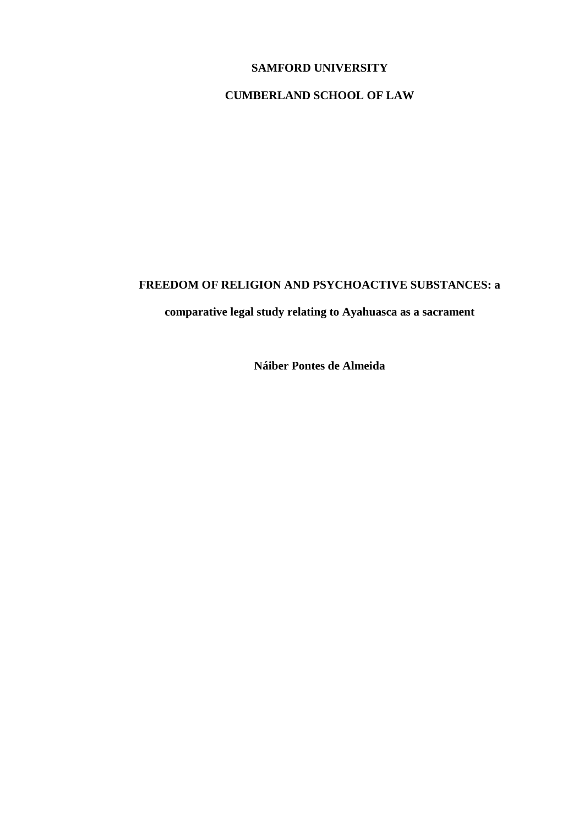## **SAMFORD UNIVERSITY**

# **CUMBERLAND SCHOOL OF LAW**

## **FREEDOM OF RELIGION AND PSYCHOACTIVE SUBSTANCES: a**

# **comparative legal study relating to Ayahuasca as a sacrament**

**Náiber Pontes de Almeida**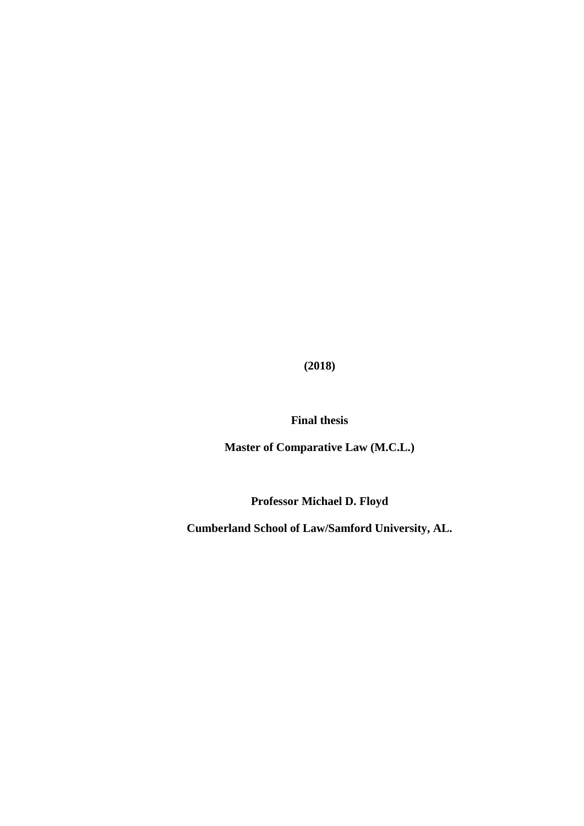**(2018)**

**Final thesis**

**Master of Comparative Law (M.C.L.)**

**Professor Michael D. Floyd**

**Cumberland School of Law/Samford University, AL.**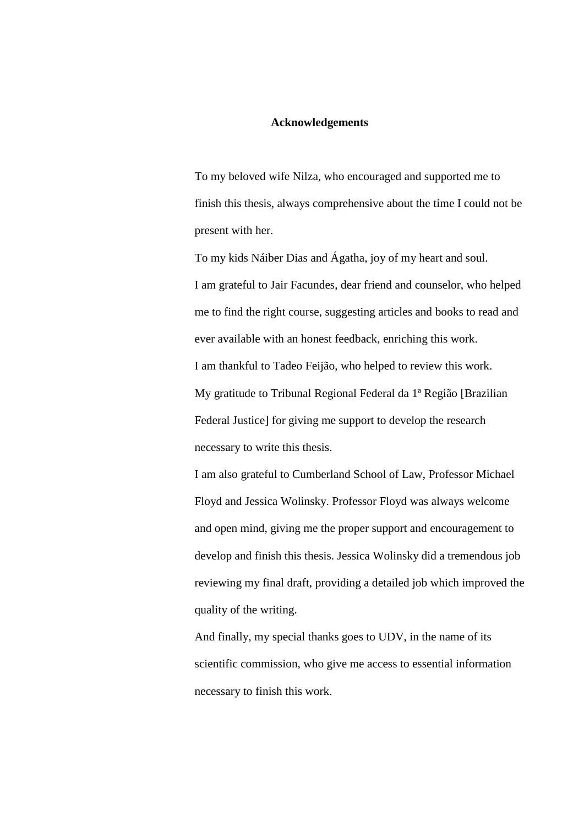#### **Acknowledgements**

To my beloved wife Nilza, who encouraged and supported me to finish this thesis, always comprehensive about the time I could not be present with her.

To my kids Náiber Dias and Ágatha, joy of my heart and soul. I am grateful to Jair Facundes, dear friend and counselor, who helped me to find the right course, suggesting articles and books to read and ever available with an honest feedback, enriching this work. I am thankful to Tadeo Feijão, who helped to review this work. My gratitude to Tribunal Regional Federal da 1ª Região [Brazilian Federal Justice] for giving me support to develop the research necessary to write this thesis.

I am also grateful to Cumberland School of Law, Professor Michael Floyd and Jessica Wolinsky. Professor Floyd was always welcome and open mind, giving me the proper support and encouragement to develop and finish this thesis. Jessica Wolinsky did a tremendous job reviewing my final draft, providing a detailed job which improved the quality of the writing.

And finally, my special thanks goes to UDV, in the name of its scientific commission, who give me access to essential information necessary to finish this work.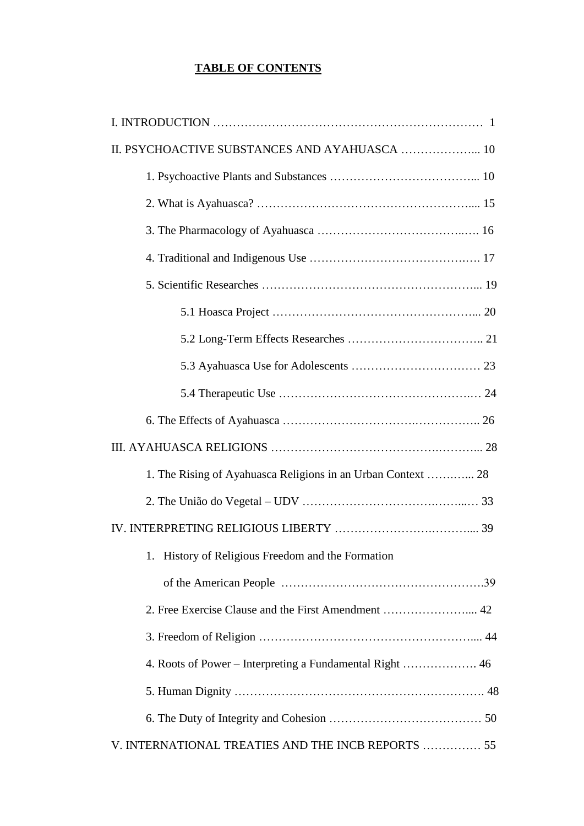# **TABLE OF CONTENTS**

| II. PSYCHOACTIVE SUBSTANCES AND AYAHUASCA  10                |
|--------------------------------------------------------------|
|                                                              |
|                                                              |
|                                                              |
|                                                              |
|                                                              |
|                                                              |
|                                                              |
|                                                              |
|                                                              |
|                                                              |
|                                                              |
| 1. The Rising of Ayahuasca Religions in an Urban Context  28 |
|                                                              |
|                                                              |
| 1. History of Religious Freedom and the Formation            |
|                                                              |
|                                                              |
|                                                              |
|                                                              |
|                                                              |
|                                                              |
| V. INTERNATIONAL TREATIES AND THE INCB REPORTS  55           |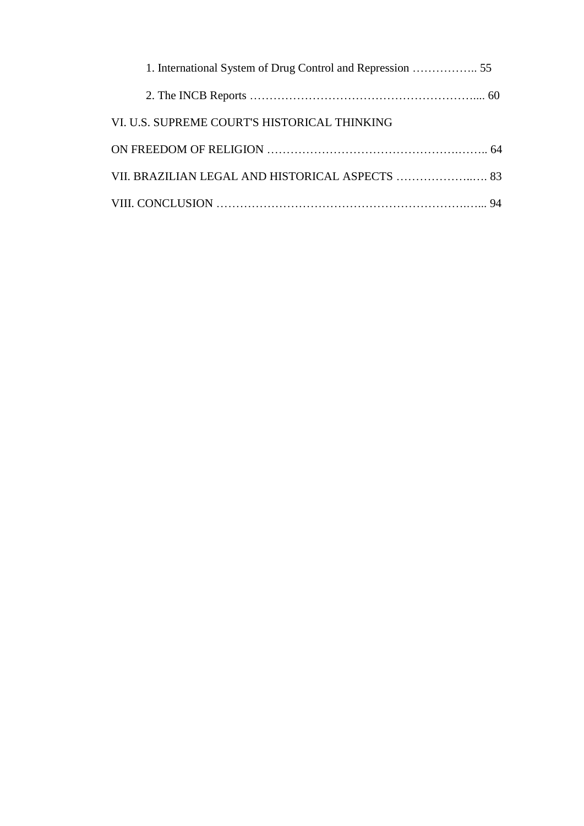| VI. U.S. SUPREME COURT'S HISTORICAL THINKING    |  |
|-------------------------------------------------|--|
|                                                 |  |
| VII. BRAZILIAN LEGAL AND HISTORICAL ASPECTS  83 |  |
|                                                 |  |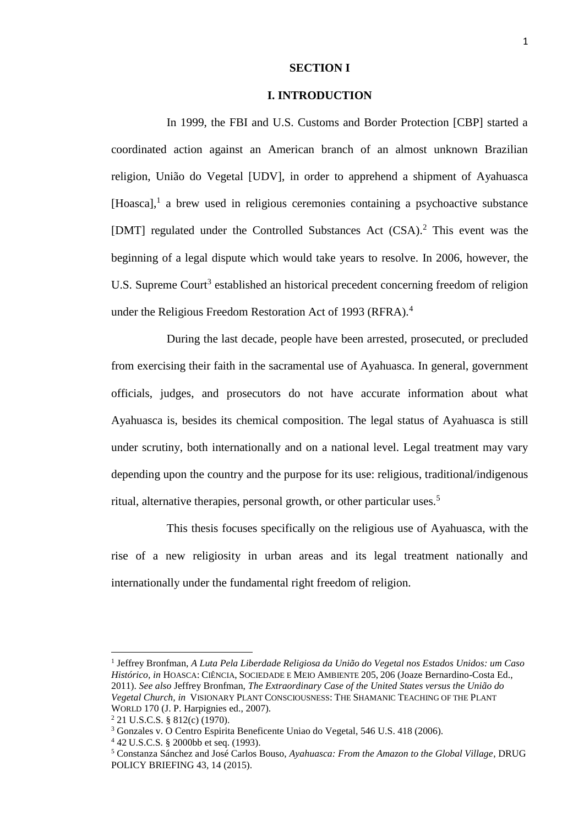#### **SECTION I**

#### **I. INTRODUCTION**

In 1999, the FBI and U.S. Customs and Border Protection [CBP] started a coordinated action against an American branch of an almost unknown Brazilian religion, União do Vegetal [UDV], in order to apprehend a shipment of Ayahuasca [Hoasca],<sup>1</sup> a brew used in religious ceremonies containing a psychoactive substance [DMT] regulated under the Controlled Substances Act (CSA). <sup>2</sup> This event was the beginning of a legal dispute which would take years to resolve. In 2006, however, the U.S. Supreme Court<sup>3</sup> established an historical precedent concerning freedom of religion under the Religious Freedom Restoration Act of 1993 (RFRA).<sup>4</sup>

During the last decade, people have been arrested, prosecuted, or precluded from exercising their faith in the sacramental use of Ayahuasca. In general, government officials, judges, and prosecutors do not have accurate information about what Ayahuasca is, besides its chemical composition. The legal status of Ayahuasca is still under scrutiny, both internationally and on a national level. Legal treatment may vary depending upon the country and the purpose for its use: religious, traditional/indigenous ritual, alternative therapies, personal growth, or other particular uses.<sup>5</sup>

This thesis focuses specifically on the religious use of Ayahuasca, with the rise of a new religiosity in urban areas and its legal treatment nationally and internationally under the fundamental right freedom of religion.

1 Jeffrey Bronfman, *A Luta Pela Liberdade Religiosa da União do Vegetal nos Estados Unidos: um Caso Histórico, in* HOASCA: CIÊNCIA, SOCIEDADE E MEIO AMBIENTE 205, 206 (Joaze Bernardino-Costa Ed., 2011). *See also* Jeffrey Bronfman, *The Extraordinary Case of the United States versus the União do Vegetal Church, in* VISIONARY PLANT CONSCIOUSNESS: THE SHAMANIC TEACHING OF THE PLANT WORLD 170 (J. P. Harpignies ed., 2007).

<sup>2</sup> 21 U.S.C.S. § 812(c) (1970).

<sup>3</sup> Gonzales v. O Centro Espirita Beneficente Uniao do Vegetal, 546 U.S. 418 (2006).

<sup>4</sup> 42 U.S.C.S. § 2000bb et seq. (1993).

<sup>5</sup> Constanza Sánchez and José Carlos Bouso, *Ayahuasca: From the Amazon to the Global Village*, DRUG POLICY BRIEFING 43, 14 (2015).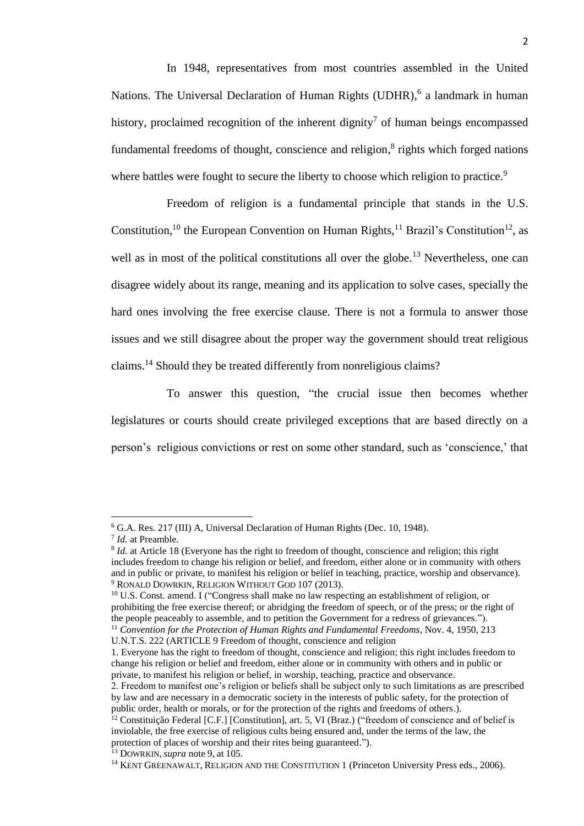In 1948, representatives from most countries assembled in the United Nations. The Universal Declaration of Human Rights (UDHR),<sup>6</sup> a landmark in human history, proclaimed recognition of the inherent dignity<sup>7</sup> of human beings encompassed fundamental freedoms of thought, conscience and religion,<sup>8</sup> rights which forged nations where battles were fought to secure the liberty to choose which religion to practice.<sup>9</sup>

Freedom of religion is a fundamental principle that stands in the U.S. Constitution,<sup>10</sup> the European Convention on Human Rights,<sup>11</sup> Brazil's Constitution<sup>12</sup>, as well as in most of the political constitutions all over the globe.<sup>13</sup> Nevertheless, one can disagree widely about its range, meaning and its application to solve cases, specially the hard ones involving the free exercise clause. There is not a formula to answer those issues and we still disagree about the proper way the government should treat religious claims.<sup>14</sup> Should they be treated differently from nonreligious claims?

To answer this question, "the crucial issue then becomes whether legislatures or courts should create privileged exceptions that are based directly on a person's religious convictions or rest on some other standard, such as 'conscience,' that

l

<sup>10</sup> U.S. Const. amend. I ("Congress shall make no law respecting an establishment of religion, or prohibiting the free exercise thereof; or abridging the freedom of speech, or of the press; or the right of the people peaceably to assemble, and to petition the Government for a redress of grievances."). <sup>11</sup> *Convention for the Protection of Human Rights and Fundamental Freedoms*, Nov. 4, 1950, 213 U.N.T.S. 222 (ARTICLE 9 Freedom of thought, conscience and religion

<sup>6</sup> G.A. Res. 217 (III) A, Universal Declaration of Human Rights (Dec. 10, 1948).

<sup>7</sup> *Id.* at Preamble.

<sup>8</sup> *Id.* at Article 18 (Everyone has the right to freedom of thought, conscience and religion; this right includes freedom to change his religion or belief, and freedom, either alone or in community with others and in public or private, to manifest his religion or belief in teaching, practice, worship and observance). <sup>9</sup> RONALD DOWRKIN, RELIGION WITHOUT GOD 107 (2013).

<sup>1.</sup> Everyone has the right to freedom of thought, conscience and religion; this right includes freedom to change his religion or belief and freedom, either alone or in community with others and in public or private, to manifest his religion or belief, in worship, teaching, practice and observance.

<sup>2.</sup> Freedom to manifest one's religion or beliefs shall be subject only to such limitations as are prescribed by law and are necessary in a democratic society in the interests of public safety, for the protection of public order, health or morals, or for the protection of the rights and freedoms of others.).

<sup>&</sup>lt;sup>12</sup> Constituição Federal [C.F.] [Constitution], art. 5, VI (Braz.) ("freedom of conscience and of belief is inviolable, the free exercise of religious cults being ensured and, under the terms of the law, the protection of places of worship and their rites being guaranteed.").

<sup>&</sup>lt;sup>13</sup> DOWRKIN, *supra* note 9, at 105.

<sup>&</sup>lt;sup>14</sup> KENT GREENAWALT, RELIGION AND THE CONSTITUTION 1 (Princeton University Press eds., 2006).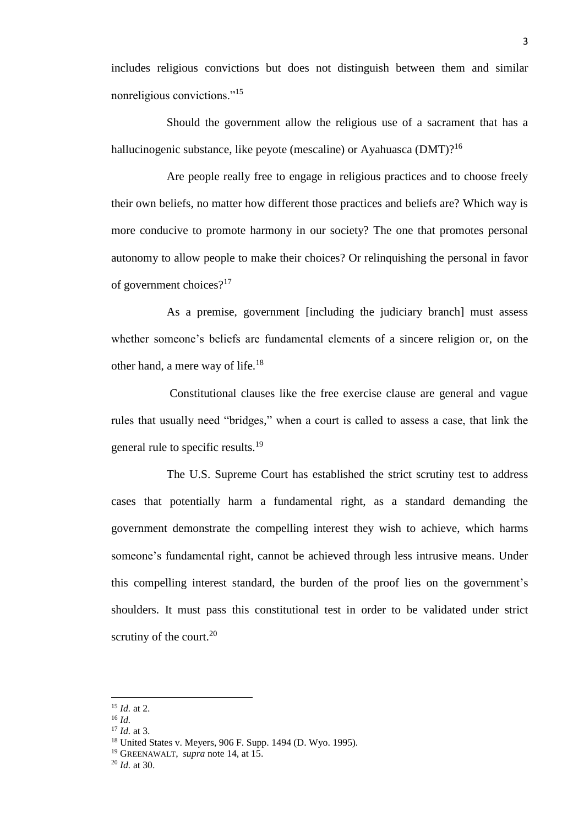includes religious convictions but does not distinguish between them and similar nonreligious convictions."<sup>15</sup>

Should the government allow the religious use of a sacrament that has a hallucinogenic substance, like peyote (mescaline) or Ayahuasca (DMT)?<sup>16</sup>

Are people really free to engage in religious practices and to choose freely their own beliefs, no matter how different those practices and beliefs are? Which way is more conducive to promote harmony in our society? The one that promotes personal autonomy to allow people to make their choices? Or relinquishing the personal in favor of government choices?<sup>17</sup>

As a premise, government [including the judiciary branch] must assess whether someone's beliefs are fundamental elements of a sincere religion or, on the other hand, a mere way of life.<sup>18</sup>

Constitutional clauses like the free exercise clause are general and vague rules that usually need "bridges," when a court is called to assess a case, that link the general rule to specific results.<sup>19</sup>

The U.S. Supreme Court has established the strict scrutiny test to address cases that potentially harm a fundamental right, as a standard demanding the government demonstrate the compelling interest they wish to achieve, which harms someone's fundamental right, cannot be achieved through less intrusive means. Under this compelling interest standard, the burden of the proof lies on the government's shoulders. It must pass this constitutional test in order to be validated under strict scrutiny of the court. $20$ 

<sup>15</sup> *Id.* at 2.

<sup>16</sup> *Id.*

<sup>17</sup> *Id.* at 3.

<sup>18</sup> United States v. Meyers, 906 F. Supp. 1494 (D. Wyo. 1995).

<sup>19</sup> GREENAWALT, *supra* note 14, at 15.

<sup>20</sup> *Id.* at 30.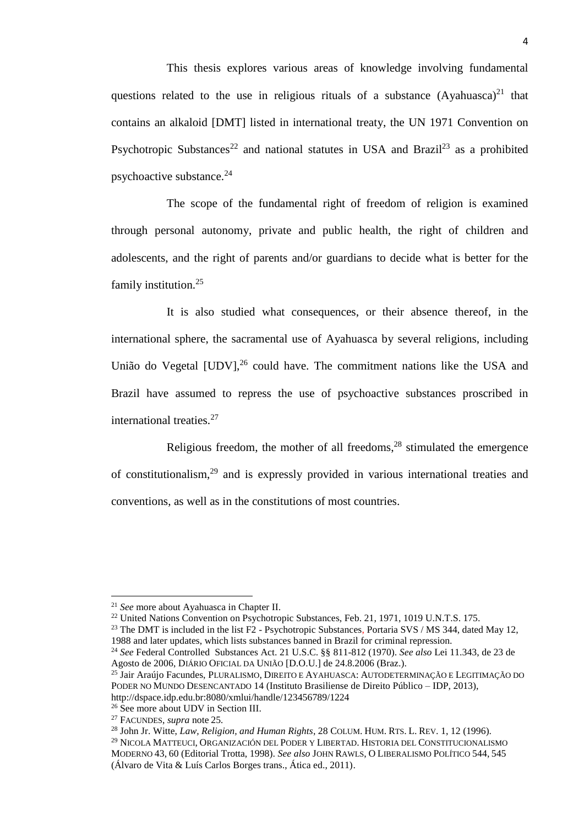This thesis explores various areas of knowledge involving fundamental questions related to the use in religious rituals of a substance  $(Ayahuasca)^{21}$  that contains an alkaloid [DMT] listed in international treaty, the UN 1971 Convention on Psychotropic Substances<sup>22</sup> and national statutes in USA and Brazil<sup>23</sup> as a prohibited psychoactive substance.<sup>24</sup>

The scope of the fundamental right of freedom of religion is examined through personal autonomy, private and public health, the right of children and adolescents, and the right of parents and/or guardians to decide what is better for the family institution.<sup>25</sup>

It is also studied what consequences, or their absence thereof, in the international sphere, the sacramental use of Ayahuasca by several religions, including União do Vegetal [UDV],<sup>26</sup> could have. The commitment nations like the USA and Brazil have assumed to repress the use of psychoactive substances proscribed in international treaties.<sup>27</sup>

Religious freedom, the mother of all freedoms,<sup>28</sup> stimulated the emergence of constitutionalism,<sup>29</sup> and is expressly provided in various international treaties and conventions, as well as in the constitutions of most countries.

<sup>21</sup> *See* more about Ayahuasca in Chapter II.

<sup>22</sup> United Nations Convention on Psychotropic Substances, Feb. 21, 1971, 1019 U.N.T.S. 175.

<sup>&</sup>lt;sup>23</sup> The DMT is included in the list  $F2$  - Psychotropic Substances, Portaria SVS / MS 344, dated May 12, 1988 and later updates, which lists substances banned in Brazil for criminal repression.

<sup>24</sup> *See* Federal Controlled Substances Act. 21 U.S.C. §§ 811-812 (1970). *See also* Lei 11.343, de 23 de Agosto de 2006, DIÁRIO OFICIAL DA UNIÃO [D.O.U.] de 24.8.2006 (Braz.).

<sup>25</sup> Jair Araújo Facundes, PLURALISMO, DIREITO E AYAHUASCA: AUTODETERMINAÇÃO E LEGITIMAÇÃO DO PODER NO MUNDO DESENCANTADO 14 (Instituto Brasiliense de Direito Público – IDP, 2013), http://dspace.idp.edu.br:8080/xmlui/handle/123456789/1224

<sup>&</sup>lt;sup>26</sup> See more about UDV in Section III.

<sup>27</sup> FACUNDES, *supra* note 25*.*

<sup>28</sup> John Jr. Witte, *Law, Religion, and Human Rights*, 28 COLUM. HUM. RTS. L. REV. 1, 12 (1996).

<sup>29</sup> NICOLA MATTEUCI, ORGANIZACIÓN DEL PODER Y LIBERTAD. HISTORIA DEL CONSTITUCIONALISMO MODERNO 43, 60 (Editorial Trotta, 1998). *See also* JOHN RAWLS, O LIBERALISMO POLÍTICO 544, 545 (Álvaro de Vita & Luís Carlos Borges trans., Ática ed., 2011).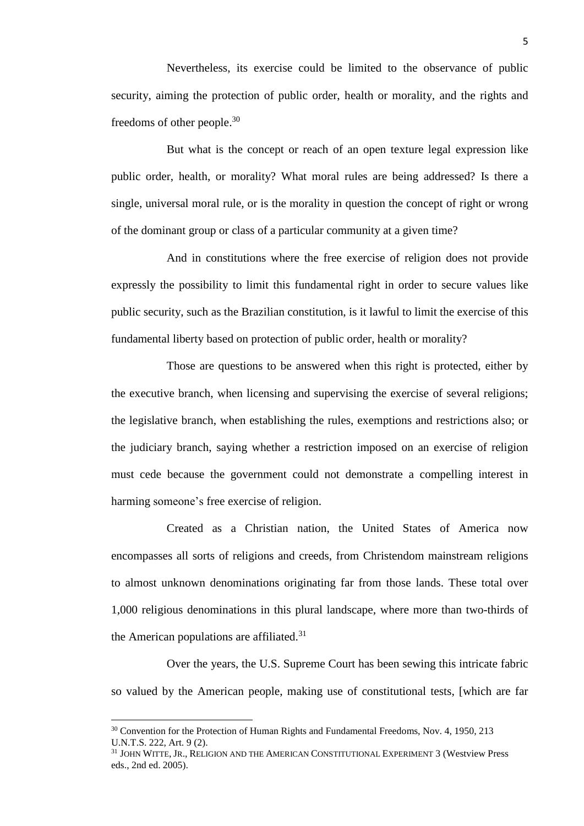Nevertheless, its exercise could be limited to the observance of public security, aiming the protection of public order, health or morality, and the rights and freedoms of other people.<sup>30</sup>

But what is the concept or reach of an open texture legal expression like public order, health, or morality? What moral rules are being addressed? Is there a single, universal moral rule, or is the morality in question the concept of right or wrong of the dominant group or class of a particular community at a given time?

And in constitutions where the free exercise of religion does not provide expressly the possibility to limit this fundamental right in order to secure values like public security, such as the Brazilian constitution, is it lawful to limit the exercise of this fundamental liberty based on protection of public order, health or morality?

Those are questions to be answered when this right is protected, either by the executive branch, when licensing and supervising the exercise of several religions; the legislative branch, when establishing the rules, exemptions and restrictions also; or the judiciary branch, saying whether a restriction imposed on an exercise of religion must cede because the government could not demonstrate a compelling interest in harming someone's free exercise of religion.

Created as a Christian nation, the United States of America now encompasses all sorts of religions and creeds, from Christendom mainstream religions to almost unknown denominations originating far from those lands. These total over 1,000 religious denominations in this plural landscape, where more than two-thirds of the American populations are affiliated. $31$ 

Over the years, the U.S. Supreme Court has been sewing this intricate fabric so valued by the American people, making use of constitutional tests, [which are far

<sup>&</sup>lt;sup>30</sup> Convention for the Protection of Human Rights and Fundamental Freedoms, Nov. 4, 1950, 213 U.N.T.S. 222, Art. 9 (2).

<sup>31</sup> JOHN WITTE, JR., RELIGION AND THE AMERICAN CONSTITUTIONAL EXPERIMENT 3 (Westview Press eds., 2nd ed. 2005).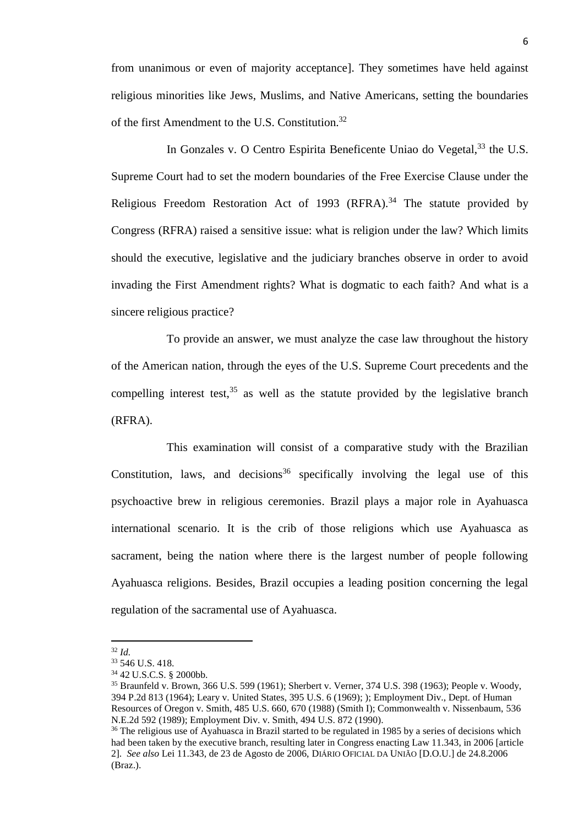from unanimous or even of majority acceptance]. They sometimes have held against religious minorities like Jews, Muslims, and Native Americans, setting the boundaries of the first Amendment to the U.S. Constitution.<sup>32</sup>

In Gonzales v. O Centro Espirita Beneficente Uniao do Vegetal.<sup>33</sup> the U.S. Supreme Court had to set the modern boundaries of the Free Exercise Clause under the Religious Freedom Restoration Act of 1993 (RFRA).<sup>34</sup> The statute provided by Congress (RFRA) raised a sensitive issue: what is religion under the law? Which limits should the executive, legislative and the judiciary branches observe in order to avoid invading the First Amendment rights? What is dogmatic to each faith? And what is a sincere religious practice?

To provide an answer, we must analyze the case law throughout the history of the American nation, through the eyes of the U.S. Supreme Court precedents and the compelling interest test,  $35$  as well as the statute provided by the legislative branch (RFRA).

This examination will consist of a comparative study with the Brazilian Constitution, laws, and decisions<sup>36</sup> specifically involving the legal use of this psychoactive brew in religious ceremonies. Brazil plays a major role in Ayahuasca international scenario. It is the crib of those religions which use Ayahuasca as sacrament, being the nation where there is the largest number of people following Ayahuasca religions. Besides, Brazil occupies a leading position concerning the legal regulation of the sacramental use of Ayahuasca.

 $\overline{\phantom{a}}$ <sup>32</sup> *Id.*

<sup>33</sup> 546 U.S. 418.

<sup>34</sup> 42 U.S.C.S. § 2000bb.

<sup>35</sup> Braunfeld v. Brown, 366 U.S. 599 (1961); Sherbert v. Verner, 374 U.S. 398 (1963); People v. Woody, 394 P.2d 813 (1964); Leary v. United States, 395 U.S. 6 (1969); ); Employment Div., Dept. of Human Resources of Oregon v. Smith, 485 U.S. 660, 670 (1988) (Smith I); Commonwealth v. Nissenbaum, 536 N.E.2d 592 (1989); Employment Div. v. Smith, 494 U.S. 872 (1990).

<sup>&</sup>lt;sup>36</sup> The religious use of Ayahuasca in Brazil started to be regulated in 1985 by a series of decisions which had been taken by the executive branch, resulting later in Congress enacting Law 11.343, in 2006 [article 2]. *See also* Lei 11.343, de 23 de Agosto de 2006, DIÁRIO OFICIAL DA UNIÃO [D.O.U.] de 24.8.2006 (Braz.).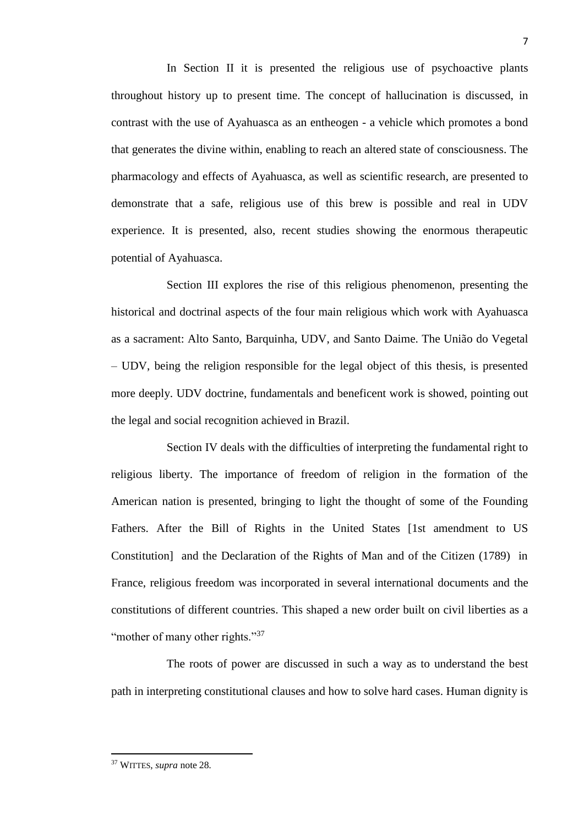In Section II it is presented the religious use of psychoactive plants throughout history up to present time. The concept of hallucination is discussed, in contrast with the use of Ayahuasca as an entheogen - a vehicle which promotes a bond that generates the divine within, enabling to reach an altered state of consciousness. The pharmacology and effects of Ayahuasca, as well as scientific research, are presented to demonstrate that a safe, religious use of this brew is possible and real in UDV experience. It is presented, also, recent studies showing the enormous therapeutic potential of Ayahuasca.

Section III explores the rise of this religious phenomenon, presenting the historical and doctrinal aspects of the four main religious which work with Ayahuasca as a sacrament: Alto Santo, Barquinha, UDV, and Santo Daime. The União do Vegetal – UDV, being the religion responsible for the legal object of this thesis, is presented more deeply. UDV doctrine, fundamentals and beneficent work is showed, pointing out the legal and social recognition achieved in Brazil.

Section IV deals with the difficulties of interpreting the fundamental right to religious liberty. The importance of freedom of religion in the formation of the American nation is presented, bringing to light the thought of some of the Founding Fathers. After the Bill of Rights in the United States [1st amendment to US Constitution] and the Declaration of the Rights of Man and of the Citizen (1789) in France, religious freedom was incorporated in several international documents and the constitutions of different countries. This shaped a new order built on civil liberties as a "mother of many other rights."<sup>37</sup>

The roots of power are discussed in such a way as to understand the best path in interpreting constitutional clauses and how to solve hard cases. Human dignity is

<sup>37</sup> WITTES, *supra* note 28*.*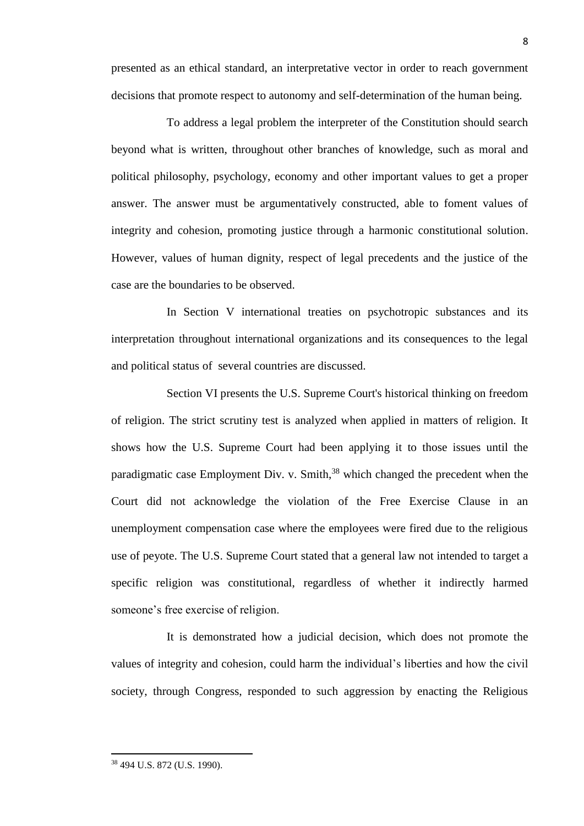presented as an ethical standard, an interpretative vector in order to reach government decisions that promote respect to autonomy and self-determination of the human being.

To address a legal problem the interpreter of the Constitution should search beyond what is written, throughout other branches of knowledge, such as moral and political philosophy, psychology, economy and other important values to get a proper answer. The answer must be argumentatively constructed, able to foment values of integrity and cohesion, promoting justice through a harmonic constitutional solution. However, values of human dignity, respect of legal precedents and the justice of the case are the boundaries to be observed.

In Section V international treaties on psychotropic substances and its interpretation throughout international organizations and its consequences to the legal and political status of several countries are discussed.

Section VI presents the U.S. Supreme Court's historical thinking on freedom of religion. The strict scrutiny test is analyzed when applied in matters of religion. It shows how the U.S. Supreme Court had been applying it to those issues until the paradigmatic case Employment Div. v. Smith, $38$  which changed the precedent when the Court did not acknowledge the violation of the Free Exercise Clause in an unemployment compensation case where the employees were fired due to the religious use of peyote. The U.S. Supreme Court stated that a general law not intended to target a specific religion was constitutional, regardless of whether it indirectly harmed someone's free exercise of religion.

It is demonstrated how a judicial decision, which does not promote the values of integrity and cohesion, could harm the individual's liberties and how the civil society, through Congress, responded to such aggression by enacting the Religious

<sup>38</sup> 494 U.S. 872 (U.S. 1990).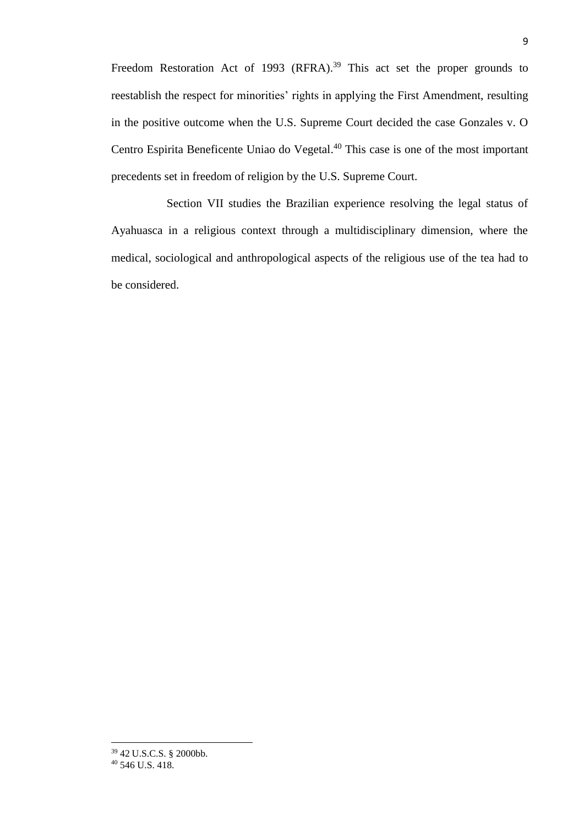Freedom Restoration Act of 1993 (RFRA).<sup>39</sup> This act set the proper grounds to reestablish the respect for minorities' rights in applying the First Amendment, resulting in the positive outcome when the U.S. Supreme Court decided the case Gonzales v. O Centro Espirita Beneficente Uniao do Vegetal. <sup>40</sup> This case is one of the most important precedents set in freedom of religion by the U.S. Supreme Court.

Section VII studies the Brazilian experience resolving the legal status of Ayahuasca in a religious context through a multidisciplinary dimension, where the medical, sociological and anthropological aspects of the religious use of the tea had to be considered.

<sup>39</sup> 42 U.S.C.S. § 2000bb.

<sup>40</sup> 546 U.S. 418.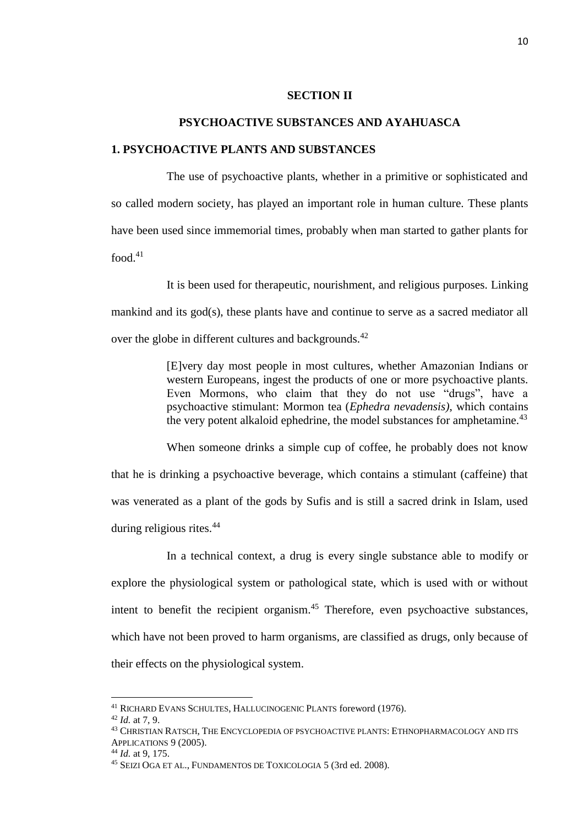### **SECTION II**

## **PSYCHOACTIVE SUBSTANCES AND AYAHUASCA**

#### **1. PSYCHOACTIVE PLANTS AND SUBSTANCES**

The use of psychoactive plants, whether in a primitive or sophisticated and so called modern society, has played an important role in human culture. These plants have been used since immemorial times, probably when man started to gather plants for food. $41$ 

It is been used for therapeutic, nourishment, and religious purposes. Linking mankind and its god(s), these plants have and continue to serve as a sacred mediator all over the globe in different cultures and backgrounds.<sup>42</sup>

> [E]very day most people in most cultures, whether Amazonian Indians or western Europeans, ingest the products of one or more psychoactive plants. Even Mormons, who claim that they do not use "drugs", have a psychoactive stimulant: Mormon tea (*Ephedra nevadensis)*, which contains the very potent alkaloid ephedrine, the model substances for amphetamine.<sup>43</sup>

When someone drinks a simple cup of coffee, he probably does not know that he is drinking a psychoactive beverage, which contains a stimulant (caffeine) that was venerated as a plant of the gods by Sufis and is still a sacred drink in Islam, used during religious rites.<sup>44</sup>

In a technical context, a drug is every single substance able to modify or explore the physiological system or pathological state, which is used with or without intent to benefit the recipient organism.<sup>45</sup> Therefore, even psychoactive substances, which have not been proved to harm organisms, are classified as drugs, only because of their effects on the physiological system.

<sup>&</sup>lt;sup>41</sup> RICHARD EVANS SCHULTES, HALLUCINOGENIC PLANTS foreword (1976).

<sup>42</sup> *Id.* at 7, 9.

<sup>43</sup> CHRISTIAN RATSCH, THE ENCYCLOPEDIA OF PSYCHOACTIVE PLANTS: ETHNOPHARMACOLOGY AND ITS APPLICATIONS 9 (2005).

<sup>44</sup> *Id.* at 9, 175.

<sup>45</sup> SEIZI OGA ET AL., FUNDAMENTOS DE TOXICOLOGIA 5 (3rd ed. 2008).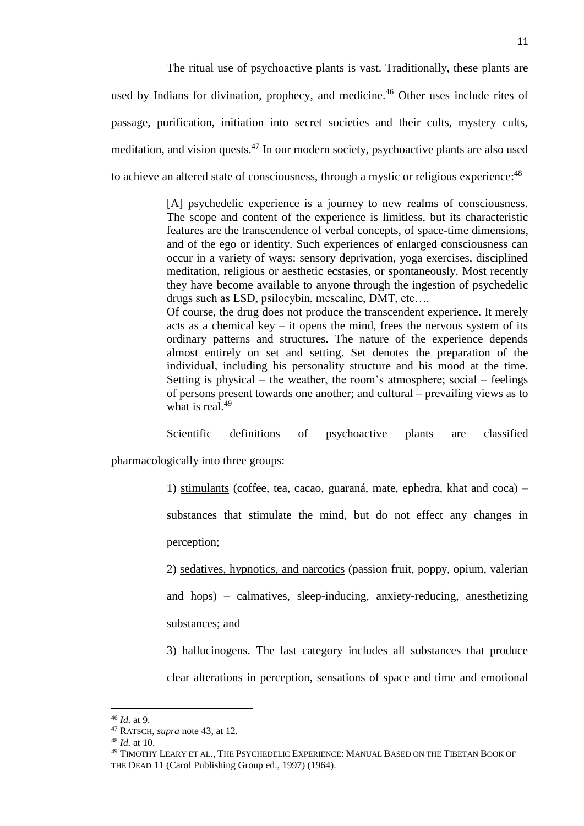The ritual use of psychoactive plants is vast. Traditionally, these plants are used by Indians for divination, prophecy, and medicine.<sup>46</sup> Other uses include rites of passage, purification, initiation into secret societies and their cults, mystery cults, meditation, and vision quests.<sup>47</sup> In our modern society, psychoactive plants are also used to achieve an altered state of consciousness, through a mystic or religious experience:<sup>48</sup>

> [A] psychedelic experience is a journey to new realms of consciousness. The scope and content of the experience is limitless, but its characteristic features are the transcendence of verbal concepts, of space-time dimensions, and of the ego or identity. Such experiences of enlarged consciousness can occur in a variety of ways: sensory deprivation, yoga exercises, disciplined meditation, religious or aesthetic ecstasies, or spontaneously. Most recently they have become available to anyone through the ingestion of psychedelic drugs such as LSD, psilocybin, mescaline, DMT, etc….

> Of course, the drug does not produce the transcendent experience. It merely acts as a chemical key – it opens the mind, frees the nervous system of its ordinary patterns and structures. The nature of the experience depends almost entirely on set and setting. Set denotes the preparation of the individual, including his personality structure and his mood at the time. Setting is physical – the weather, the room's atmosphere; social – feelings of persons present towards one another; and cultural – prevailing views as to what is real. $49$

Scientific definitions of psychoactive plants are classified pharmacologically into three groups:

1) stimulants (coffee, tea, cacao, guaraná, mate, ephedra, khat and coca) –

substances that stimulate the mind, but do not effect any changes in perception;

2) sedatives, hypnotics, and narcotics (passion fruit, poppy, opium, valerian and hops) – calmatives, sleep-inducing, anxiety-reducing, anesthetizing substances; and

3) hallucinogens. The last category includes all substances that produce clear alterations in perception, sensations of space and time and emotional

<sup>46</sup> *Id.* at 9.

<sup>47</sup> RATSCH, *supra* note 43, at 12.

<sup>48</sup> *Id.* at 10.

<sup>49</sup> TIMOTHY LEARY ET AL., THE PSYCHEDELIC EXPERIENCE: MANUAL BASED ON THE TIBETAN BOOK OF THE DEAD 11 (Carol Publishing Group ed., 1997) (1964).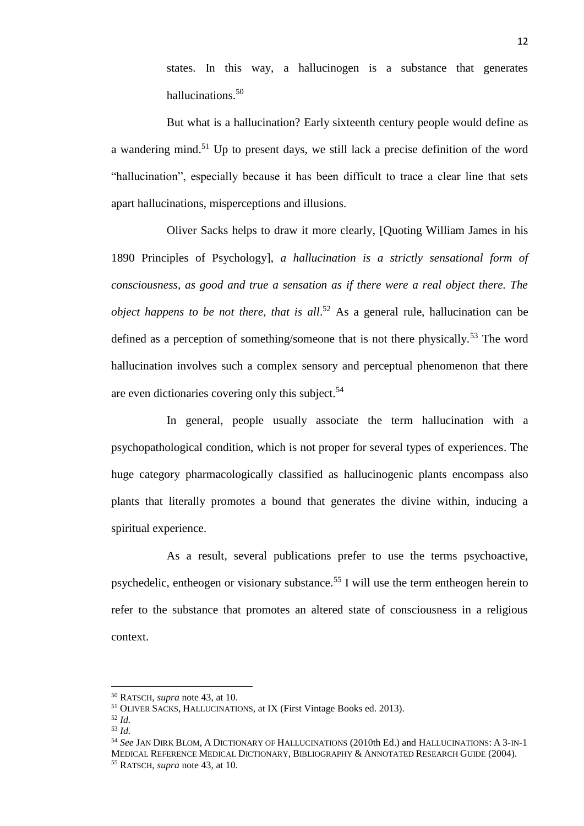states. In this way, a hallucinogen is a substance that generates hallucinations.<sup>50</sup>

But what is a hallucination? Early sixteenth century people would define as a wandering mind.<sup>51</sup> Up to present days, we still lack a precise definition of the word "hallucination", especially because it has been difficult to trace a clear line that sets apart hallucinations, misperceptions and illusions.

Oliver Sacks helps to draw it more clearly, [Quoting William James in his 1890 Principles of Psychology], *a hallucination is a strictly sensational form of consciousness, as good and true a sensation as if there were a real object there. The object happens to be not there, that is all*.<sup>52</sup> As a general rule, hallucination can be defined as a perception of something/someone that is not there physically.<sup>53</sup> The word hallucination involves such a complex sensory and perceptual phenomenon that there are even dictionaries covering only this subject. $54$ 

In general, people usually associate the term hallucination with a psychopathological condition, which is not proper for several types of experiences. The huge category pharmacologically classified as hallucinogenic plants encompass also plants that literally promotes a bound that generates the divine within, inducing a spiritual experience.

As a result, several publications prefer to use the terms psychoactive, psychedelic, entheogen or visionary substance.<sup>55</sup> I will use the term entheogen herein to refer to the substance that promotes an altered state of consciousness in a religious context.

<sup>50</sup> RATSCH, *supra* note 43, at 10.

<sup>&</sup>lt;sup>51</sup> OLIVER SACKS, HALLUCINATIONS, at IX (First Vintage Books ed. 2013).

<sup>52</sup> *Id.* 

<sup>53</sup> *Id.*

<sup>54</sup> *See* JAN DIRK BLOM, A DICTIONARY OF HALLUCINATIONS (2010th Ed.) and HALLUCINATIONS: A 3-IN-1 MEDICAL REFERENCE MEDICAL DICTIONARY, BIBLIOGRAPHY & ANNOTATED RESEARCH GUIDE (2004). <sup>55</sup> RATSCH, *supra* note 43, at 10.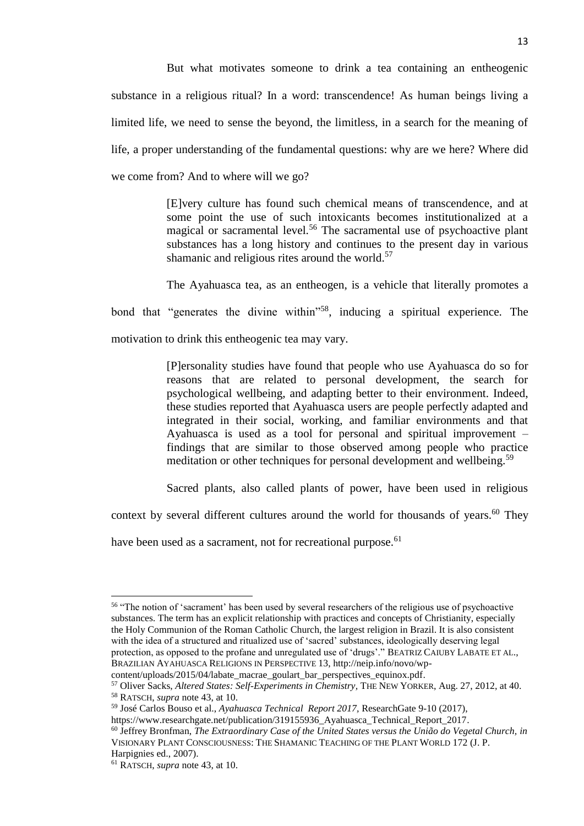But what motivates someone to drink a tea containing an entheogenic substance in a religious ritual? In a word: transcendence! As human beings living a limited life, we need to sense the beyond, the limitless, in a search for the meaning of life, a proper understanding of the fundamental questions: why are we here? Where did we come from? And to where will we go?

> [E]very culture has found such chemical means of transcendence, and at some point the use of such intoxicants becomes institutionalized at a magical or sacramental level.<sup>56</sup> The sacramental use of psychoactive plant substances has a long history and continues to the present day in various shamanic and religious rites around the world.<sup>57</sup>

The Ayahuasca tea, as an entheogen, is a vehicle that literally promotes a bond that "generates the divine within"<sup>58</sup>, inducing a spiritual experience. The motivation to drink this entheogenic tea may vary.

> [P]ersonality studies have found that people who use Ayahuasca do so for reasons that are related to personal development, the search for psychological wellbeing, and adapting better to their environment. Indeed, these studies reported that Ayahuasca users are people perfectly adapted and integrated in their social, working, and familiar environments and that Ayahuasca is used as a tool for personal and spiritual improvement – findings that are similar to those observed among people who practice meditation or other techniques for personal development and wellbeing.<sup>59</sup>

> Sacred plants, also called plants of power, have been used in religious

context by several different cultures around the world for thousands of years.<sup>60</sup> They

have been used as a sacrament, not for recreational purpose.  $61$ 

 $\overline{a}$ <sup>56</sup> "The notion of 'sacrament' has been used by several researchers of the religious use of psychoactive substances. The term has an explicit relationship with practices and concepts of Christianity, especially the Holy Communion of the Roman Catholic Church, the largest religion in Brazil. It is also consistent with the idea of a structured and ritualized use of 'sacred' substances, ideologically deserving legal protection, as opposed to the profane and unregulated use of 'drugs'." BEATRIZ CAIUBY LABATE ET AL., BRAZILIAN AYAHUASCA RELIGIONS IN PERSPECTIVE 13, http://neip.info/novo/wp-

content/uploads/2015/04/labate\_macrae\_goulart\_bar\_perspectives\_equinox.pdf.

<sup>57</sup> Oliver Sacks, *Altered States: Self-Experiments in Chemistry,* THE NEW YORKER, Aug. 27, 2012, at 40. <sup>58</sup> RATSCH, *supra* note 43, at 10.

<sup>59</sup> José Carlos Bouso et al., *Ayahuasca Technical Report 2017,* ResearchGate 9-10 (2017),

https://www.researchgate.net/publication/319155936\_Ayahuasca\_Technical\_Report\_2017. <sup>60</sup> Jeffrey Bronfman, *The Extraordinary Case of the United States versus the União do Vegetal Church, in* 

VISIONARY PLANT CONSCIOUSNESS: THE SHAMANIC TEACHING OF THE PLANT WORLD 172 (J. P. Harpignies ed., 2007).

<sup>61</sup> RATSCH, *supra* note 43, at 10.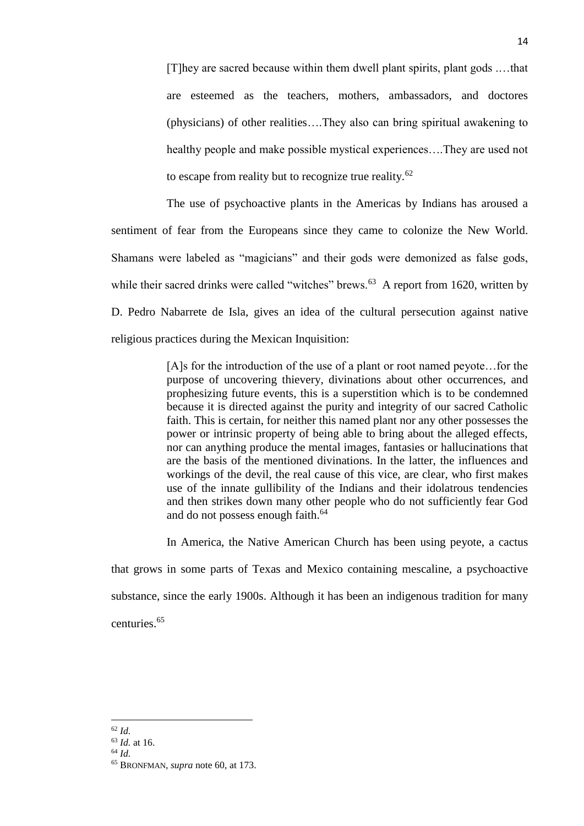[T]hey are sacred because within them dwell plant spirits, plant gods .…that are esteemed as the teachers, mothers, ambassadors, and doctores (physicians) of other realities….They also can bring spiritual awakening to healthy people and make possible mystical experiences….They are used not to escape from reality but to recognize true reality.<sup>62</sup>

The use of psychoactive plants in the Americas by Indians has aroused a sentiment of fear from the Europeans since they came to colonize the New World. Shamans were labeled as "magicians" and their gods were demonized as false gods, while their sacred drinks were called "witches" brews. $63$  A report from 1620, written by D. Pedro Nabarrete de Isla, gives an idea of the cultural persecution against native religious practices during the Mexican Inquisition:

> [A]s for the introduction of the use of a plant or root named peyote…for the purpose of uncovering thievery, divinations about other occurrences, and prophesizing future events, this is a superstition which is to be condemned because it is directed against the purity and integrity of our sacred Catholic faith. This is certain, for neither this named plant nor any other possesses the power or intrinsic property of being able to bring about the alleged effects, nor can anything produce the mental images, fantasies or hallucinations that are the basis of the mentioned divinations. In the latter, the influences and workings of the devil, the real cause of this vice, are clear, who first makes use of the innate gullibility of the Indians and their idolatrous tendencies and then strikes down many other people who do not sufficiently fear God and do not possess enough faith.<sup>64</sup>

> In America, the Native American Church has been using peyote, a cactus

that grows in some parts of Texas and Mexico containing mescaline, a psychoactive substance, since the early 1900s. Although it has been an indigenous tradition for many centuries.<sup>65</sup>

 $\overline{\phantom{a}}$ <sup>62</sup> *Id.*

<sup>63</sup> *Id.* at 16.

<sup>64</sup> *Id.*

<sup>65</sup> BRONFMAN, *supra* note 60, at 173.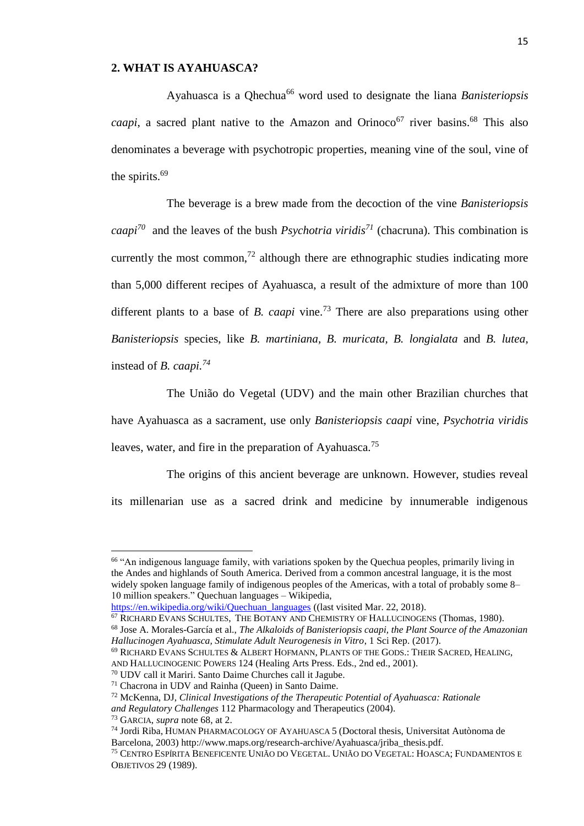## **2. WHAT IS AYAHUASCA?**

Ayahuasca is a Qhechua<sup>66</sup> word used to designate the liana *Banisteriopsis* caapi, a sacred plant native to the Amazon and Orinoco<sup>67</sup> river basins.<sup>68</sup> This also denominates a beverage with psychotropic properties, meaning vine of the soul, vine of the spirits.<sup>69</sup>

The beverage is a brew made from the decoction of the vine *Banisteriopsis caapi<sup>70</sup>* and the leaves of the bush *Psychotria viridis<sup>71</sup>* (chacruna). This combination is currently the most common,<sup>72</sup> although there are ethnographic studies indicating more than 5,000 different recipes of Ayahuasca, a result of the admixture of more than 100 different plants to a base of *B. caapi* vine.<sup>73</sup> There are also preparations using other *Banisteriopsis* species, like *B. martiniana, B. muricata, B. longialata* and *B. lutea,*  instead of *B. caapi.<sup>74</sup>*

The União do Vegetal (UDV) and the main other Brazilian churches that have Ayahuasca as a sacrament, use only *Banisteriopsis caapi* vine, *Psychotria viridis* leaves, water, and fire in the preparation of Ayahuasca.<sup>75</sup>

The origins of this ancient beverage are unknown. However, studies reveal its millenarian use as a sacred drink and medicine by innumerable indigenous

<sup>66</sup> "An indigenous language family, with variations spoken by the Quechua peoples, primarily living in the Andes and highlands of South America. Derived from a common ancestral language, it is the most widely spoken language family of indigenous peoples of the Americas, with a total of probably some 8– 10 million speakers." Quechuan languages – Wikipedia,

[https://en.wikipedia.org/wiki/Quechuan\\_languages](https://en.wikipedia.org/wiki/Quechuan_languages) ((last visited Mar. 22, 2018).

<sup>&</sup>lt;sup>67</sup> RICHARD EVANS SCHULTES, THE BOTANY AND CHEMISTRY OF HALLUCINOGENS (Thomas, 1980). <sup>68</sup> Jose A. Morales-García et al., *The Alkaloids of Banisteriopsis caapi, the Plant Source of the Amazonian Hallucinogen Ayahuasca, Stimulate Adult Neurogenesis in Vitro*, 1 Sci Rep. (2017).

<sup>69</sup> RICHARD EVANS SCHULTES & ALBERT HOFMANN, PLANTS OF THE GODS.: THEIR SACRED, HEALING, AND HALLUCINOGENIC POWERS 124 (Healing Arts Press. Eds., 2nd ed., 2001).

<sup>70</sup> UDV call it Mariri. Santo Daime Churches call it Jagube.

<sup>71</sup> Chacrona in UDV and Rainha (Queen) in Santo Daime.

<sup>72</sup> McKenna, DJ, *Clinical Investigations of the Therapeutic Potential of Ayahuasca: Rationale and Regulatory Challenges* 112 Pharmacology and Therapeutics (2004).

<sup>73</sup> GARCIA, *supra* note 68, at 2.

<sup>74</sup> Jordi Riba, HUMAN PHARMACOLOGY OF AYAHUASCA 5 (Doctoral thesis, Universitat Autònoma de Barcelona, 2003) http://www.maps.org/research-archive/Ayahuasca/jriba\_thesis.pdf.

<sup>75</sup> CENTRO ESPÍRITA BENEFICENTE UNIÃO DO VEGETAL. UNIÃO DO VEGETAL: HOASCA; FUNDAMENTOS E OBJETIVOS 29 (1989).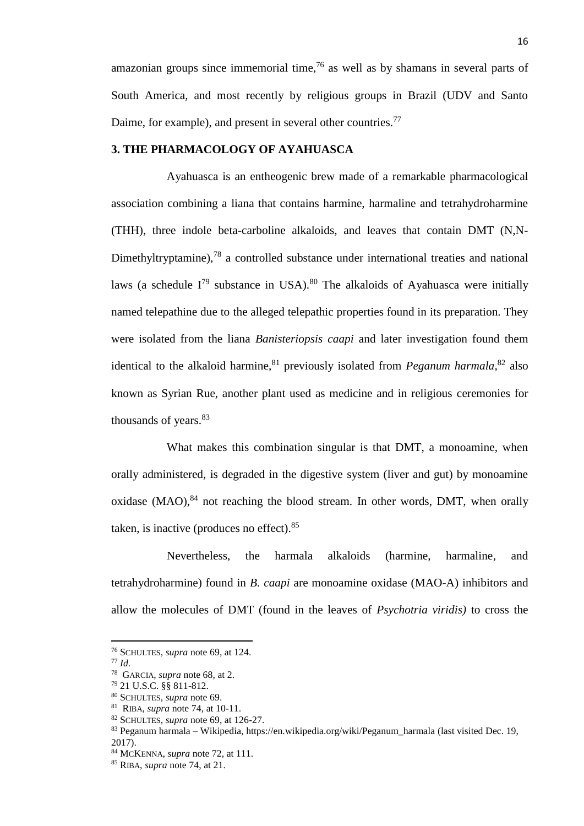amazonian groups since immemorial time,  $76$  as well as by shamans in several parts of South America, and most recently by religious groups in Brazil (UDV and Santo Daime, for example), and present in several other countries.<sup>77</sup>

#### **3. THE PHARMACOLOGY OF AYAHUASCA**

Ayahuasca is an entheogenic brew made of a remarkable pharmacological association combining a liana that contains harmine, harmaline and tetrahydroharmine (THH), three indole beta-carboline alkaloids, and leaves that contain DMT (N,N-Dimethyltryptamine),<sup>78</sup> a controlled substance under international treaties and national laws (a schedule  $I^{79}$  substance in USA).<sup>80</sup> The alkaloids of Ayahuasca were initially named telepathine due to the alleged telepathic properties found in its preparation. They were isolated from the liana *Banisteriopsis caapi* and later investigation found them identical to the alkaloid harmine,<sup>81</sup> previously isolated from *Peganum harmala*,<sup>82</sup> also known as Syrian Rue, another plant used as medicine and in religious ceremonies for thousands of years.<sup>83</sup>

What makes this combination singular is that DMT, a monoamine, when orally administered, is degraded in the digestive system (liver and gut) by monoamine oxidase  $(MAO)$ ,  $84$  not reaching the blood stream. In other words, DMT, when orally taken, is inactive (produces no effect).  $85$ 

Nevertheless, the harmala alkaloids (harmine, harmaline, and tetrahydroharmine) found in *B. caapi* are monoamine oxidase (MAO-A) inhibitors and allow the molecules of DMT (found in the leaves of *Psychotria viridis)* to cross the

<sup>76</sup> SCHULTES, *supra* note 69, at 124.

<sup>77</sup> *Id.*

<sup>78</sup> GARCIA, *supra* note 68, at 2.

<sup>79</sup> 21 U.S.C. §§ 811-812.

<sup>80</sup> SCHULTES, *supra* note 69.

<sup>81</sup> RIBA, *supra* note 74, at 10-11.

<sup>82</sup> SCHULTES, *supra* note 69, at 126-27.

<sup>83</sup> Peganum harmala – Wikipedia, https://en.wikipedia.org/wiki/Peganum\_harmala (last visited Dec. 19, 2017).

<sup>84</sup> MCKENNA, *supra* note 72, at 111.

<sup>85</sup> RIBA, *supra* note 74, at 21.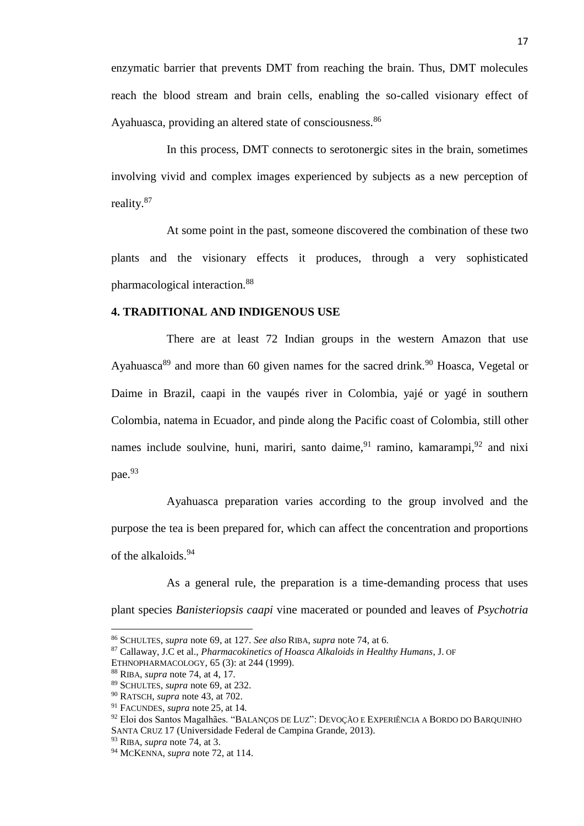enzymatic barrier that prevents DMT from reaching the brain. Thus, DMT molecules reach the blood stream and brain cells, enabling the so-called visionary effect of Ayahuasca, providing an altered state of consciousness.<sup>86</sup>

In this process, DMT connects to serotonergic sites in the brain, sometimes involving vivid and complex images experienced by subjects as a new perception of reality.<sup>87</sup>

At some point in the past, someone discovered the combination of these two plants and the visionary effects it produces, through a very sophisticated pharmacological interaction.<sup>88</sup>

## **4. TRADITIONAL AND INDIGENOUS USE**

There are at least 72 Indian groups in the western Amazon that use Ayahuasca<sup>89</sup> and more than 60 given names for the sacred drink.<sup>90</sup> Hoasca, Vegetal or Daime in Brazil, caapi in the vaupés river in Colombia, yajé or yagé in southern Colombia, natema in Ecuador, and pinde along the Pacific coast of Colombia, still other names include soulvine, huni, mariri, santo daime,  $91$  ramino, kamarampi,  $92$  and nixi pae.<sup>93</sup>

Ayahuasca preparation varies according to the group involved and the purpose the tea is been prepared for, which can affect the concentration and proportions of the alkaloids.<sup>94</sup>

As a general rule, the preparation is a time-demanding process that uses plant species *Banisteriopsis caapi* vine macerated or pounded and leaves of *Psychotria* 

l

<sup>86</sup> SCHULTES, *supra* note 69, at 127. *See also* RIBA, *supra* note 74, at 6.

<sup>87</sup> Callaway, J.C et al., *Pharmacokinetics of Hoasca Alkaloids in Healthy Humans*, J. OF

ETHNOPHARMACOLOGY, 65 (3): at 244 (1999).

<sup>88</sup> RIBA, *supra* note 74, at 4, 17.

<sup>89</sup> SCHULTES, *supra* note 69, at 232.

<sup>90</sup> RATSCH, *supra* note 43, at 702.

<sup>91</sup> FACUNDES, *supra* note 25, at 14*.*

<sup>92</sup> Eloi dos Santos Magalhães. "BALANÇOS DE LUZ": DEVOÇÃO E EXPERIÊNCIA A BORDO DO BARQUINHO SANTA CRUZ 17 (Universidade Federal de Campina Grande, 2013).

<sup>93</sup> RIBA, *supra* note 74, at 3.

<sup>94</sup> MCKENNA, *supra* note 72, at 114.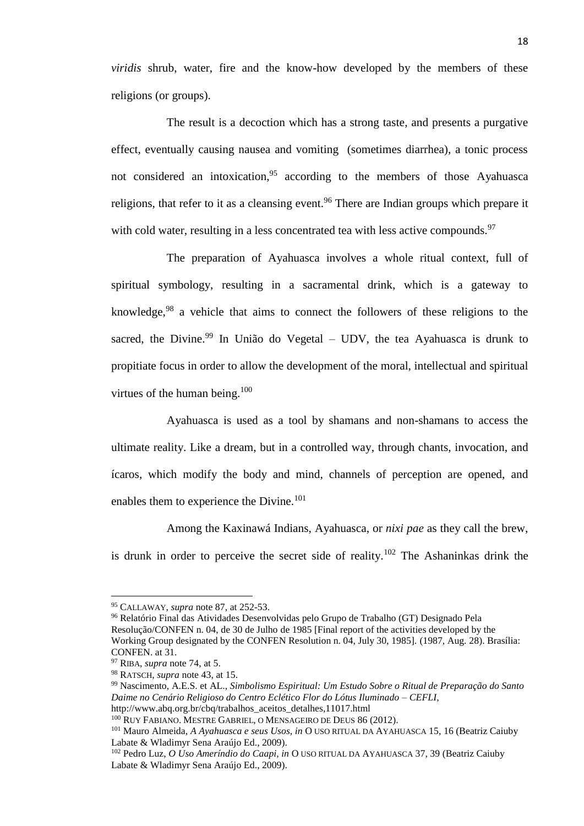*viridis* shrub, water, fire and the know-how developed by the members of these religions (or groups).

The result is a decoction which has a strong taste, and presents a purgative effect, eventually causing nausea and vomiting (sometimes diarrhea), a tonic process not considered an intoxication,  $95$  according to the members of those Ayahuasca religions, that refer to it as a cleansing event.<sup>96</sup> There are Indian groups which prepare it with cold water, resulting in a less concentrated tea with less active compounds.<sup>97</sup>

The preparation of Ayahuasca involves a whole ritual context, full of spiritual symbology, resulting in a sacramental drink, which is a gateway to knowledge,  $98$  a vehicle that aims to connect the followers of these religions to the sacred, the Divine.<sup>99</sup> In União do Vegetal – UDV, the tea Ayahuasca is drunk to propitiate focus in order to allow the development of the moral, intellectual and spiritual virtues of the human being.<sup>100</sup>

Ayahuasca is used as a tool by shamans and non-shamans to access the ultimate reality. Like a dream, but in a controlled way, through chants, invocation, and ícaros, which modify the body and mind, channels of perception are opened, and enables them to experience the Divine.<sup>101</sup>

Among the Kaxinawá Indians, Ayahuasca, or *nixi pae* as they call the brew, is drunk in order to perceive the secret side of reality.<sup>102</sup> The Ashaninkas drink the

<sup>95</sup> CALLAWAY, *supra* note 87, at 252-53.

<sup>96</sup> Relatório Final das Atividades Desenvolvidas pelo Grupo de Trabalho (GT) Designado Pela Resolução/CONFEN n. 04, de 30 de Julho de 1985 [Final report of the activities developed by the Working Group designated by the CONFEN Resolution n. 04, July 30, 1985]. (1987, Aug. 28). Brasília: CONFEN. at 31.

<sup>97</sup> RIBA, *supra* note 74, at 5.

<sup>98</sup> RATSCH, *supra* note 43, at 15.

<sup>99</sup> Nascimento, A.E.S. et AL., *Simbolismo Espiritual: Um Estudo Sobre o Ritual de Preparação do Santo Daime no Cenário Religioso do Centro Eclético Flor do Lótus Iluminado – CEFLI*, http://www.abq.org.br/cbq/trabalhos\_aceitos\_detalhes,11017.html

<sup>100</sup> RUY FABIANO. MESTRE GABRIEL, O MENSAGEIRO DE DEUS 86 (2012).

<sup>101</sup> Mauro Almeida, *A Ayahuasca e seus Usos, in* O USO RITUAL DA AYAHUASCA 15, 16 (Beatriz Caiuby Labate & Wladimyr Sena Araújo Ed., 2009).

<sup>102</sup> Pedro Luz, *O Uso Ameríndio do Caapi, in* O USO RITUAL DA AYAHUASCA 37, 39 (Beatriz Caiuby Labate & Wladimyr Sena Araújo Ed., 2009).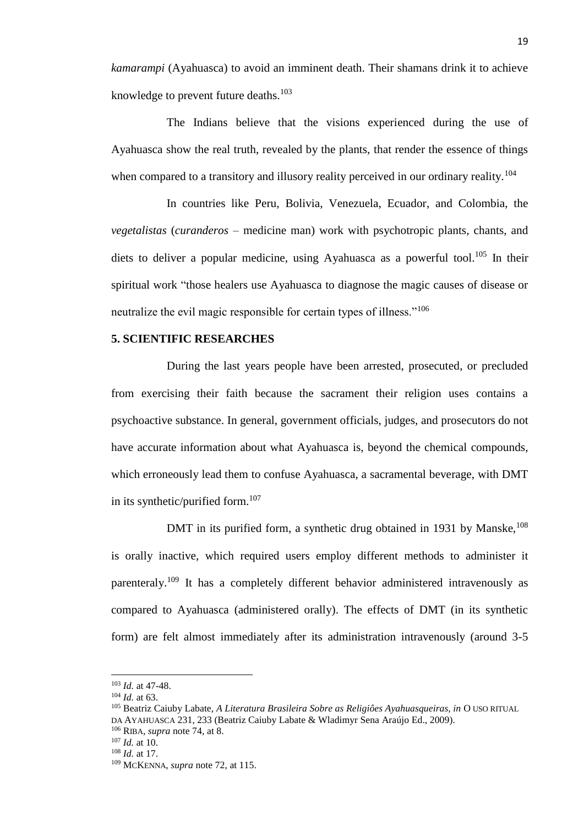*kamarampi* (Ayahuasca) to avoid an imminent death. Their shamans drink it to achieve knowledge to prevent future deaths.<sup>103</sup>

The Indians believe that the visions experienced during the use of Ayahuasca show the real truth, revealed by the plants, that render the essence of things when compared to a transitory and illusory reality perceived in our ordinary reality.<sup>104</sup>

In countries like Peru, Bolivia, Venezuela, Ecuador, and Colombia, the *vegetalistas* (*curanderos –* medicine man) work with psychotropic plants, chants, and diets to deliver a popular medicine, using Ayahuasca as a powerful tool.<sup>105</sup> In their spiritual work "those healers use Ayahuasca to diagnose the magic causes of disease or neutralize the evil magic responsible for certain types of illness."<sup>106</sup>

## **5. SCIENTIFIC RESEARCHES**

During the last years people have been arrested, prosecuted, or precluded from exercising their faith because the sacrament their religion uses contains a psychoactive substance. In general, government officials, judges, and prosecutors do not have accurate information about what Ayahuasca is, beyond the chemical compounds, which erroneously lead them to confuse Ayahuasca, a sacramental beverage, with DMT in its synthetic/purified form.<sup>107</sup>

DMT in its purified form, a synthetic drug obtained in 1931 by Manske, <sup>108</sup> is orally inactive, which required users employ different methods to administer it parenteraly.<sup>109</sup> It has a completely different behavior administered intravenously as compared to Ayahuasca (administered orally). The effects of DMT (in its synthetic form) are felt almost immediately after its administration intravenously (around 3-5

<sup>103</sup> *Id.* at 47-48.

<sup>104</sup> *Id.* at 63.

<sup>&</sup>lt;sup>105</sup> Beatriz Caiuby Labate, *A Literatura Brasileira Sobre as Religiôes Ayahuasqueiras, in* O USO RITUAL DA AYAHUASCA 231, 233 (Beatriz Caiuby Labate & Wladimyr Sena Araújo Ed., 2009).

<sup>106</sup> RIBA, *supra* note 74, at 8.

<sup>107</sup> *Id.* at 10.

<sup>108</sup> *Id.* at 17.

<sup>109</sup> MCKENNA, *supra* note 72, at 115.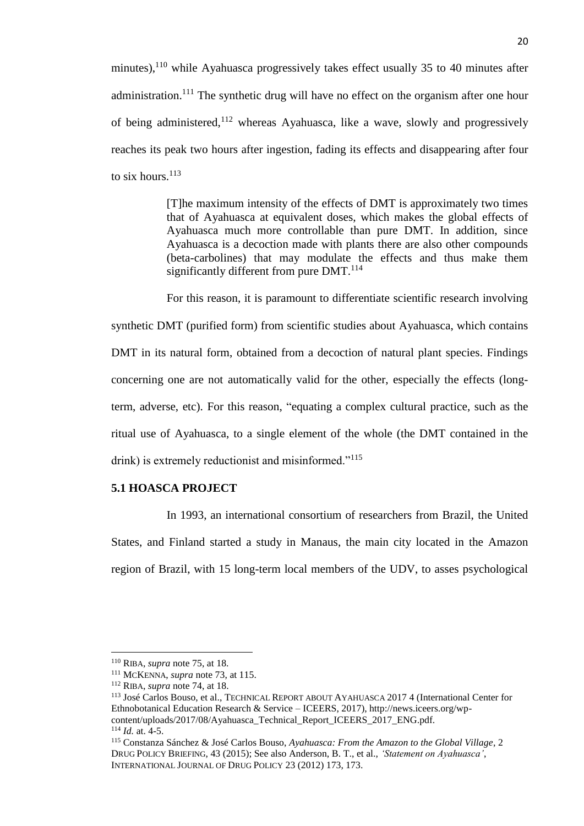minutes),  $110$  while Ayahuasca progressively takes effect usually 35 to 40 minutes after administration.<sup>111</sup> The synthetic drug will have no effect on the organism after one hour of being administered, $112$  whereas Ayahuasca, like a wave, slowly and progressively reaches its peak two hours after ingestion, fading its effects and disappearing after four to six hours.<sup>113</sup>

> [T]he maximum intensity of the effects of DMT is approximately two times that of Ayahuasca at equivalent doses, which makes the global effects of Ayahuasca much more controllable than pure DMT. In addition, since Ayahuasca is a decoction made with plants there are also other compounds (beta-carbolines) that may modulate the effects and thus make them significantly different from pure DMT.<sup>114</sup>

For this reason, it is paramount to differentiate scientific research involving synthetic DMT (purified form) from scientific studies about Ayahuasca, which contains DMT in its natural form, obtained from a decoction of natural plant species. Findings concerning one are not automatically valid for the other, especially the effects (longterm, adverse, etc). For this reason, "equating a complex cultural practice, such as the ritual use of Ayahuasca, to a single element of the whole (the DMT contained in the drink) is extremely reductionist and misinformed."<sup>115</sup>

## **5.1 HOASCA PROJECT**

In 1993, an international consortium of researchers from Brazil, the United States, and Finland started a study in Manaus, the main city located in the Amazon region of Brazil, with 15 long-term local members of the UDV, to asses psychological

<sup>110</sup> RIBA, *supra* note 75, at 18.

<sup>111</sup> MCKENNA, *supra* note 73, at 115.

<sup>112</sup> RIBA, *supra* note 74, at 18.

<sup>113</sup> José Carlos Bouso, et al., TECHNICAL REPORT ABOUT AYAHUASCA 2017 4 (International Center for Ethnobotanical Education Research & Service – ICEERS, 2017), http://news.iceers.org/wpcontent/uploads/2017/08/Ayahuasca\_Technical\_Report\_ICEERS\_2017\_ENG.pdf. <sup>114</sup> *Id.* at. 4-5.

<sup>115</sup> Constanza Sánchez & José Carlos Bouso, *Ayahuasca: From the Amazon to the Global Village*, 2 DRUG POLICY BRIEFING, 43 (2015); See also Anderson, B. T., et al., *'Statement on Ayahuasca'*, INTERNATIONAL JOURNAL OF DRUG POLICY 23 (2012) 173, 173.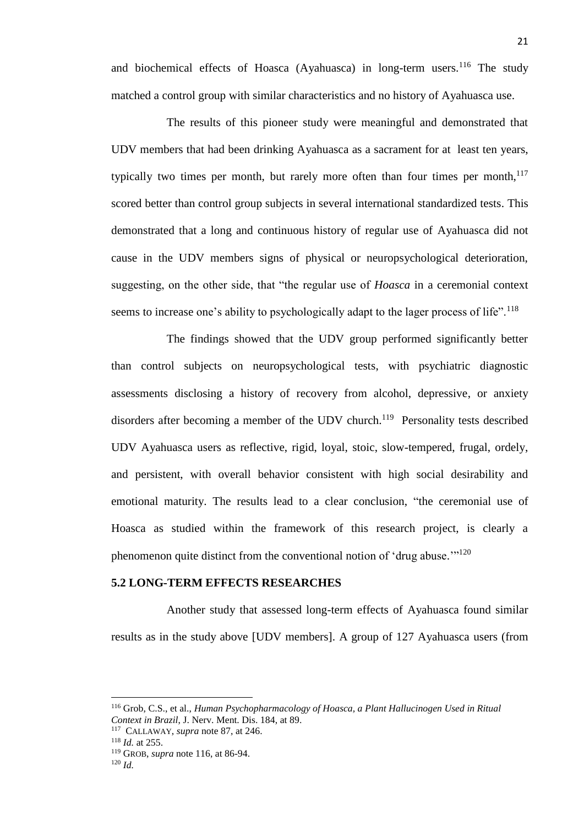and biochemical effects of Hoasca (Ayahuasca) in long-term users.<sup>116</sup> The study matched a control group with similar characteristics and no history of Ayahuasca use.

The results of this pioneer study were meaningful and demonstrated that UDV members that had been drinking Ayahuasca as a sacrament for at least ten years, typically two times per month, but rarely more often than four times per month, $117$ scored better than control group subjects in several international standardized tests. This demonstrated that a long and continuous history of regular use of Ayahuasca did not cause in the UDV members signs of physical or neuropsychological deterioration, suggesting, on the other side, that "the regular use of *Hoasca* in a ceremonial context seems to increase one's ability to psychologically adapt to the lager process of life".<sup>118</sup>

The findings showed that the UDV group performed significantly better than control subjects on neuropsychological tests, with psychiatric diagnostic assessments disclosing a history of recovery from alcohol, depressive, or anxiety disorders after becoming a member of the UDV church.<sup>119</sup> Personality tests described UDV Ayahuasca users as reflective, rigid, loyal, stoic, slow-tempered, frugal, ordely, and persistent, with overall behavior consistent with high social desirability and emotional maturity. The results lead to a clear conclusion, "the ceremonial use of Hoasca as studied within the framework of this research project, is clearly a phenomenon quite distinct from the conventional notion of 'drug abuse."<sup>120</sup>

### **5.2 LONG-TERM EFFECTS RESEARCHES**

Another study that assessed long-term effects of Ayahuasca found similar results as in the study above [UDV members]. A group of 127 Ayahuasca users (from

<sup>118</sup> *Id.* at 255.

<sup>116</sup> Grob, C.S., et al., *Human Psychopharmacology of Hoasca, a Plant Hallucinogen Used in Ritual Context in Brazil*, J. Nerv. Ment. Dis. 184, at 89.

<sup>117</sup> CALLAWAY, *supra* note 87, at 246.

<sup>119</sup> GROB, *supra* note 116, at 86-94. <sup>120</sup> *Id.*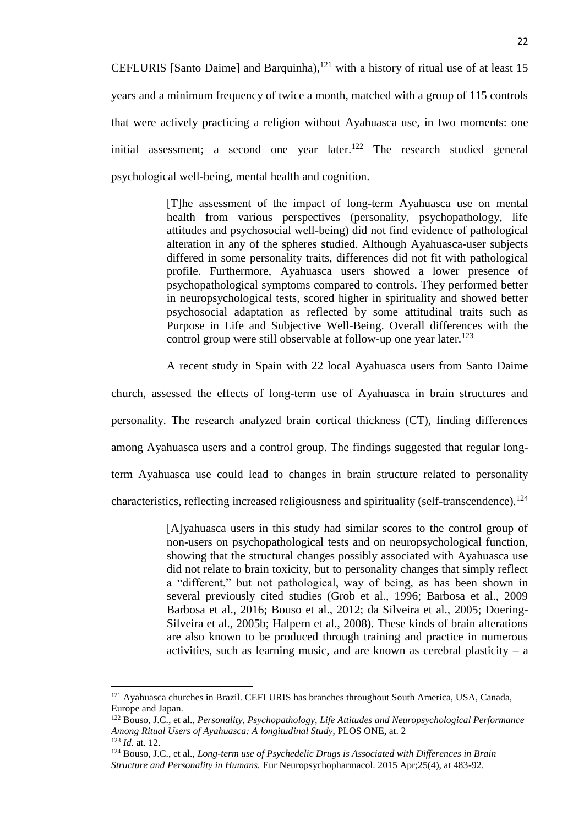CEFLURIS [Santo Daime] and Barquinha), $^{121}$  with a history of ritual use of at least 15 years and a minimum frequency of twice a month, matched with a group of 115 controls that were actively practicing a religion without Ayahuasca use, in two moments: one initial assessment; a second one year later.<sup>122</sup> The research studied general psychological well-being, mental health and cognition.

> [T]he assessment of the impact of long-term Ayahuasca use on mental health from various perspectives (personality, psychopathology, life attitudes and psychosocial well-being) did not find evidence of pathological alteration in any of the spheres studied. Although Ayahuasca-user subjects differed in some personality traits, differences did not fit with pathological profile. Furthermore, Ayahuasca users showed a lower presence of psychopathological symptoms compared to controls. They performed better in neuropsychological tests, scored higher in spirituality and showed better psychosocial adaptation as reflected by some attitudinal traits such as Purpose in Life and Subjective Well-Being. Overall differences with the control group were still observable at follow-up one year later.<sup>123</sup>

> A recent study in Spain with 22 local Ayahuasca users from Santo Daime

church, assessed the effects of long-term use of Ayahuasca in brain structures and personality. The research analyzed brain cortical thickness (CT), finding differences among Ayahuasca users and a control group. The findings suggested that regular longterm Ayahuasca use could lead to changes in brain structure related to personality characteristics, reflecting increased religiousness and spirituality (self-transcendence).<sup>124</sup>

> [A]yahuasca users in this study had similar scores to the control group of non-users on psychopathological tests and on neuropsychological function, showing that the structural changes possibly associated with Ayahuasca use did not relate to brain toxicity, but to personality changes that simply reflect a "different," but not pathological, way of being, as has been shown in several previously cited studies (Grob et al., 1996; Barbosa et al., 2009 Barbosa et al., 2016; Bouso et al., 2012; da Silveira et al., 2005; Doering-Silveira et al., 2005b; Halpern et al., 2008). These kinds of brain alterations are also known to be produced through training and practice in numerous activities, such as learning music, and are known as cerebral plasticity  $-$  a

<sup>121</sup> Ayahuasca churches in Brazil. CEFLURIS has branches throughout South America, USA, Canada, Europe and Japan.

<sup>122</sup> Bouso, J.C., et al., *Personality, Psychopathology, Life Attitudes and Neuropsychological Performance Among Ritual Users of Ayahuasca: A longitudinal Study,* PLOS ONE, at. 2 <sup>123</sup> *Id.* at. 12.

<sup>124</sup> Bouso, J.C., et al., *Long-term use of Psychedelic Drugs is Associated with Differences in Brain Structure and Personality in Humans.* Eur Neuropsychopharmacol. 2015 Apr;25(4), at 483-92.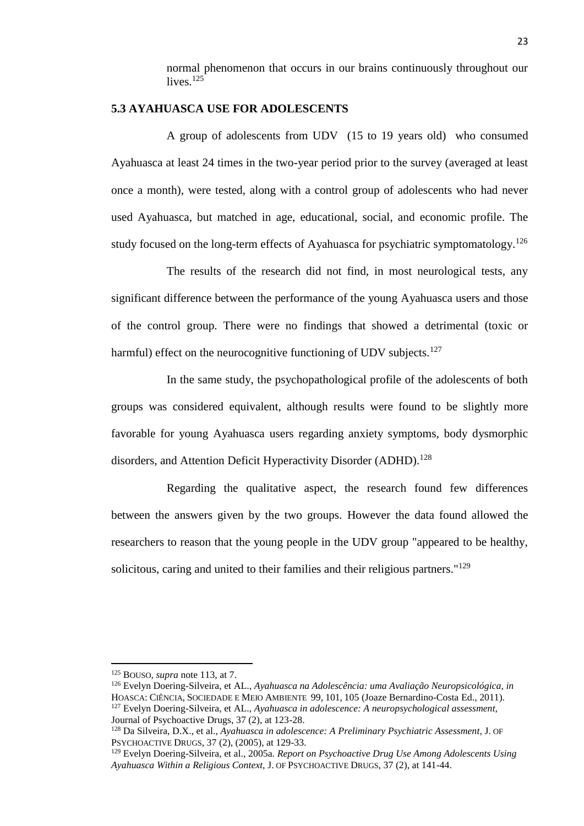normal phenomenon that occurs in our brains continuously throughout our lives $125$ 

## **5.3 AYAHUASCA USE FOR ADOLESCENTS**

A group of adolescents from UDV (15 to 19 years old) who consumed Ayahuasca at least 24 times in the two-year period prior to the survey (averaged at least once a month), were tested, along with a control group of adolescents who had never used Ayahuasca, but matched in age, educational, social, and economic profile. The study focused on the long-term effects of Ayahuasca for psychiatric symptomatology.<sup>126</sup>

The results of the research did not find, in most neurological tests, any significant difference between the performance of the young Ayahuasca users and those of the control group. There were no findings that showed a detrimental (toxic or harmful) effect on the neurocognitive functioning of UDV subjects.<sup>127</sup>

In the same study, the psychopathological profile of the adolescents of both groups was considered equivalent, although results were found to be slightly more favorable for young Ayahuasca users regarding anxiety symptoms, body dysmorphic disorders, and Attention Deficit Hyperactivity Disorder (ADHD).<sup>128</sup>

Regarding the qualitative aspect, the research found few differences between the answers given by the two groups. However the data found allowed the researchers to reason that the young people in the UDV group "appeared to be healthy, solicitous, caring and united to their families and their religious partners."<sup>129</sup>

<sup>125</sup> BOUSO, *supra* note 113, at 7.

<sup>126</sup> Evelyn Doering-Silveira, et AL., *Ayahuasca na Adolescência: uma Avaliação Neuropsicológica, in*  HOASCA: CIÊNCIA, SOCIEDADE E MEIO AMBIENTE 99, 101, 105 (Joaze Bernardino-Costa Ed., 2011). <sup>127</sup> Evelyn Doering-Silveira, et AL., *Ayahuasca in adolescence: A neuropsychological assessment,* Journal of Psychoactive Drugs, 37 (2), at 123-28.

<sup>128</sup> Da Silveira, D.X., et al., *Ayahuasca in adolescence: A Preliminary Psychiatric Assessment,* J. OF PSYCHOACTIVE DRUGS, 37 (2), (2005), at 129-33.

<sup>129</sup> Evelyn Doering-Silveira, et al., 2005a. *Report on Psychoactive Drug Use Among Adolescents Using Ayahuasca Within a Religious Context,* J. OF PSYCHOACTIVE DRUGS, 37 (2), at 141-44.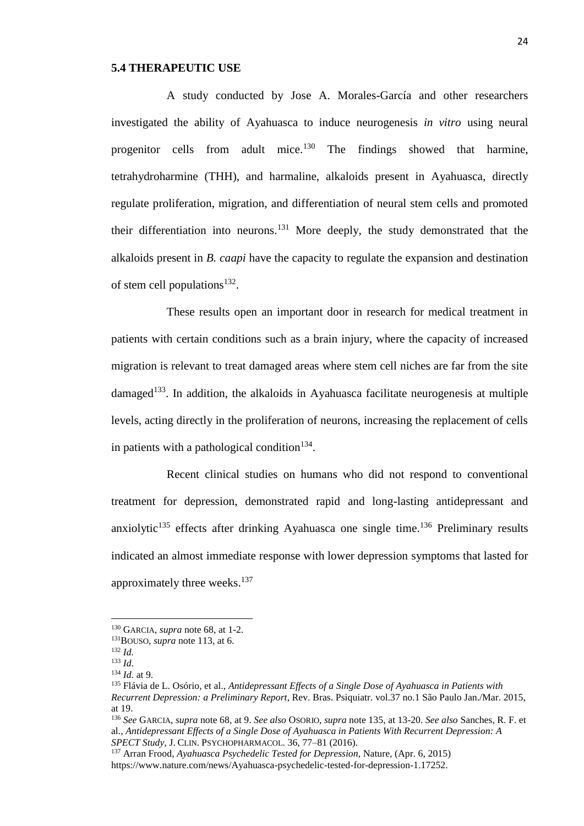#### **5.4 THERAPEUTIC USE**

A study conducted by Jose A. Morales-García and other researchers investigated the ability of Ayahuasca to induce neurogenesis *in vitro* using neural progenitor cells from adult mice.<sup>130</sup> The findings showed that harmine, tetrahydroharmine (THH), and harmaline, alkaloids present in Ayahuasca, directly regulate proliferation, migration, and differentiation of neural stem cells and promoted their differentiation into neurons.<sup>131</sup> More deeply, the study demonstrated that the alkaloids present in *B. caapi* have the capacity to regulate the expansion and destination of stem cell populations $^{132}$ .

These results open an important door in research for medical treatment in patients with certain conditions such as a brain injury, where the capacity of increased migration is relevant to treat damaged areas where stem cell niches are far from the site damaged<sup>133</sup>. In addition, the alkaloids in Ayahuasca facilitate neurogenesis at multiple levels, acting directly in the proliferation of neurons, increasing the replacement of cells in patients with a pathological condition<sup>134</sup>.

Recent clinical studies on humans who did not respond to conventional treatment for depression, demonstrated rapid and long-lasting antidepressant and anxiolytic<sup>135</sup> effects after drinking Ayahuasca one single time.<sup>136</sup> Preliminary results indicated an almost immediate response with lower depression symptoms that lasted for approximately three weeks.<sup>137</sup>

<sup>130</sup> GARCIA, *supra* note 68, at 1-2.

<sup>131</sup>BOUSO, *supra* note 113, at 6.

<sup>132</sup> *Id.*

<sup>133</sup> *Id.*

<sup>134</sup> *Id.* at 9.

<sup>135</sup> Flávia de L. Osório, et al., *Antidepressant Effects of a Single Dose of Ayahuasca in Patients with Recurrent Depression: a Preliminary Report*, Rev. Bras. Psiquiatr. vol.37 no.1 São Paulo Jan./Mar. 2015, at 19.

<sup>136</sup> *See* GARCIA, *supra* note 68, at 9. *See also* OSORIO, *supra* note 135, at 13-20. *See also* Sanches, R. F. et al., *Antidepressant Effects of a Single Dose of Ayahuasca in Patients With Recurrent Depression: A SPECT Study,* J. CLIN. PSYCHOPHARMACOL. 36, 77–81 (2016).

<sup>137</sup> Arran Frood, *Ayahuasca Psychedelic Tested for Depression*, Nature, (Apr. 6, 2015)

https://www.nature.com/news/Ayahuasca-psychedelic-tested-for-depression-1.17252.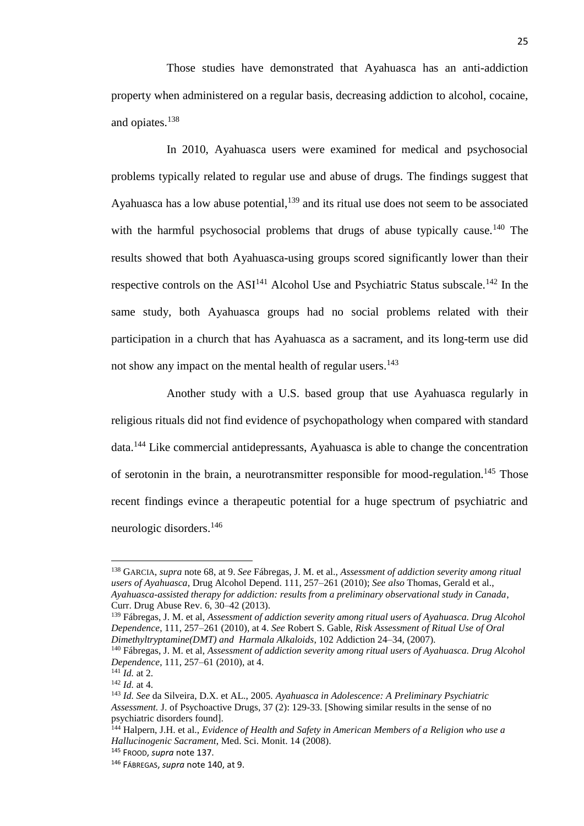Those studies have demonstrated that Ayahuasca has an anti-addiction property when administered on a regular basis, decreasing addiction to alcohol, cocaine, and opiates. 138

In 2010, Ayahuasca users were examined for medical and psychosocial problems typically related to regular use and abuse of drugs. The findings suggest that Ayahuasca has a low abuse potential, $139$  and its ritual use does not seem to be associated with the harmful psychosocial problems that drugs of abuse typically cause.<sup>140</sup> The results showed that both Ayahuasca-using groups scored significantly lower than their respective controls on the  $ASI<sup>141</sup>$  Alcohol Use and Psychiatric Status subscale.<sup>142</sup> In the same study, both Ayahuasca groups had no social problems related with their participation in a church that has Ayahuasca as a sacrament, and its long-term use did not show any impact on the mental health of regular users.<sup>143</sup>

Another study with a U.S. based group that use Ayahuasca regularly in religious rituals did not find evidence of psychopathology when compared with standard data.<sup>144</sup> Like commercial antidepressants, Ayahuasca is able to change the concentration of serotonin in the brain, a neurotransmitter responsible for mood-regulation.<sup>145</sup> Those recent findings evince a therapeutic potential for a huge spectrum of psychiatric and neurologic disorders. 146

<sup>138</sup> GARCIA, *supra* note 68, at 9. *See* Fábregas, J. M. et al., *Assessment of addiction severity among ritual users of Ayahuasca*, Drug Alcohol Depend. 111, 257–261 (2010); *See also* Thomas, Gerald et al., *Ayahuasca-assisted therapy for addiction: results from a preliminary observational study in Canada*, Curr. Drug Abuse Rev. 6, 30–42 (2013).

<sup>139</sup> Fábregas, J. M. et al, *Assessment of addiction severity among ritual users of Ayahuasca. Drug Alcohol Dependence*, 111, 257–261 (2010), at 4. *See* Robert S. Gable, *Risk Assessment of Ritual Use of Oral Dimethyltryptamine(DMT) and Harmala Alkaloids*, 102 Addiction 24–34, (2007).

<sup>140</sup> Fábregas, J. M. et al, *Assessment of addiction severity among ritual users of Ayahuasca. Drug Alcohol Dependence*, 111, 257–61 (2010), at 4.

 $^{141}$  *Id.* at 2.

<sup>142</sup> *Id.* at 4.

<sup>143</sup> *Id. See* da Silveira, D.X. et AL., 2005. *Ayahuasca in Adolescence: A Preliminary Psychiatric Assessment.* J. of Psychoactive Drugs, 37 (2): 129-33. [Showing similar results in the sense of no psychiatric disorders found].

<sup>144</sup> Halpern, J.H. et al., *Evidence of Health and Safety in American Members of a Religion who use a Hallucinogenic Sacrament*, Med. Sci. Monit. 14 (2008).

<sup>145</sup> FROOD, *supra* note 137.

<sup>146</sup> FÁBREGAS, *supra* note 140, at 9.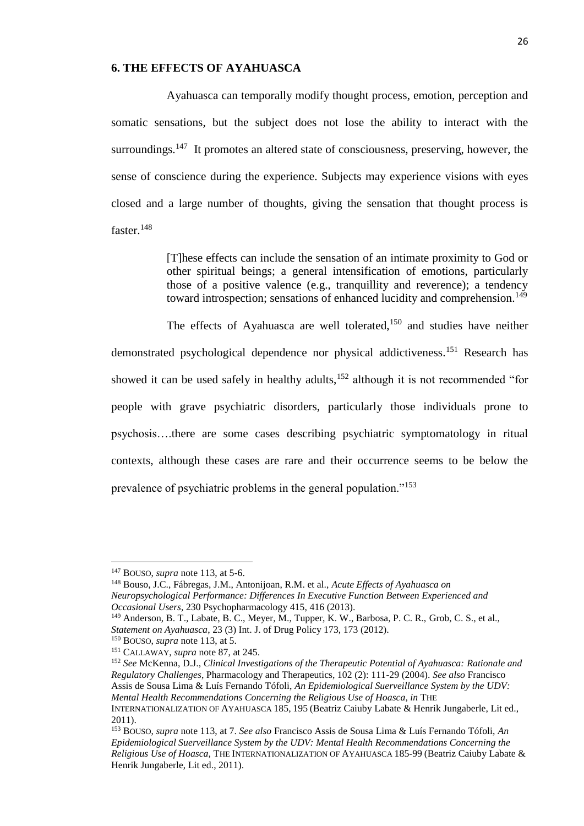### **6. THE EFFECTS OF AYAHUASCA**

Ayahuasca can temporally modify thought process, emotion, perception and somatic sensations, but the subject does not lose the ability to interact with the surroundings.<sup>147</sup> It promotes an altered state of consciousness, preserving, however, the sense of conscience during the experience. Subjects may experience visions with eyes closed and a large number of thoughts, giving the sensation that thought process is faster.<sup>148</sup>

> [T]hese effects can include the sensation of an intimate proximity to God or other spiritual beings; a general intensification of emotions, particularly those of a positive valence (e.g., tranquillity and reverence); a tendency toward introspection; sensations of enhanced lucidity and comprehension.<sup>149</sup>

The effects of Ayahuasca are well tolerated,<sup>150</sup> and studies have neither demonstrated psychological dependence nor physical addictiveness.<sup>151</sup> Research has showed it can be used safely in healthy adults, $152$  although it is not recommended "for people with grave psychiatric disorders, particularly those individuals prone to psychosis….there are some cases describing psychiatric symptomatology in ritual contexts, although these cases are rare and their occurrence seems to be below the prevalence of psychiatric problems in the general population."<sup>153</sup>

<sup>147</sup> BOUSO, *supra* note 113, at 5-6.

<sup>148</sup> Bouso, J.C., Fábregas, J.M., Antonijoan, R.M. et al., *Acute Effects of Ayahuasca on Neuropsychological Performance: Differences In Executive Function Between Experienced and Occasional Users*, 230 Psychopharmacology 415, 416 (2013).

<sup>&</sup>lt;sup>149</sup> Anderson, B. T., Labate, B. C., Meyer, M., Tupper, K. W., Barbosa, P. C. R., Grob, C. S., et al., *Statement on Ayahuasca*, 23 (3) Int. J. of Drug Policy 173, 173 (2012).

<sup>150</sup> BOUSO, *supra* note 113, at 5.

<sup>151</sup> CALLAWAY, *supra* note 87, at 245.

<sup>152</sup> *See* McKenna, D.J., *Clinical Investigations of the Therapeutic Potential of Ayahuasca: Rationale and Regulatory Challenges*, Pharmacology and Therapeutics, 102 (2): 111-29 (2004). *See also* Francisco Assis de Sousa Lima & Luís Fernando Tófoli, *An Epidemiological Suerveillance System by the UDV: Mental Health Recommendations Concerning the Religious Use of Hoasca, in THE* INTERNATIONALIZATION OF AYAHUASCA 185, 195 (Beatriz Caiuby Labate & Henrik Jungaberle, Lit ed., 2011).

<sup>153</sup> BOUSO, *supra* note 113, at 7. *See also* Francisco Assis de Sousa Lima & Luís Fernando Tófoli, *An Epidemiological Suerveillance System by the UDV: Mental Health Recommendations Concerning the Religious Use of Hoasca,* THE INTERNATIONALIZATION OF AYAHUASCA 185-99 (Beatriz Caiuby Labate & Henrik Jungaberle, Lit ed., 2011).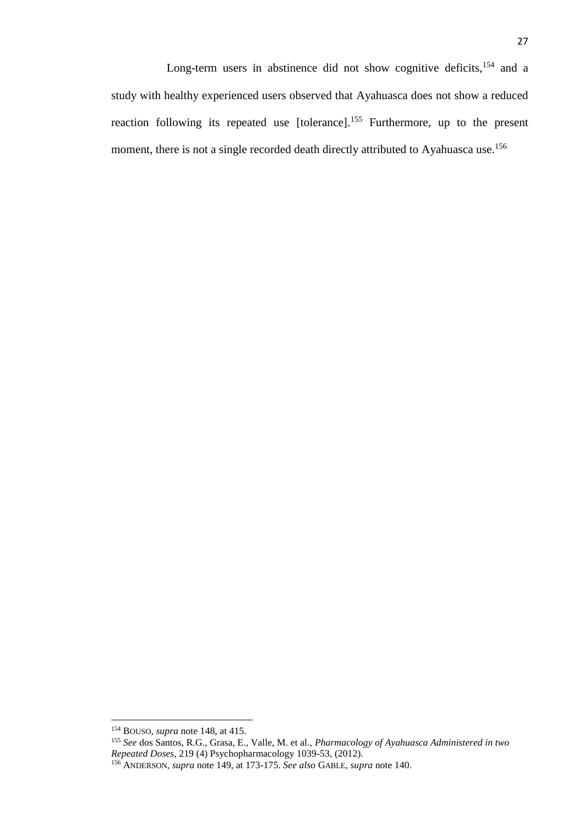<sup>154</sup> BOUSO, *supra* note 148, at 415.

<sup>155</sup> *See* dos Santos, R.G., Grasa, E., Valle, M. et al., *Pharmacology of Ayahuasca Administered in two Repeated Doses*, 219 (4) Psychopharmacology 1039-53, (2012).

<sup>156</sup> ANDERSON, *supra* note 149, at 173-175. *See also* GABLE, *supra* note 140.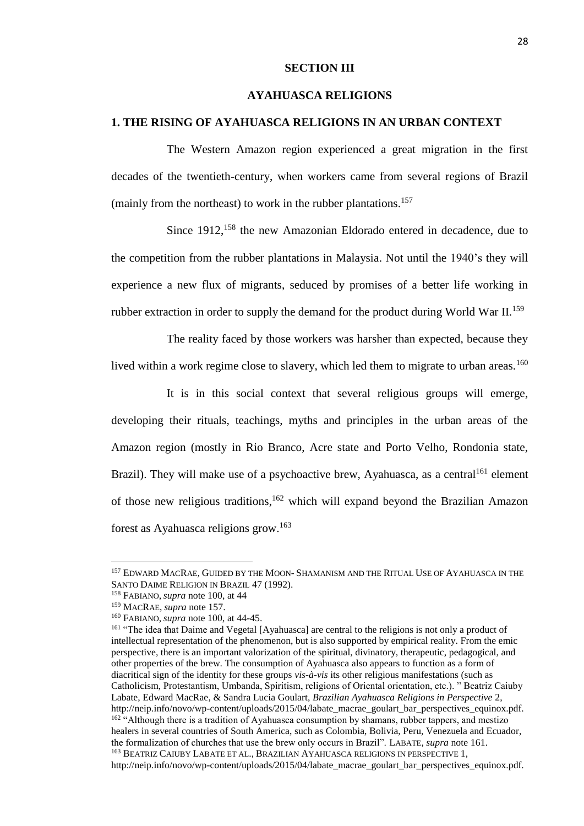### **SECTION III**

## **AYAHUASCA RELIGIONS**

## **1. THE RISING OF AYAHUASCA RELIGIONS IN AN URBAN CONTEXT**

The Western Amazon region experienced a great migration in the first decades of the twentieth-century, when workers came from several regions of Brazil (mainly from the northeast) to work in the rubber plantations.<sup>157</sup>

Since 1912,<sup>158</sup> the new Amazonian Eldorado entered in decadence, due to the competition from the rubber plantations in Malaysia. Not until the 1940's they will experience a new flux of migrants, seduced by promises of a better life working in rubber extraction in order to supply the demand for the product during World War II.<sup>159</sup>

The reality faced by those workers was harsher than expected, because they lived within a work regime close to slavery, which led them to migrate to urban areas.<sup>160</sup>

It is in this social context that several religious groups will emerge, developing their rituals, teachings, myths and principles in the urban areas of the Amazon region (mostly in Rio Branco, Acre state and Porto Velho, Rondonia state, Brazil). They will make use of a psychoactive brew, Ayahuasca, as a central<sup>161</sup> element of those new religious traditions, <sup>162</sup> which will expand beyond the Brazilian Amazon forest as Ayahuasca religions grow.<sup>163</sup>

<sup>157</sup> EDWARD MACRAE, GUIDED BY THE MOON- SHAMANISM AND THE RITUAL USE OF AYAHUASCA IN THE SANTO DAIME RELIGION IN BRAZIL 47 (1992).

<sup>158</sup> FABIANO, *supra* note 100, at 44

<sup>159</sup> MACRAE, *supra* note 157.

<sup>160</sup> FABIANO, *supra* note 100, at 44-45.

<sup>&</sup>lt;sup>161</sup> "The idea that Daime and Vegetal [Ayahuasca] are central to the religions is not only a product of intellectual representation of the phenomenon, but is also supported by empirical reality. From the emic perspective, there is an important valorization of the spiritual, divinatory, therapeutic, pedagogical, and other properties of the brew. The consumption of Ayahuasca also appears to function as a form of diacritical sign of the identity for these groups *vis-à-vis* its other religious manifestations (such as Catholicism, Protestantism, Umbanda, Spiritism, religions of Oriental orientation, etc.). " Beatriz Caiuby Labate, Edward MacRae, & Sandra Lucia Goulart, *Brazilian Ayahuasca Religions in Perspective* 2, http://neip.info/novo/wp-content/uploads/2015/04/labate\_macrae\_goulart\_bar\_perspectives\_equinox.pdf. <sup>162</sup> "Although there is a tradition of Ayahuasca consumption by shamans, rubber tappers, and mestizo healers in several countries of South America, such as Colombia, Bolivia, Peru, Venezuela and Ecuador, the formalization of churches that use the brew only occurs in Brazil". LABATE, *supra* note 161. <sup>163</sup> BEATRIZ CAIUBY LABATE ET AL., BRAZILIAN AYAHUASCA RELIGIONS IN PERSPECTIVE 1, http://neip.info/novo/wp-content/uploads/2015/04/labate\_macrae\_goulart\_bar\_perspectives\_equinox.pdf.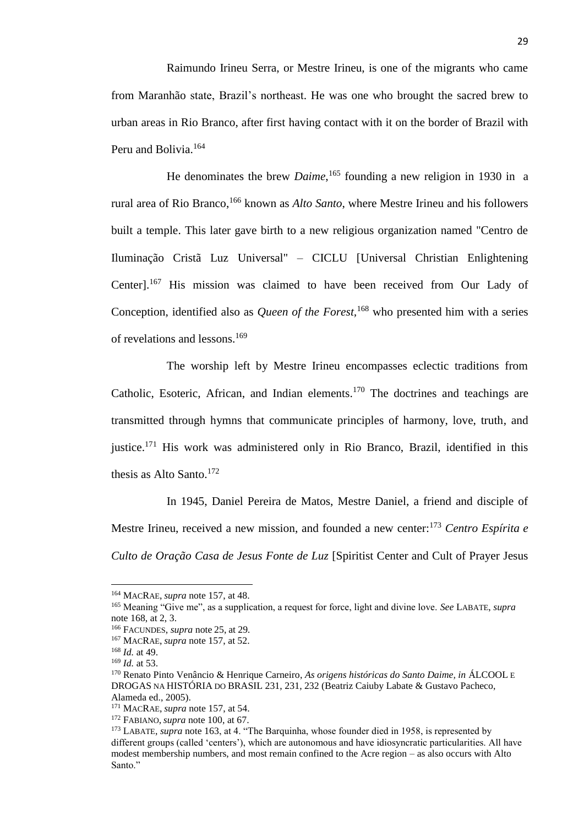Raimundo Irineu Serra, or Mestre Irineu, is one of the migrants who came from Maranhão state, Brazil's northeast. He was one who brought the sacred brew to urban areas in Rio Branco, after first having contact with it on the border of Brazil with Peru and Bolivia.<sup>164</sup>

He denominates the brew *Daime*, <sup>165</sup> founding a new religion in 1930 in a rural area of Rio Branco,<sup>166</sup> known as *Alto Santo*, where Mestre Irineu and his followers built a temple. This later gave birth to a new religious organization named "Centro de Iluminação Cristã Luz Universal" – CICLU [Universal Christian Enlightening Center].<sup>167</sup> His mission was claimed to have been received from Our Lady of Conception, identified also as *Queen of the Forest,*<sup>168</sup> who presented him with a series of revelations and lessons.<sup>169</sup>

The worship left by Mestre Irineu encompasses eclectic traditions from Catholic, Esoteric, African, and Indian elements.<sup>170</sup> The doctrines and teachings are transmitted through hymns that communicate principles of harmony, love, truth, and justice.<sup>171</sup> His work was administered only in Rio Branco, Brazil, identified in this thesis as Alto Santo. $172$ 

In 1945, Daniel Pereira de Matos, Mestre Daniel, a friend and disciple of Mestre Irineu, received a new mission, and founded a new center:<sup>173</sup> *Centro Espírita e Culto de Oração Casa de Jesus Fonte de Luz* [Spiritist Center and Cult of Prayer Jesus

l

<sup>164</sup> MACRAE, *supra* note 157, at 48.

<sup>165</sup> Meaning "Give me", as a supplication, a request for force, light and divine love. *See* LABATE, *supra* note 168, at 2, 3.

<sup>166</sup> FACUNDES, *supra* note 25, at 29*.*

<sup>167</sup> MACRAE, *supra* note 157, at 52.

<sup>168</sup> *Id.* at 49.

<sup>169</sup> *Id.* at 53.

<sup>170</sup> Renato Pinto Venâncio & Henrique Carneiro, *As origens históricas do Santo Daime, in* ÁLCOOL E DROGAS NA HISTÓRIA DO BRASIL 231, 231, 232 (Beatriz Caiuby Labate & Gustavo Pacheco, Alameda ed., 2005).

<sup>171</sup> MACRAE, *supra* note 157, at 54.

<sup>172</sup> FABIANO, *supra* note 100, at 67.

<sup>173</sup> LABATE, *supra* note 163, at 4. "The Barquinha, whose founder died in 1958, is represented by different groups (called 'centers'), which are autonomous and have idiosyncratic particularities. All have modest membership numbers, and most remain confined to the Acre region – as also occurs with Alto Santo."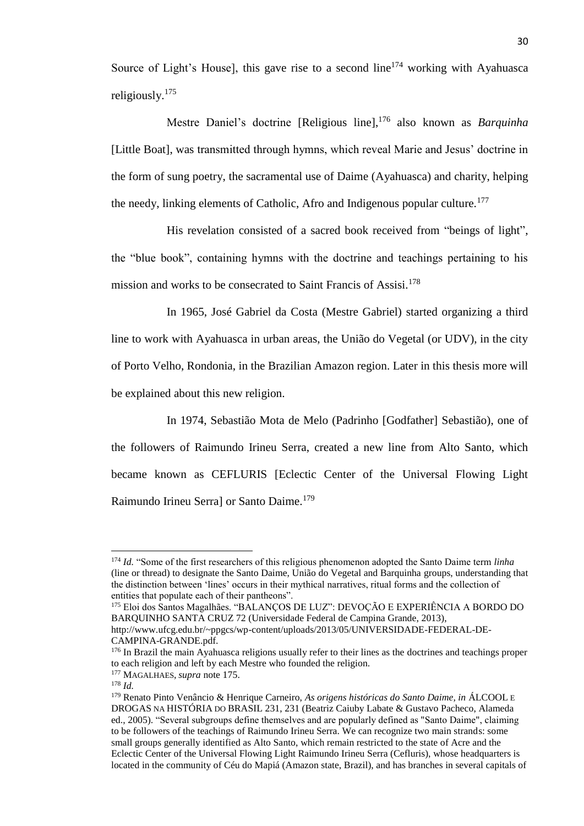Source of Light's House], this gave rise to a second line<sup>174</sup> working with Ayahuasca religiously.<sup>175</sup>

Mestre Daniel's doctrine [Religious line], <sup>176</sup> also known as *Barquinha* [Little Boat], was transmitted through hymns, which reveal Marie and Jesus' doctrine in the form of sung poetry, the sacramental use of Daime (Ayahuasca) and charity, helping the needy, linking elements of Catholic, Afro and Indigenous popular culture.<sup>177</sup>

His revelation consisted of a sacred book received from "beings of light", the "blue book", containing hymns with the doctrine and teachings pertaining to his mission and works to be consecrated to Saint Francis of Assisi.<sup>178</sup>

In 1965, José Gabriel da Costa (Mestre Gabriel) started organizing a third line to work with Ayahuasca in urban areas, the União do Vegetal (or UDV), in the city of Porto Velho, Rondonia, in the Brazilian Amazon region. Later in this thesis more will be explained about this new religion.

In 1974, Sebastião Mota de Melo (Padrinho [Godfather] Sebastião), one of the followers of Raimundo Irineu Serra, created a new line from Alto Santo, which became known as CEFLURIS [Eclectic Center of the Universal Flowing Light Raimundo Irineu Serra] or Santo Daime.<sup>179</sup>

<sup>175</sup> Eloi dos Santos Magalhães. "BALANÇOS DE LUZ": DEVOÇÃO E EXPERIÊNCIA A BORDO DO BARQUINHO SANTA CRUZ 72 (Universidade Federal de Campina Grande, 2013), http://www.ufcg.edu.br/~ppgcs/wp-content/uploads/2013/05/UNIVERSIDADE-FEDERAL-DE-CAMPINA-GRANDE.pdf.

<sup>174</sup> *Id.* "Some of the first researchers of this religious phenomenon adopted the Santo Daime term *linha* (line or thread) to designate the Santo Daime, União do Vegetal and Barquinha groups, understanding that the distinction between 'lines' occurs in their mythical narratives, ritual forms and the collection of entities that populate each of their pantheons".

<sup>&</sup>lt;sup>176</sup> In Brazil the main Ayahuasca religions usually refer to their lines as the doctrines and teachings proper to each religion and left by each Mestre who founded the religion.

<sup>177</sup> MAGALHAES, *supra* note 175.

 $178$  *Id.* 

<sup>179</sup> Renato Pinto Venâncio & Henrique Carneiro, *As origens históricas do Santo Daime, in* ÁLCOOL E DROGAS NA HISTÓRIA DO BRASIL 231, 231 (Beatriz Caiuby Labate & Gustavo Pacheco, Alameda ed., 2005). "Several subgroups define themselves and are popularly defined as "Santo Daime", claiming to be followers of the teachings of Raimundo Irineu Serra. We can recognize two main strands: some small groups generally identified as Alto Santo, which remain restricted to the state of Acre and the Eclectic Center of the Universal Flowing Light Raimundo Irineu Serra (Cefluris), whose headquarters is located in the community of Céu do Mapiá (Amazon state, Brazil), and has branches in several capitals of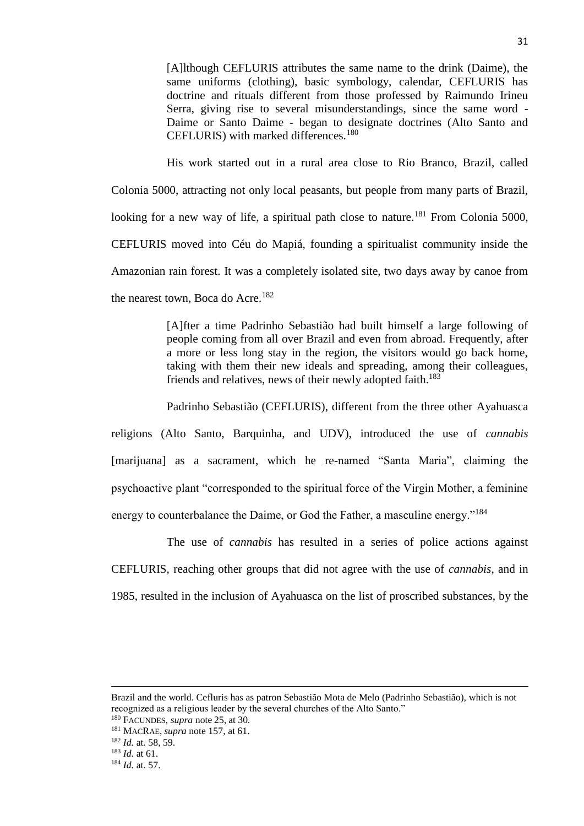[A]lthough CEFLURIS attributes the same name to the drink (Daime), the same uniforms (clothing), basic symbology, calendar, CEFLURIS has doctrine and rituals different from those professed by Raimundo Irineu Serra, giving rise to several misunderstandings, since the same word - Daime or Santo Daime - began to designate doctrines (Alto Santo and CEFLURIS) with marked differences.<sup>180</sup>

His work started out in a rural area close to Rio Branco, Brazil, called Colonia 5000, attracting not only local peasants, but people from many parts of Brazil, looking for a new way of life, a spiritual path close to nature.<sup>181</sup> From Colonia 5000, CEFLURIS moved into Céu do Mapiá, founding a spiritualist community inside the Amazonian rain forest. It was a completely isolated site, two days away by canoe from the nearest town, Boca do Acre.<sup>182</sup>

> [A]fter a time Padrinho Sebastião had built himself a large following of people coming from all over Brazil and even from abroad. Frequently, after a more or less long stay in the region, the visitors would go back home, taking with them their new ideals and spreading, among their colleagues, friends and relatives, news of their newly adopted faith.<sup>183</sup>

Padrinho Sebastião (CEFLURIS), different from the three other Ayahuasca religions (Alto Santo, Barquinha, and UDV), introduced the use of *cannabis*  [marijuana] as a sacrament, which he re-named "Santa Maria", claiming the psychoactive plant "corresponded to the spiritual force of the Virgin Mother, a feminine energy to counterbalance the Daime, or God the Father, a masculine energy."<sup>184</sup>

The use of *cannabis* has resulted in a series of police actions against CEFLURIS, reaching other groups that did not agree with the use of *cannabis*, and in 1985, resulted in the inclusion of Ayahuasca on the list of proscribed substances, by the

Brazil and the world. Cefluris has as patron Sebastião Mota de Melo (Padrinho Sebastião), which is not recognized as a religious leader by the several churches of the Alto Santo."

<sup>180</sup> FACUNDES, *supra* note 25, at 30*.*

<sup>181</sup> MACRAE, *supra* note 157, at 61.

<sup>182</sup> *Id.* at. 58, 59.

<sup>183</sup> *Id.* at 61.

<sup>184</sup> *Id.* at. 57.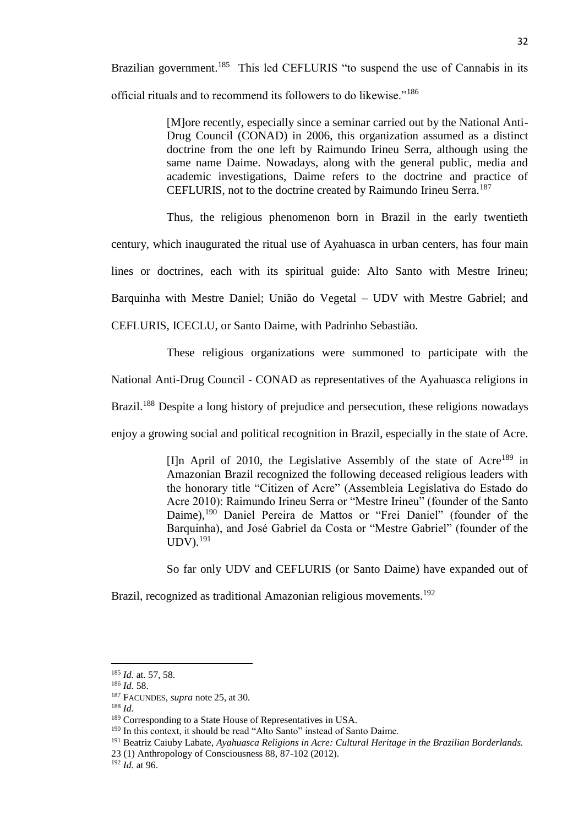Brazilian government.<sup>185</sup> This led CEFLURIS "to suspend the use of Cannabis in its official rituals and to recommend its followers to do likewise."<sup>186</sup>

> [M]ore recently, especially since a seminar carried out by the National Anti-Drug Council (CONAD) in 2006, this organization assumed as a distinct doctrine from the one left by Raimundo Irineu Serra, although using the same name Daime. Nowadays, along with the general public, media and academic investigations, Daime refers to the doctrine and practice of CEFLURIS, not to the doctrine created by Raimundo Irineu Serra.<sup>187</sup>

> Thus, the religious phenomenon born in Brazil in the early twentieth

century, which inaugurated the ritual use of Ayahuasca in urban centers, has four main

lines or doctrines, each with its spiritual guide: Alto Santo with Mestre Irineu;

Barquinha with Mestre Daniel; União do Vegetal – UDV with Mestre Gabriel; and

CEFLURIS, ICECLU, or Santo Daime, with Padrinho Sebastião.

These religious organizations were summoned to participate with the

National Anti-Drug Council - CONAD as representatives of the Ayahuasca religions in

Brazil.<sup>188</sup> Despite a long history of prejudice and persecution, these religions nowadays

enjoy a growing social and political recognition in Brazil, especially in the state of Acre.

[I]n April of 2010, the Legislative Assembly of the state of  $|A|^{189}$  in Amazonian Brazil recognized the following deceased religious leaders with the honorary title "Citizen of Acre" (Assembleia Legislativa do Estado do Acre 2010): Raimundo Irineu Serra or "Mestre Irineu" (founder of the Santo Daime),<sup>190</sup> Daniel Pereira de Mattos or "Frei Daniel" (founder of the Barquinha), and José Gabriel da Costa or "Mestre Gabriel" (founder of the  $UDV.$ <sup>191</sup>

So far only UDV and CEFLURIS (or Santo Daime) have expanded out of

Brazil, recognized as traditional Amazonian religious movements.<sup>192</sup>

<sup>185</sup> *Id.* at. 57, 58.

<sup>186</sup> *Id.* 58.

<sup>187</sup> FACUNDES, *supra* note 25, at 30*.*

<sup>188</sup> *Id.*

<sup>&</sup>lt;sup>189</sup> Corresponding to a State House of Representatives in USA.

<sup>&</sup>lt;sup>190</sup> In this context, it should be read "Alto Santo" instead of Santo Daime.

<sup>191</sup> Beatriz Caiuby Labate, *Ayahuasca Religions in Acre: Cultural Heritage in the Brazilian Borderlands.*

<sup>23 (1)</sup> Anthropology of Consciousness 88, 87-102 (2012).

<sup>192</sup> *Id.* at 96.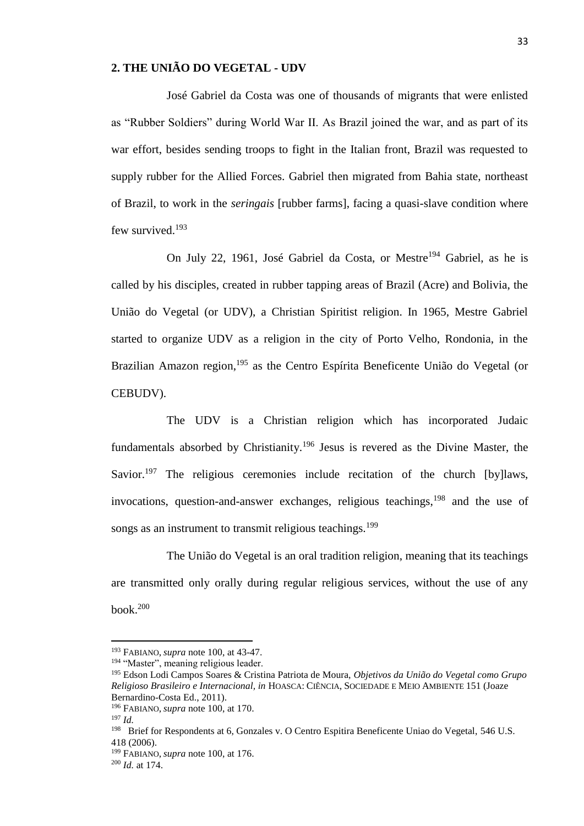### **2. THE UNIÃO DO VEGETAL - UDV**

José Gabriel da Costa was one of thousands of migrants that were enlisted as "Rubber Soldiers" during World War II. As Brazil joined the war, and as part of its war effort, besides sending troops to fight in the Italian front, Brazil was requested to supply rubber for the Allied Forces. Gabriel then migrated from Bahia state, northeast of Brazil, to work in the *seringais* [rubber farms], facing a quasi-slave condition where few survived.<sup>193</sup>

On July 22, 1961, José Gabriel da Costa, or Mestre<sup>194</sup> Gabriel, as he is called by his disciples, created in rubber tapping areas of Brazil (Acre) and Bolivia, the União do Vegetal (or UDV), a Christian Spiritist religion. In 1965, Mestre Gabriel started to organize UDV as a religion in the city of Porto Velho, Rondonia, in the Brazilian Amazon region,<sup>195</sup> as the Centro Espírita Beneficente União do Vegetal (or CEBUDV).

The UDV is a Christian religion which has incorporated Judaic fundamentals absorbed by Christianity.<sup>196</sup> Jesus is revered as the Divine Master, the Savior.<sup>197</sup> The religious ceremonies include recitation of the church [by] laws, invocations, question-and-answer exchanges, religious teachings,  $198$  and the use of songs as an instrument to transmit religious teachings.<sup>199</sup>

The União do Vegetal is an oral tradition religion, meaning that its teachings are transmitted only orally during regular religious services, without the use of any book. $200$ 

<sup>193</sup> FABIANO, *supra* note 100, at 43-47.

<sup>194</sup> "Master", meaning religious leader.

<sup>195</sup> Edson Lodi Campos Soares & Cristina Patriota de Moura, *Objetivos da União do Vegetal como Grupo Religioso Brasileiro e Internacional, in* HOASCA: CIÊNCIA, SOCIEDADE E MEIO AMBIENTE 151 (Joaze Bernardino-Costa Ed., 2011).

<sup>196</sup> FABIANO, *supra* note 100, at 170.

<sup>197</sup> *Id.*

<sup>&</sup>lt;sup>198</sup> Brief for Respondents at 6, Gonzales v. O Centro Espitira Beneficente Uniao do Vegetal, 546 U.S. 418 (2006).

<sup>199</sup> FABIANO, *supra* note 100, at 176.

<sup>200</sup> *Id.* at 174.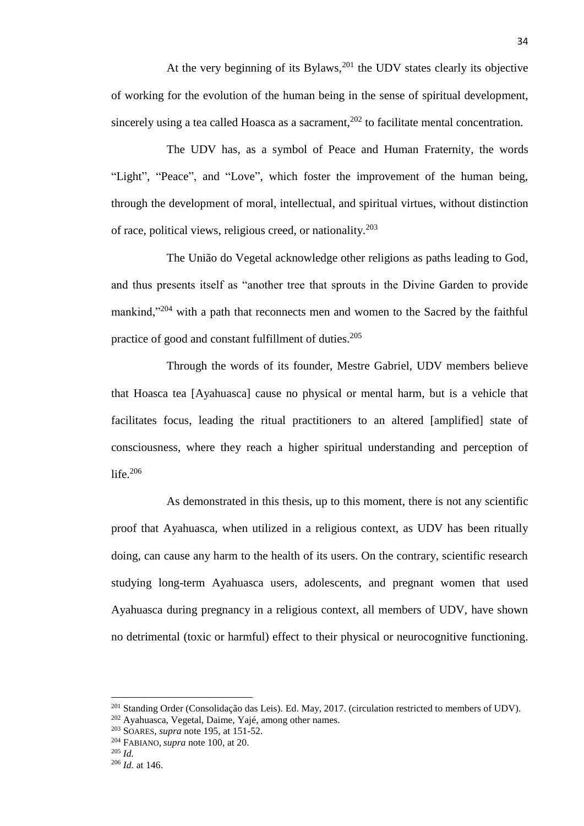At the very beginning of its Bylaws, $^{201}$  the UDV states clearly its objective of working for the evolution of the human being in the sense of spiritual development, sincerely using a tea called Hoasca as a sacrament, $202$  to facilitate mental concentration.

The UDV has, as a symbol of Peace and Human Fraternity, the words "Light", "Peace", and "Love", which foster the improvement of the human being, through the development of moral, intellectual, and spiritual virtues, without distinction of race, political views, religious creed, or nationality.<sup>203</sup>

The União do Vegetal acknowledge other religions as paths leading to God, and thus presents itself as "another tree that sprouts in the Divine Garden to provide mankind,"<sup>204</sup> with a path that reconnects men and women to the Sacred by the faithful practice of good and constant fulfillment of duties.<sup>205</sup>

Through the words of its founder, Mestre Gabriel, UDV members believe that Hoasca tea [Ayahuasca] cause no physical or mental harm, but is a vehicle that facilitates focus, leading the ritual practitioners to an altered [amplified] state of consciousness, where they reach a higher spiritual understanding and perception of life. $206$ 

As demonstrated in this thesis, up to this moment, there is not any scientific proof that Ayahuasca, when utilized in a religious context, as UDV has been ritually doing, can cause any harm to the health of its users. On the contrary, scientific research studying long-term Ayahuasca users, adolescents, and pregnant women that used Ayahuasca during pregnancy in a religious context, all members of UDV, have shown no detrimental (toxic or harmful) effect to their physical or neurocognitive functioning.

<sup>201</sup> Standing Order (Consolidação das Leis). Ed. May, 2017. (circulation restricted to members of UDV).

<sup>202</sup> Ayahuasca, Vegetal, Daime, Yajé, among other names.

<sup>203</sup> SOARES, *supra* note 195, at 151-52.

<sup>204</sup> FABIANO, *supra* note 100, at 20.

<sup>205</sup> *Id.*

<sup>206</sup> *Id.* at 146.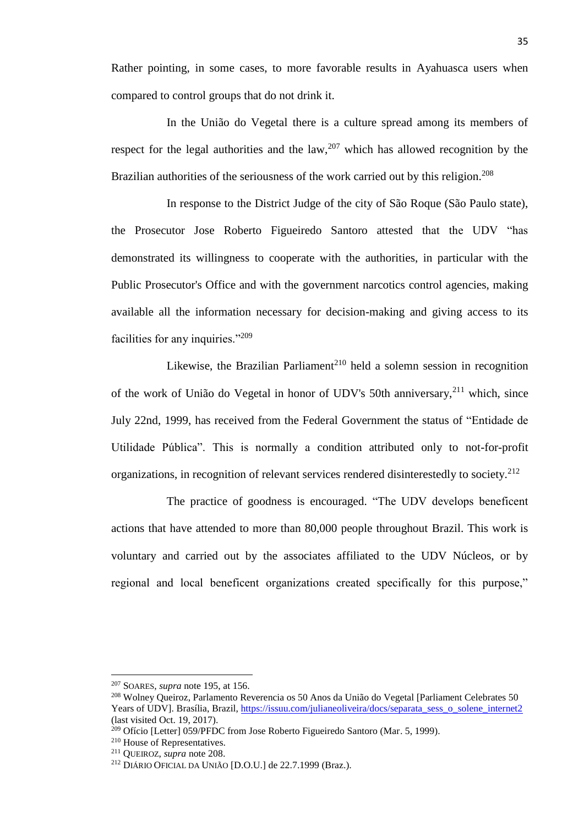Rather pointing, in some cases, to more favorable results in Ayahuasca users when compared to control groups that do not drink it.

In the União do Vegetal there is a culture spread among its members of respect for the legal authorities and the law,  $207$  which has allowed recognition by the Brazilian authorities of the seriousness of the work carried out by this religion.<sup>208</sup>

In response to the District Judge of the city of São Roque (São Paulo state), the Prosecutor Jose Roberto Figueiredo Santoro attested that the UDV "has demonstrated its willingness to cooperate with the authorities, in particular with the Public Prosecutor's Office and with the government narcotics control agencies, making available all the information necessary for decision-making and giving access to its facilities for any inquiries."<sup>209</sup>

Likewise, the Brazilian Parliament<sup>210</sup> held a solemn session in recognition of the work of União do Vegetal in honor of UDV's 50th anniversary,<sup>211</sup> which, since July 22nd, 1999, has received from the Federal Government the status of "Entidade de Utilidade Pública". This is normally a condition attributed only to not-for-profit organizations, in recognition of relevant services rendered disinterestedly to society.<sup>212</sup>

The practice of goodness is encouraged. "The UDV develops beneficent actions that have attended to more than 80,000 people throughout Brazil. This work is voluntary and carried out by the associates affiliated to the UDV Núcleos, or by regional and local beneficent organizations created specifically for this purpose,"

<sup>207</sup> SOARES, *supra* note 195, at 156.

<sup>208</sup> Wolney Queiroz, Parlamento Reverencia os 50 Anos da União do Vegetal [Parliament Celebrates 50 Years of UDV]. Brasília, Brazil[, https://issuu.com/julianeoliveira/docs/separata\\_sess\\_o\\_solene\\_internet2](https://issuu.com/julianeoliveira/docs/separata_sess_o_solene_internet2) (last visited Oct. 19, 2017).

<sup>&</sup>lt;sup>209</sup> Ofício [Letter] 059/PFDC from Jose Roberto Figueiredo Santoro (Mar. 5, 1999).

<sup>210</sup> House of Representatives.

<sup>211</sup> QUEIROZ, *supra* note 208.

<sup>212</sup> DIÁRIO OFICIAL DA UNIÃO [D.O.U.] de 22.7.1999 (Braz.).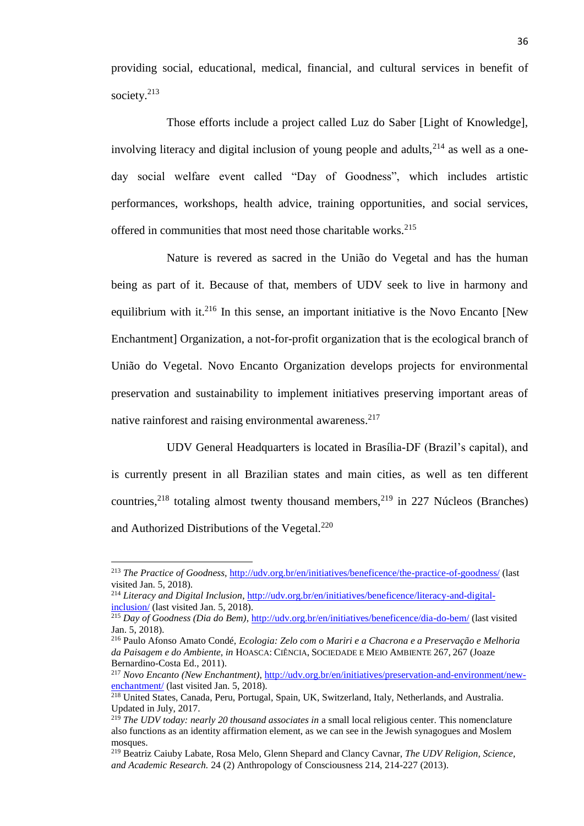providing social, educational, medical, financial, and cultural services in benefit of society.<sup>213</sup>

Those efforts include a project called Luz do Saber [Light of Knowledge], involving literacy and digital inclusion of young people and adults,  $2^{14}$  as well as a oneday social welfare event called "Day of Goodness", which includes artistic performances, workshops, health advice, training opportunities, and social services, offered in communities that most need those charitable works.<sup>215</sup>

Nature is revered as sacred in the União do Vegetal and has the human being as part of it. Because of that, members of UDV seek to live in harmony and equilibrium with it. $2^{16}$  In this sense, an important initiative is the Novo Encanto [New Enchantment] Organization, a not-for-profit organization that is the ecological branch of União do Vegetal. Novo Encanto Organization develops projects for environmental preservation and sustainability to implement initiatives preserving important areas of native rainforest and raising environmental awareness.<sup>217</sup>

UDV General Headquarters is located in Brasília-DF (Brazil's capital), and is currently present in all Brazilian states and main cities, as well as ten different countries,<sup>218</sup> totaling almost twenty thousand members,<sup>219</sup> in 227 Núcleos (Branches) and Authorized Distributions of the Vegetal.<sup>220</sup>

<sup>213</sup> *The Practice of Goodness,* <http://udv.org.br/en/initiatives/beneficence/the-practice-of-goodness/> (last visited Jan. 5, 2018).

<sup>214</sup> *Literacy and Digital Inclusion*, [http://udv.org.br/en/initiatives/beneficence/literacy-and-digital](http://udv.org.br/en/initiatives/beneficence/literacy-and-digital-inclusion/)[inclusion/](http://udv.org.br/en/initiatives/beneficence/literacy-and-digital-inclusion/) (last visited Jan. 5, 2018).

<sup>215</sup> *Day of Goodness (Dia do Bem)*,<http://udv.org.br/en/initiatives/beneficence/dia-do-bem/> (last visited Jan. 5, 2018).

<sup>216</sup> Paulo Afonso Amato Condé, *Ecologia: Zelo com o Mariri e a Chacrona e a Preservação e Melhoria da Paisagem e do Ambiente, in* HOASCA: CIÊNCIA, SOCIEDADE E MEIO AMBIENTE 267, 267 (Joaze Bernardino-Costa Ed., 2011).

<sup>&</sup>lt;sup>217</sup> *Novo Encanto (New Enchantment)*, [http://udv.org.br/en/initiatives/preservation-and-environment/new](http://udv.org.br/en/initiatives/preservation-and-environment/new-enchantment/)[enchantment/](http://udv.org.br/en/initiatives/preservation-and-environment/new-enchantment/) (last visited Jan. 5, 2018).

<sup>&</sup>lt;sup>218</sup> United States, Canada, Peru, Portugal, Spain, UK, Switzerland, Italy, Netherlands, and Australia. Updated in July, 2017.

<sup>219</sup> *The UDV today: nearly 20 thousand associates in* a small local religious center. This nomenclature also functions as an identity affirmation element, as we can see in the Jewish synagogues and Moslem mosques.

<sup>219</sup> Beatriz Caiuby Labate, Rosa Melo, Glenn Shepard and Clancy Cavnar, *The UDV Religion, Science, and Academic Research.* 24 (2) Anthropology of Consciousness 214, 214-227 (2013).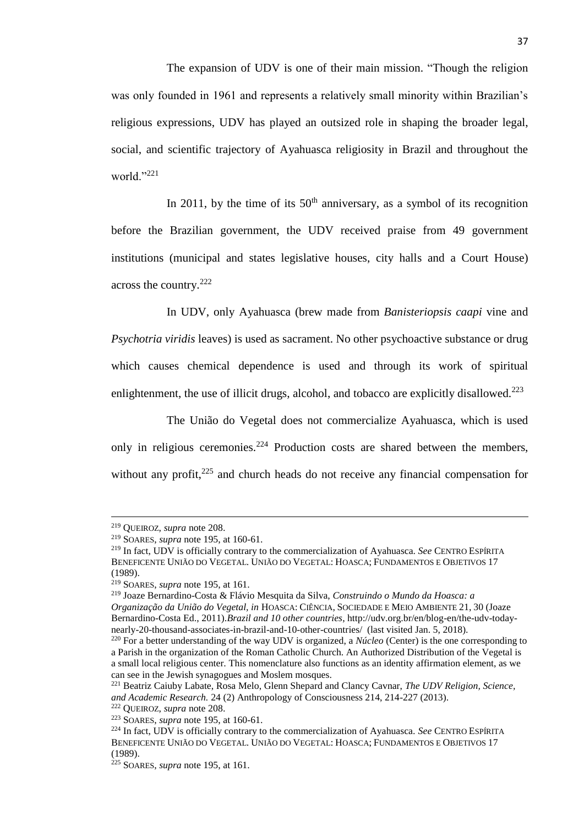The expansion of UDV is one of their main mission. "Though the religion was only founded in 1961 and represents a relatively small minority within Brazilian's religious expressions, UDV has played an outsized role in shaping the broader legal, social, and scientific trajectory of Ayahuasca religiosity in Brazil and throughout the world."221

In 2011, by the time of its  $50<sup>th</sup>$  anniversary, as a symbol of its recognition before the Brazilian government, the UDV received praise from 49 government institutions (municipal and states legislative houses, city halls and a Court House) across the country.<sup>222</sup>

In UDV, only Ayahuasca (brew made from *Banisteriopsis caapi* vine and *Psychotria viridis* leaves) is used as sacrament. No other psychoactive substance or drug which causes chemical dependence is used and through its work of spiritual enlightenment, the use of illicit drugs, alcohol, and tobacco are explicitly disallowed.<sup>223</sup>

The União do Vegetal does not commercialize Ayahuasca, which is used only in religious ceremonies.<sup>224</sup> Production costs are shared between the members, without any profit, $225$  and church heads do not receive any financial compensation for

l

<sup>219</sup> Joaze Bernardino-Costa & Flávio Mesquita da Silva, *Construindo o Mundo da Hoasca: a Organização da União do Vegetal, in* HOASCA: CIÊNCIA, SOCIEDADE E MEIO AMBIENTE 21, 30 (Joaze Bernardino-Costa Ed., 2011).*Brazil and 10 other countries*, http://udv.org.br/en/blog-en/the-udv-todaynearly-20-thousand-associates-in-brazil-and-10-other-countries/ (last visited Jan. 5, 2018).

<sup>219</sup> QUEIROZ, *supra* note 208.

<sup>219</sup> SOARES, *supra* note 195, at 160-61.

<sup>219</sup> In fact, UDV is officially contrary to the commercialization of Ayahuasca. *See* CENTRO ESPÍRITA BENEFICENTE UNIÃO DO VEGETAL. UNIÃO DO VEGETAL: HOASCA; FUNDAMENTOS E OBJETIVOS 17 (1989).

<sup>219</sup> SOARES, *supra* note 195, at 161.

<sup>220</sup> For a better understanding of the way UDV is organized, a *Núcleo* (Center) is the one corresponding to a Parish in the organization of the Roman Catholic Church. An Authorized Distribution of the Vegetal is a small local religious center. This nomenclature also functions as an identity affirmation element, as we can see in the Jewish synagogues and Moslem mosques.

<sup>221</sup> Beatriz Caiuby Labate, Rosa Melo, Glenn Shepard and Clancy Cavnar, *The UDV Religion, Science, and Academic Research.* 24 (2) Anthropology of Consciousness 214, 214-227 (2013).

<sup>222</sup> QUEIROZ, *supra* note 208.

<sup>223</sup> SOARES, *supra* note 195, at 160-61.

<sup>224</sup> In fact, UDV is officially contrary to the commercialization of Ayahuasca. *See* CENTRO ESPÍRITA BENEFICENTE UNIÃO DO VEGETAL. UNIÃO DO VEGETAL: HOASCA; FUNDAMENTOS E OBJETIVOS 17 (1989).

<sup>225</sup> SOARES, *supra* note 195, at 161.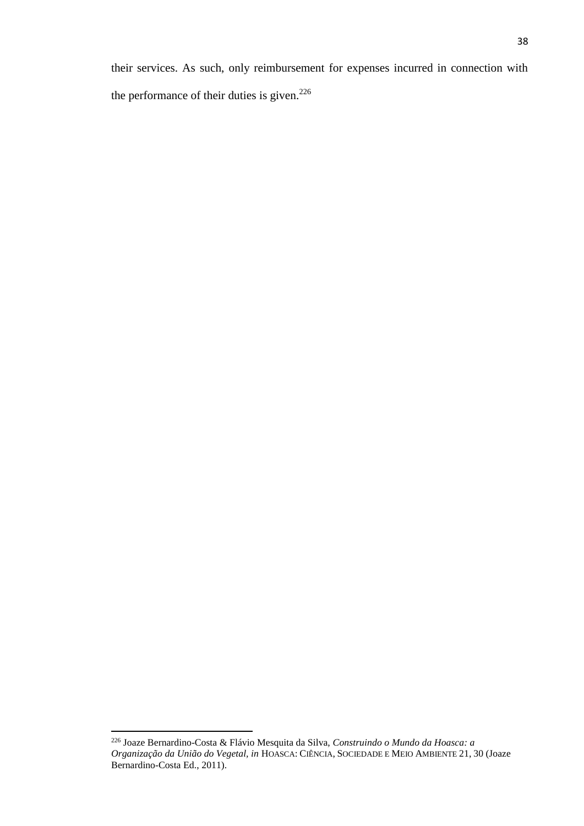their services. As such, only reimbursement for expenses incurred in connection with the performance of their duties is given.<sup>226</sup>

l

<sup>226</sup> Joaze Bernardino-Costa & Flávio Mesquita da Silva, *Construindo o Mundo da Hoasca: a Organização da União do Vegetal, in* HOASCA: CIÊNCIA, SOCIEDADE E MEIO AMBIENTE 21, 30 (Joaze Bernardino-Costa Ed., 2011).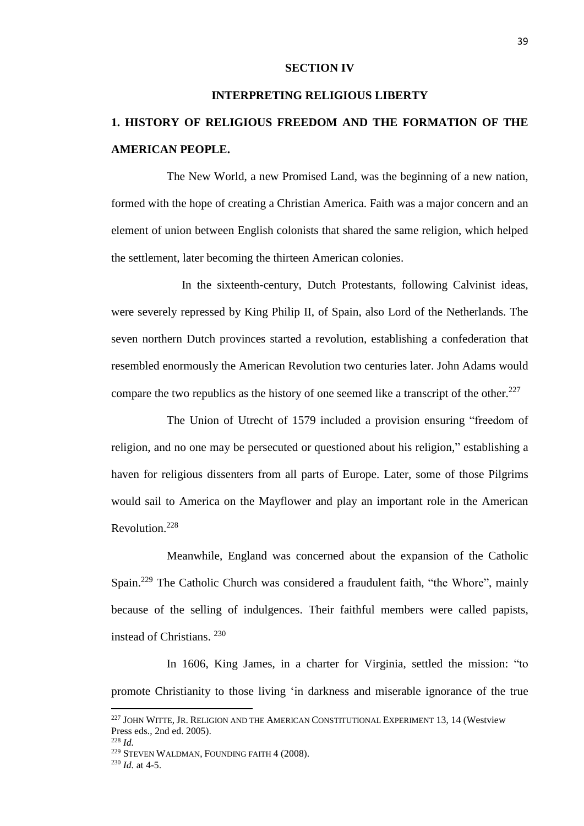#### **SECTION IV**

#### **INTERPRETING RELIGIOUS LIBERTY**

# **1. HISTORY OF RELIGIOUS FREEDOM AND THE FORMATION OF THE AMERICAN PEOPLE.**

The New World, a new Promised Land, was the beginning of a new nation, formed with the hope of creating a Christian America. Faith was a major concern and an element of union between English colonists that shared the same religion, which helped the settlement, later becoming the thirteen American colonies.

In the sixteenth-century, Dutch Protestants, following Calvinist ideas, were severely repressed by King Philip II, of Spain, also Lord of the Netherlands. The seven northern Dutch provinces started a revolution, establishing a confederation that resembled enormously the American Revolution two centuries later. John Adams would compare the two republics as the history of one seemed like a transcript of the other.<sup>227</sup>

The Union of Utrecht of 1579 included a provision ensuring "freedom of religion, and no one may be persecuted or questioned about his religion," establishing a haven for religious dissenters from all parts of Europe. Later, some of those Pilgrims would sail to America on the Mayflower and play an important role in the American Revolution.<sup>228</sup>

Meanwhile, England was concerned about the expansion of the Catholic Spain.<sup>229</sup> The Catholic Church was considered a fraudulent faith, "the Whore", mainly because of the selling of indulgences. Their faithful members were called papists, instead of Christians.<sup>230</sup>

In 1606, King James, in a charter for Virginia, settled the mission: "to promote Christianity to those living 'in darkness and miserable ignorance of the true

<sup>228</sup> *Id.*

<sup>227</sup> JOHN WITTE, JR. RELIGION AND THE AMERICAN CONSTITUTIONAL EXPERIMENT 13, 14 (Westview Press eds., 2nd ed. 2005).

<sup>229</sup> STEVEN WALDMAN, FOUNDING FAITH 4 (2008). <sup>230</sup> *Id.* at 4-5.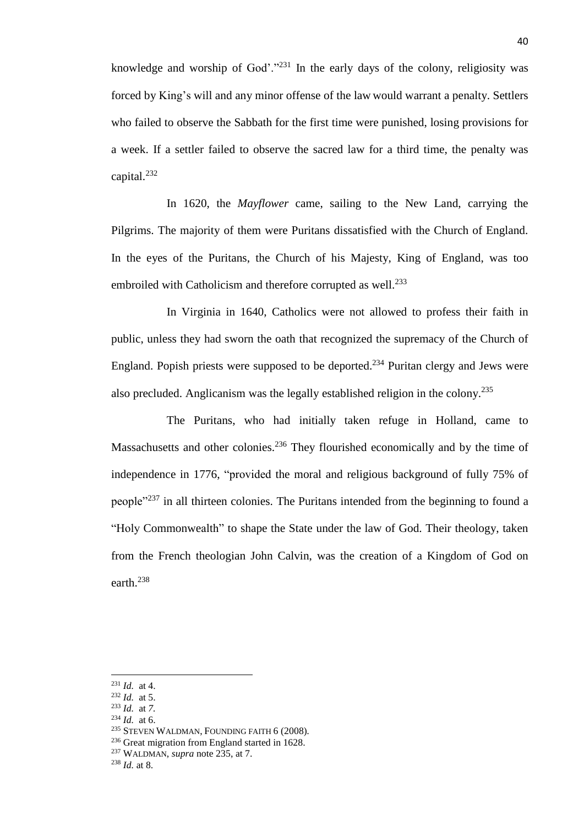knowledge and worship of  $God$ <sup>"."231</sup> In the early days of the colony, religiosity was forced by King's will and any minor offense of the law would warrant a penalty. Settlers who failed to observe the Sabbath for the first time were punished, losing provisions for a week. If a settler failed to observe the sacred law for a third time, the penalty was capital.<sup>232</sup>

In 1620, the *Mayflower* came, sailing to the New Land, carrying the Pilgrims. The majority of them were Puritans dissatisfied with the Church of England. In the eyes of the Puritans, the Church of his Majesty, King of England, was too embroiled with Catholicism and therefore corrupted as well.<sup>233</sup>

In Virginia in 1640, Catholics were not allowed to profess their faith in public, unless they had sworn the oath that recognized the supremacy of the Church of England. Popish priests were supposed to be deported.<sup>234</sup> Puritan clergy and Jews were also precluded. Anglicanism was the legally established religion in the colony.<sup>235</sup>

The Puritans, who had initially taken refuge in Holland, came to Massachusetts and other colonies.<sup>236</sup> They flourished economically and by the time of independence in 1776, "provided the moral and religious background of fully 75% of people<sup>"237</sup> in all thirteen colonies. The Puritans intended from the beginning to found a "Holy Commonwealth" to shape the State under the law of God. Their theology, taken from the French theologian John Calvin, was the creation of a Kingdom of God on earth.<sup>238</sup>

<sup>231</sup> *Id.* at 4.

<sup>232</sup> *Id.* at 5.

<sup>233</sup> *Id.* at *7.*

<sup>234</sup> *Id.* at 6.

<sup>235</sup> STEVEN WALDMAN, FOUNDING FAITH 6 (2008)*.* 

<sup>&</sup>lt;sup>236</sup> Great migration from England started in 1628.

<sup>237</sup> WALDMAN, *supra* note 235, at 7.

<sup>238</sup> *Id.* at 8.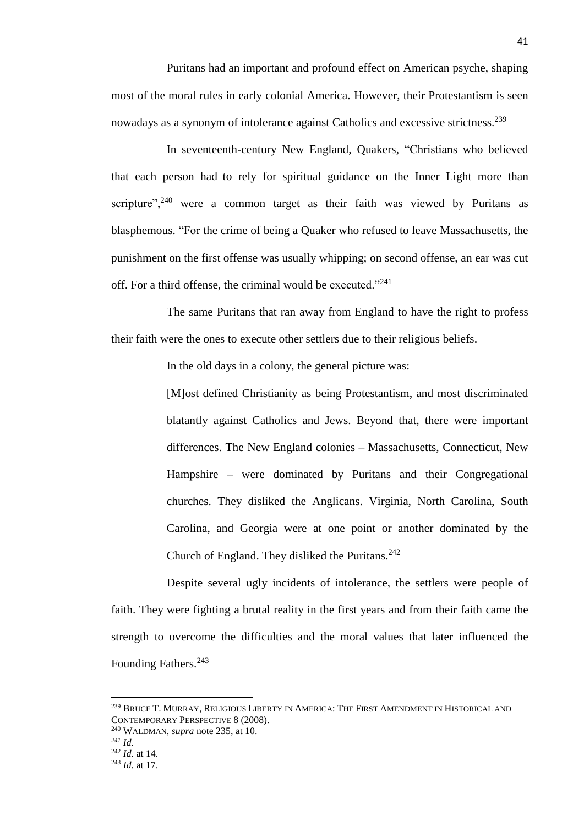Puritans had an important and profound effect on American psyche, shaping most of the moral rules in early colonial America. However, their Protestantism is seen nowadays as a synonym of intolerance against Catholics and excessive strictness.<sup>239</sup>

In seventeenth-century New England, Quakers, "Christians who believed that each person had to rely for spiritual guidance on the Inner Light more than scripture",  $240$  were a common target as their faith was viewed by Puritans as blasphemous. "For the crime of being a Quaker who refused to leave Massachusetts, the punishment on the first offense was usually whipping; on second offense, an ear was cut off. For a third offense, the criminal would be executed."<sup>241</sup>

The same Puritans that ran away from England to have the right to profess their faith were the ones to execute other settlers due to their religious beliefs.

In the old days in a colony, the general picture was:

[M]ost defined Christianity as being Protestantism, and most discriminated blatantly against Catholics and Jews. Beyond that, there were important differences. The New England colonies – Massachusetts, Connecticut, New Hampshire – were dominated by Puritans and their Congregational churches. They disliked the Anglicans. Virginia, North Carolina, South Carolina, and Georgia were at one point or another dominated by the Church of England. They disliked the Puritans. $242$ 

Despite several ugly incidents of intolerance, the settlers were people of faith. They were fighting a brutal reality in the first years and from their faith came the strength to overcome the difficulties and the moral values that later influenced the Founding Fathers.<sup>243</sup>

<sup>240</sup> WALDMAN, *supra* note 235, at 10.

<sup>&</sup>lt;sup>239</sup> Bruce T. Murray, Religious Liberty in America: The First Amendment in Historical and CONTEMPORARY PERSPECTIVE 8 (2008).

*<sup>241</sup> Id.*

<sup>242</sup> *Id.* at 14.

<sup>243</sup> *Id.* at 17.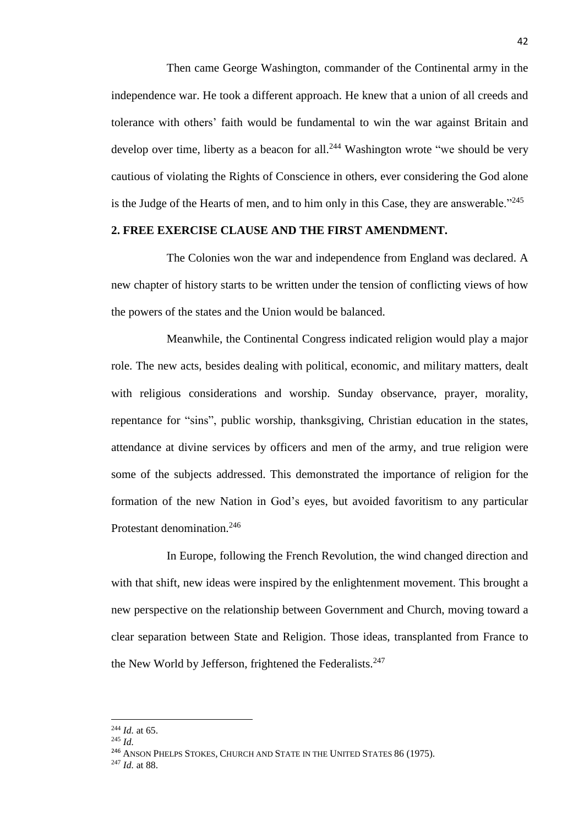Then came George Washington, commander of the Continental army in the independence war. He took a different approach. He knew that a union of all creeds and tolerance with others' faith would be fundamental to win the war against Britain and develop over time, liberty as a beacon for all.<sup>244</sup> Washington wrote "we should be very cautious of violating the Rights of Conscience in others, ever considering the God alone is the Judge of the Hearts of men, and to him only in this Case, they are answerable."<sup>245</sup>

#### **2. FREE EXERCISE CLAUSE AND THE FIRST AMENDMENT.**

The Colonies won the war and independence from England was declared. A new chapter of history starts to be written under the tension of conflicting views of how the powers of the states and the Union would be balanced.

Meanwhile, the Continental Congress indicated religion would play a major role. The new acts, besides dealing with political, economic, and military matters, dealt with religious considerations and worship. Sunday observance, prayer, morality, repentance for "sins", public worship, thanksgiving, Christian education in the states, attendance at divine services by officers and men of the army, and true religion were some of the subjects addressed. This demonstrated the importance of religion for the formation of the new Nation in God's eyes, but avoided favoritism to any particular Protestant denomination.<sup>246</sup>

In Europe, following the French Revolution, the wind changed direction and with that shift, new ideas were inspired by the enlightenment movement. This brought a new perspective on the relationship between Government and Church, moving toward a clear separation between State and Religion. Those ideas, transplanted from France to the New World by Jefferson, frightened the Federalists. $247$ 

<sup>244</sup> *Id.* at 65.

<sup>245</sup> *Id.*

<sup>&</sup>lt;sup>246</sup> ANSON PHELPS STOKES, CHURCH AND STATE IN THE UNITED STATES 86 (1975).

<sup>247</sup> *Id.* at 88.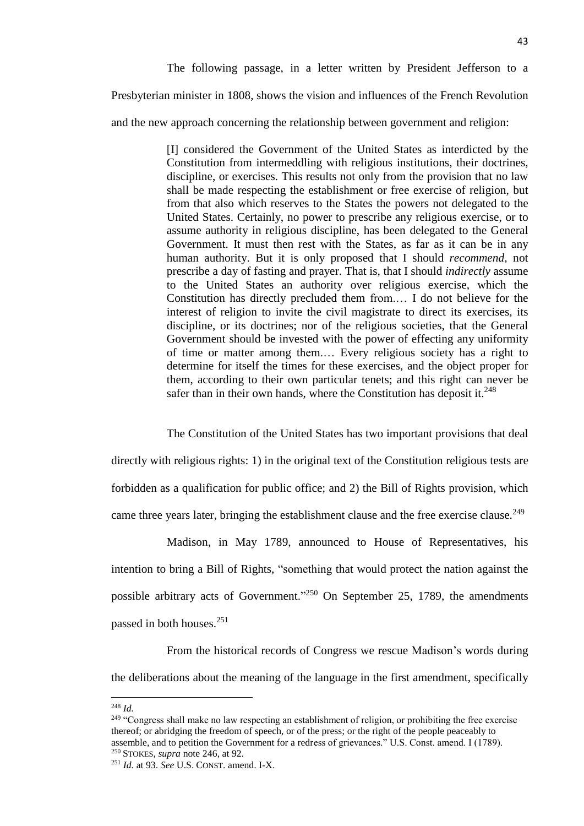The following passage, in a letter written by President Jefferson to a Presbyterian minister in 1808, shows the vision and influences of the French Revolution and the new approach concerning the relationship between government and religion:

> [I] considered the Government of the United States as interdicted by the Constitution from intermeddling with religious institutions, their doctrines, discipline, or exercises. This results not only from the provision that no law shall be made respecting the establishment or free exercise of religion, but from that also which reserves to the States the powers not delegated to the United States. Certainly, no power to prescribe any religious exercise, or to assume authority in religious discipline, has been delegated to the General Government. It must then rest with the States, as far as it can be in any human authority. But it is only proposed that I should *recommend,* not prescribe a day of fasting and prayer. That is, that I should *indirectly* assume to the United States an authority over religious exercise, which the Constitution has directly precluded them from.… I do not believe for the interest of religion to invite the civil magistrate to direct its exercises, its discipline, or its doctrines; nor of the religious societies, that the General Government should be invested with the power of effecting any uniformity of time or matter among them.… Every religious society has a right to determine for itself the times for these exercises, and the object proper for them, according to their own particular tenets; and this right can never be safer than in their own hands, where the Constitution has deposit it.<sup>248</sup>

> The Constitution of the United States has two important provisions that deal

directly with religious rights: 1) in the original text of the Constitution religious tests are forbidden as a qualification for public office; and 2) the Bill of Rights provision, which came three years later, bringing the establishment clause and the free exercise clause.<sup>249</sup>

Madison, in May 1789, announced to House of Representatives, his intention to bring a Bill of Rights, "something that would protect the nation against the possible arbitrary acts of Government."<sup>250</sup> On September 25, 1789, the amendments passed in both houses.<sup>251</sup>

From the historical records of Congress we rescue Madison's words during the deliberations about the meaning of the language in the first amendment, specifically

<sup>248</sup> *Id.* 

<sup>&</sup>lt;sup>249</sup> "Congress shall make no law respecting an establishment of religion, or prohibiting the free exercise thereof; or abridging the freedom of speech, or of the press; or the right of the people peaceably to assemble, and to petition the Government for a redress of grievances." U.S. Const. amend. I (1789). <sup>250</sup> STOKES, *supra* note 246, at 92.

<sup>251</sup> *Id.* at 93. *See* U.S. CONST. amend. I-X.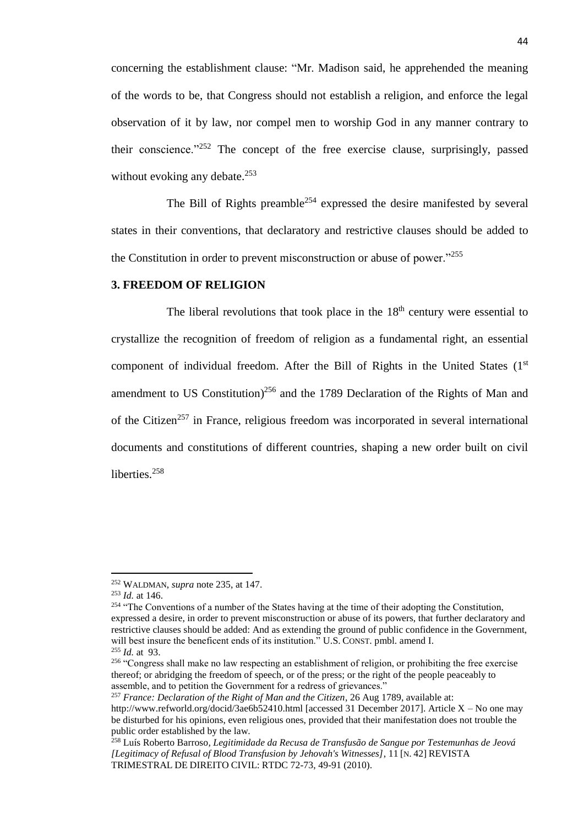concerning the establishment clause: "Mr. Madison said, he apprehended the meaning of the words to be, that Congress should not establish a religion, and enforce the legal observation of it by law, nor compel men to worship God in any manner contrary to their conscience."<sup>252</sup> The concept of the free exercise clause, surprisingly, passed without evoking any debate. $253$ 

The Bill of Rights preamble<sup>254</sup> expressed the desire manifested by several states in their conventions, that declaratory and restrictive clauses should be added to the Constitution in order to prevent misconstruction or abuse of power."<sup>255</sup>

#### **3. FREEDOM OF RELIGION**

The liberal revolutions that took place in the  $18<sup>th</sup>$  century were essential to crystallize the recognition of freedom of religion as a fundamental right, an essential component of individual freedom. After the Bill of Rights in the United States (1st amendment to US Constitution)<sup>256</sup> and the 1789 Declaration of the Rights of Man and of the Citizen<sup>257</sup> in France, religious freedom was incorporated in several international documents and constitutions of different countries, shaping a new order built on civil liberties.<sup>258</sup>

<sup>252</sup> WALDMAN, *supra* note 235, at 147.

<sup>253</sup> *Id.* at 146.

<sup>&</sup>lt;sup>254</sup> "The Conventions of a number of the States having at the time of their adopting the Constitution, expressed a desire, in order to prevent misconstruction or abuse of its powers, that further declaratory and restrictive clauses should be added: And as extending the ground of public confidence in the Government, will best insure the beneficent ends of its institution." U.S. CONST. pmbl. amend I. <sup>255</sup> *Id.* at 93.

<sup>&</sup>lt;sup>256</sup> "Congress shall make no law respecting an establishment of religion, or prohibiting the free exercise thereof; or abridging the freedom of speech, or of the press; or the right of the people peaceably to assemble, and to petition the Government for a redress of grievances."

<sup>257</sup> *France: Declaration of the Right of Man and the Citizen*, 26 Aug 1789, available at:

http://www.refworld.org/docid/3ae6b52410.html [accessed 31 December 2017]. Article X – No one may be disturbed for his opinions, even religious ones, provided that their manifestation does not trouble the public order established by the law.

<sup>258</sup> Luís Roberto Barroso*, Legitimidade da Recusa de Transfusão de Sangue por Testemunhas de Jeová [Legitimacy of Refusal of Blood Transfusion by Jehovah's Witnesses]*, 11 [N. 42] REVISTA TRIMESTRAL DE DIREITO CIVIL: RTDC 72-73, 49-91 (2010).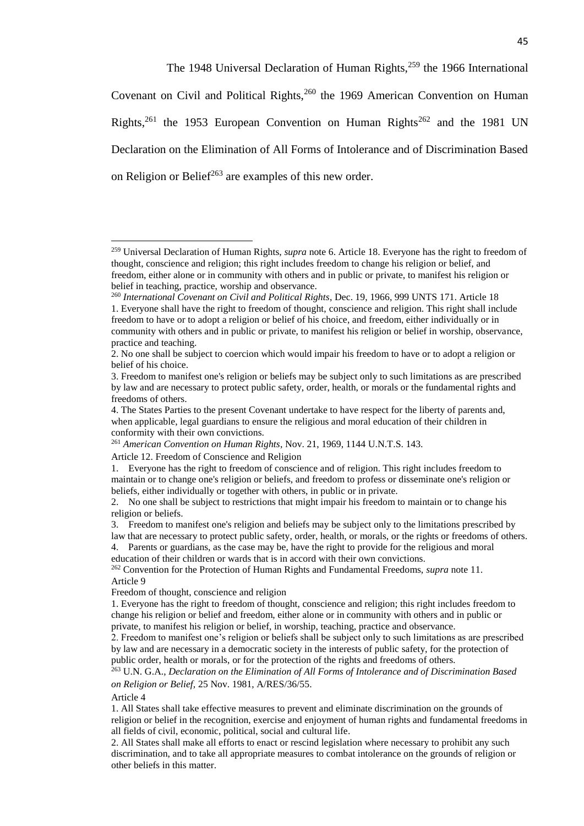The 1948 Universal Declaration of Human Rights,<sup>259</sup> the 1966 International Covenant on Civil and Political Rights,  $260$  the 1969 American Convention on Human Rights,<sup>261</sup> the 1953 European Convention on Human Rights<sup>262</sup> and the 1981 UN Declaration on the Elimination of All Forms of Intolerance and of Discrimination Based on Religion or Belief<sup>263</sup> are examples of this new order.

#### Article 4

 $\overline{a}$ 

1. All States shall take effective measures to prevent and eliminate discrimination on the grounds of religion or belief in the recognition, exercise and enjoyment of human rights and fundamental freedoms in all fields of civil, economic, political, social and cultural life.

2. All States shall make all efforts to enact or rescind legislation where necessary to prohibit any such discrimination, and to take all appropriate measures to combat intolerance on the grounds of religion or other beliefs in this matter.

<sup>259</sup> Universal Declaration of Human Rights, *supra* note 6. Article 18. Everyone has the right to freedom of thought, conscience and religion; this right includes freedom to change his religion or belief, and freedom, either alone or in community with others and in public or private, to manifest his religion or belief in teaching, practice, worship and observance.

<sup>260</sup> *International Covenant on Civil and Political Rights*, Dec. 19, 1966, 999 UNTS 171. Article 18 1. Everyone shall have the right to freedom of thought, conscience and religion. This right shall include freedom to have or to adopt a religion or belief of his choice, and freedom, either individually or in community with others and in public or private, to manifest his religion or belief in worship, observance, practice and teaching.

<sup>2.</sup> No one shall be subject to coercion which would impair his freedom to have or to adopt a religion or belief of his choice.

<sup>3.</sup> Freedom to manifest one's religion or beliefs may be subject only to such limitations as are prescribed by law and are necessary to protect public safety, order, health, or morals or the fundamental rights and freedoms of others.

<sup>4.</sup> The States Parties to the present Covenant undertake to have respect for the liberty of parents and, when applicable, legal guardians to ensure the religious and moral education of their children in conformity with their own convictions.

<sup>261</sup> *American Convention on Human Rights*, Nov. 21, 1969, 1144 U.N.T.S. 143.

Article 12. Freedom of Conscience and Religion

<sup>1.</sup> Everyone has the right to freedom of conscience and of religion. This right includes freedom to maintain or to change one's religion or beliefs, and freedom to profess or disseminate one's religion or beliefs, either individually or together with others, in public or in private.

<sup>2.</sup> No one shall be subject to restrictions that might impair his freedom to maintain or to change his religion or beliefs.

<sup>3.</sup> Freedom to manifest one's religion and beliefs may be subject only to the limitations prescribed by law that are necessary to protect public safety, order, health, or morals, or the rights or freedoms of others.

<sup>4.</sup> Parents or guardians, as the case may be, have the right to provide for the religious and moral education of their children or wards that is in accord with their own convictions.

<sup>262</sup> Convention for the Protection of Human Rights and Fundamental Freedoms, *supra* note 11. Article 9

Freedom of thought, conscience and religion

<sup>1.</sup> Everyone has the right to freedom of thought, conscience and religion; this right includes freedom to change his religion or belief and freedom, either alone or in community with others and in public or private, to manifest his religion or belief, in worship, teaching, practice and observance.

<sup>2.</sup> Freedom to manifest one's religion or beliefs shall be subject only to such limitations as are prescribed by law and are necessary in a democratic society in the interests of public safety, for the protection of public order, health or morals, or for the protection of the rights and freedoms of others.

<sup>263</sup> U.N. G.A., *Declaration on the Elimination of All Forms of Intolerance and of Discrimination Based on Religion or Belief,* 25 Nov. 1981, A/RES/36/55.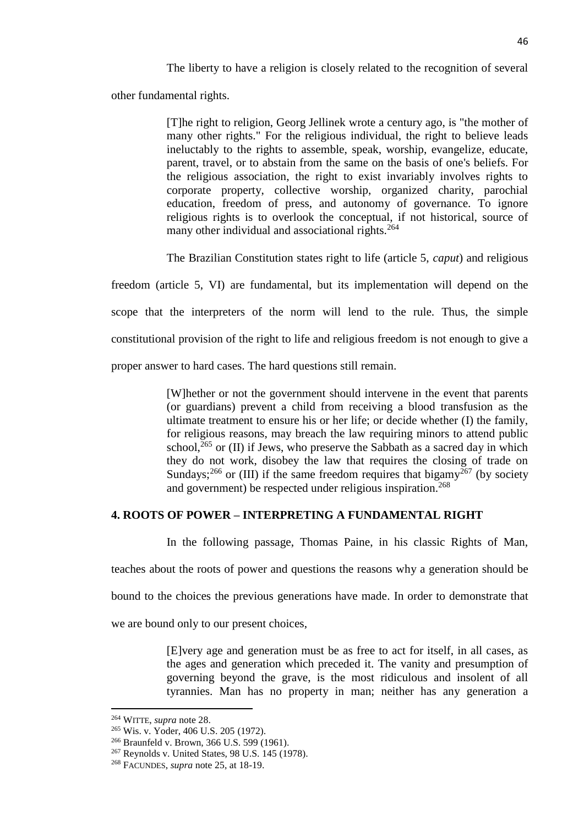The liberty to have a religion is closely related to the recognition of several

other fundamental rights.

[T]he right to religion, Georg Jellinek wrote a century ago, is "the mother of many other rights." For the religious individual, the right to believe leads ineluctably to the rights to assemble, speak, worship, evangelize, educate, parent, travel, or to abstain from the same on the basis of one's beliefs. For the religious association, the right to exist invariably involves rights to corporate property, collective worship, organized charity, parochial education, freedom of press, and autonomy of governance. To ignore religious rights is to overlook the conceptual, if not historical, source of many other individual and associational rights.<sup>264</sup>

The Brazilian Constitution states right to life (article 5, *caput*) and religious

freedom (article 5, VI) are fundamental, but its implementation will depend on the scope that the interpreters of the norm will lend to the rule. Thus, the simple constitutional provision of the right to life and religious freedom is not enough to give a proper answer to hard cases. The hard questions still remain.

> [W]hether or not the government should intervene in the event that parents (or guardians) prevent a child from receiving a blood transfusion as the ultimate treatment to ensure his or her life; or decide whether (I) the family, for religious reasons, may breach the law requiring minors to attend public school, $^{265}$  or (II) if Jews, who preserve the Sabbath as a sacred day in which they do not work, disobey the law that requires the closing of trade on Sundays;<sup>266</sup> or (III) if the same freedom requires that bigamy<sup>267</sup> (by society and government) be respected under religious inspiration.<sup>268</sup>

#### **4. ROOTS OF POWER – INTERPRETING A FUNDAMENTAL RIGHT**

In the following passage, Thomas Paine, in his classic Rights of Man,

teaches about the roots of power and questions the reasons why a generation should be

bound to the choices the previous generations have made. In order to demonstrate that

we are bound only to our present choices,

[E]very age and generation must be as free to act for itself, in all cases, as the ages and generation which preceded it. The vanity and presumption of governing beyond the grave, is the most ridiculous and insolent of all tyrannies. Man has no property in man; neither has any generation a

<sup>264</sup> WITTE, *supra* note 28.

<sup>265</sup> Wis. v. Yoder, 406 U.S. 205 (1972).

<sup>266</sup> Braunfeld v. Brown, 366 U.S. 599 (1961).

<sup>267</sup> Reynolds v. United States, 98 U.S. 145 (1978).

<sup>268</sup> FACUNDES, *supra* note 25, at 18-19.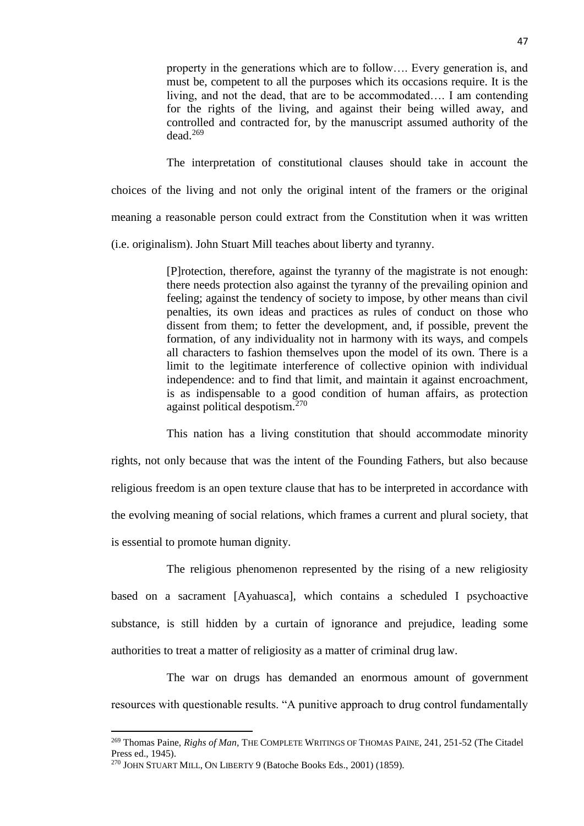property in the generations which are to follow…. Every generation is, and must be, competent to all the purposes which its occasions require. It is the living, and not the dead, that are to be accommodated…. I am contending for the rights of the living, and against their being willed away, and controlled and contracted for, by the manuscript assumed authority of the dead.<sup>269</sup>

The interpretation of constitutional clauses should take in account the choices of the living and not only the original intent of the framers or the original meaning a reasonable person could extract from the Constitution when it was written (i.e. originalism). John Stuart Mill teaches about liberty and tyranny.

> [P]rotection, therefore, against the tyranny of the magistrate is not enough: there needs protection also against the tyranny of the prevailing opinion and feeling; against the tendency of society to impose, by other means than civil penalties, its own ideas and practices as rules of conduct on those who dissent from them; to fetter the development, and, if possible, prevent the formation, of any individuality not in harmony with its ways, and compels all characters to fashion themselves upon the model of its own. There is a limit to the legitimate interference of collective opinion with individual independence: and to find that limit, and maintain it against encroachment, is as indispensable to a good condition of human affairs, as protection against political despotism.<sup>270</sup>

This nation has a living constitution that should accommodate minority rights, not only because that was the intent of the Founding Fathers, but also because religious freedom is an open texture clause that has to be interpreted in accordance with the evolving meaning of social relations, which frames a current and plural society, that is essential to promote human dignity.

The religious phenomenon represented by the rising of a new religiosity based on a sacrament [Ayahuasca], which contains a scheduled I psychoactive substance, is still hidden by a curtain of ignorance and prejudice, leading some authorities to treat a matter of religiosity as a matter of criminal drug law.

The war on drugs has demanded an enormous amount of government resources with questionable results. "A punitive approach to drug control fundamentally

l

<sup>269</sup> Thomas Paine, *Righs of Man,* THE COMPLETE WRITINGS OF THOMAS PAINE, 241, 251-52 (The Citadel Press ed., 1945).

<sup>270</sup> JOHN STUART MILL, ON LIBERTY 9 (Batoche Books Eds., 2001) (1859).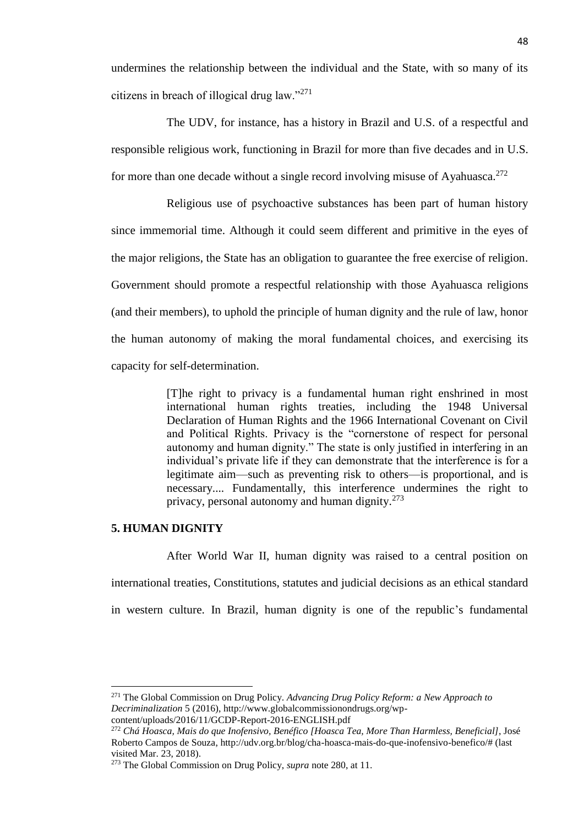undermines the relationship between the individual and the State, with so many of its citizens in breach of illogical drug law."<sup>271</sup>

The UDV, for instance, has a history in Brazil and U.S. of a respectful and responsible religious work, functioning in Brazil for more than five decades and in U.S. for more than one decade without a single record involving misuse of Ayahuasca.<sup>272</sup>

Religious use of psychoactive substances has been part of human history since immemorial time. Although it could seem different and primitive in the eyes of the major religions, the State has an obligation to guarantee the free exercise of religion. Government should promote a respectful relationship with those Ayahuasca religions (and their members), to uphold the principle of human dignity and the rule of law, honor the human autonomy of making the moral fundamental choices, and exercising its capacity for self-determination.

> [T]he right to privacy is a fundamental human right enshrined in most international human rights treaties, including the 1948 Universal Declaration of Human Rights and the 1966 International Covenant on Civil and Political Rights. Privacy is the "cornerstone of respect for personal autonomy and human dignity." The state is only justified in interfering in an individual's private life if they can demonstrate that the interference is for a legitimate aim—such as preventing risk to others—is proportional, and is necessary.... Fundamentally, this interference undermines the right to privacy, personal autonomy and human dignity. $273$

#### **5. HUMAN DIGNITY**

 $\overline{\phantom{a}}$ 

After World War II, human dignity was raised to a central position on

international treaties, Constitutions, statutes and judicial decisions as an ethical standard

in western culture. In Brazil, human dignity is one of the republic's fundamental

<sup>271</sup> The Global Commission on Drug Policy. *Advancing Drug Policy Reform: a New Approach to Decriminalization* 5 (2016), http://www.globalcommissionondrugs.org/wpcontent/uploads/2016/11/GCDP-Report-2016-ENGLISH.pdf

<sup>272</sup> *Chá Hoasca, Mais do que Inofensivo, Benéfico [Hoasca Tea, More Than Harmless, Beneficial]*, José Roberto Campos de Souza, http://udv.org.br/blog/cha-hoasca-mais-do-que-inofensivo-benefico/# (last visited Mar. 23, 2018).

<sup>273</sup> The Global Commission on Drug Policy, *supra* note 280, at 11.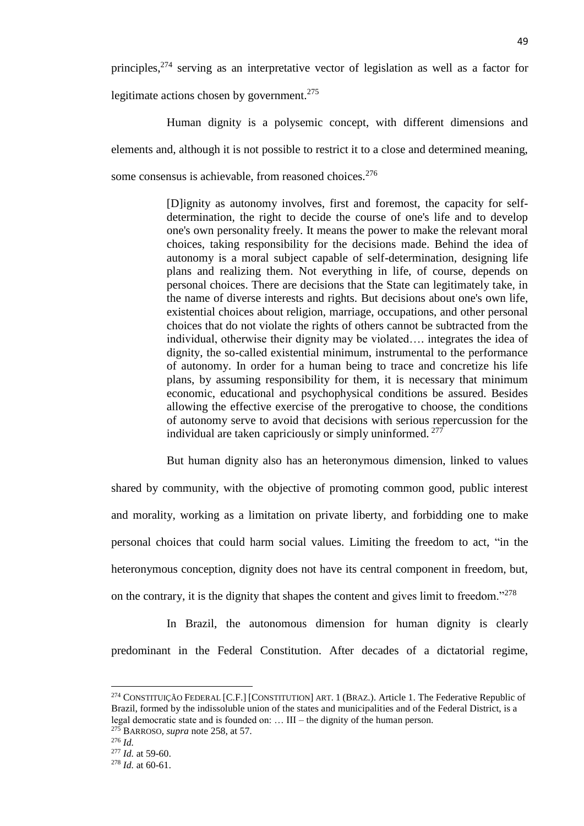principles,<sup>274</sup> serving as an interpretative vector of legislation as well as a factor for legitimate actions chosen by government.<sup>275</sup>

Human dignity is a polysemic concept, with different dimensions and elements and, although it is not possible to restrict it to a close and determined meaning, some consensus is achievable, from reasoned choices.<sup>276</sup>

> [D]ignity as autonomy involves, first and foremost, the capacity for selfdetermination, the right to decide the course of one's life and to develop one's own personality freely. It means the power to make the relevant moral choices, taking responsibility for the decisions made. Behind the idea of autonomy is a moral subject capable of self-determination, designing life plans and realizing them. Not everything in life, of course, depends on personal choices. There are decisions that the State can legitimately take, in the name of diverse interests and rights. But decisions about one's own life, existential choices about religion, marriage, occupations, and other personal choices that do not violate the rights of others cannot be subtracted from the individual, otherwise their dignity may be violated…. integrates the idea of dignity, the so-called existential minimum, instrumental to the performance of autonomy. In order for a human being to trace and concretize his life plans, by assuming responsibility for them, it is necessary that minimum economic, educational and psychophysical conditions be assured. Besides allowing the effective exercise of the prerogative to choose, the conditions of autonomy serve to avoid that decisions with serious repercussion for the individual are taken capriciously or simply uninformed. <sup>277</sup>

But human dignity also has an heteronymous dimension, linked to values shared by community, with the objective of promoting common good, public interest and morality, working as a limitation on private liberty, and forbidding one to make personal choices that could harm social values. Limiting the freedom to act, "in the heteronymous conception, dignity does not have its central component in freedom, but, on the contrary, it is the dignity that shapes the content and gives limit to freedom."<sup>278</sup>

In Brazil, the autonomous dimension for human dignity is clearly predominant in the Federal Constitution. After decades of a dictatorial regime,

<sup>&</sup>lt;sup>274</sup> CONSTITUIÇÃO FEDERAL [C.F.] [CONSTITUTION] ART. 1 (BRAZ.). Article 1. The Federative Republic of Brazil, formed by the indissoluble union of the states and municipalities and of the Federal District, is a legal democratic state and is founded on: … III – the dignity of the human person.

<sup>275</sup> BARROSO*, supra* note 258, at 57.

<sup>276</sup> *Id.*

<sup>277</sup> *Id.* at 59-60.

<sup>278</sup> *Id.* at 60-61.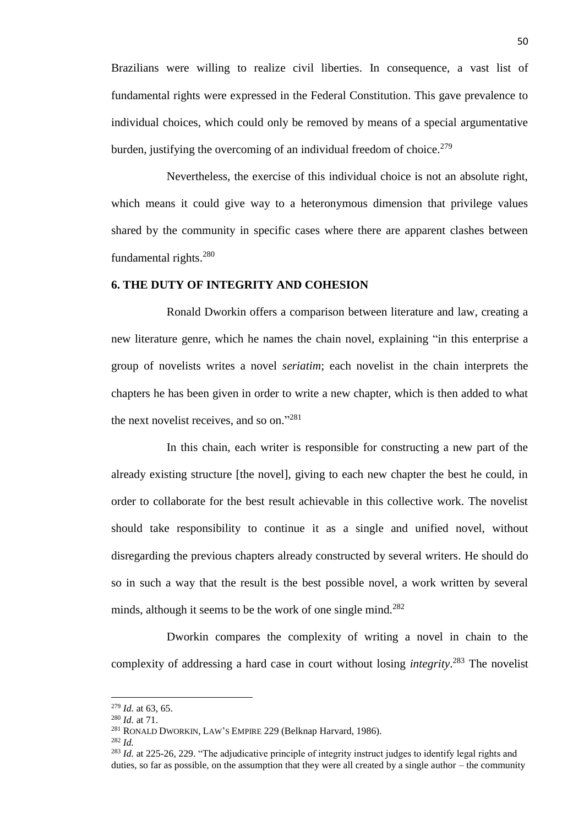Brazilians were willing to realize civil liberties. In consequence, a vast list of fundamental rights were expressed in the Federal Constitution. This gave prevalence to individual choices, which could only be removed by means of a special argumentative burden, justifying the overcoming of an individual freedom of choice.<sup>279</sup>

Nevertheless, the exercise of this individual choice is not an absolute right, which means it could give way to a heteronymous dimension that privilege values shared by the community in specific cases where there are apparent clashes between fundamental rights.<sup>280</sup>

#### **6. THE DUTY OF INTEGRITY AND COHESION**

Ronald Dworkin offers a comparison between literature and law, creating a new literature genre, which he names the chain novel, explaining "in this enterprise a group of novelists writes a novel *seriatim*; each novelist in the chain interprets the chapters he has been given in order to write a new chapter, which is then added to what the next novelist receives, and so on."<sup>281</sup>

In this chain, each writer is responsible for constructing a new part of the already existing structure [the novel], giving to each new chapter the best he could, in order to collaborate for the best result achievable in this collective work. The novelist should take responsibility to continue it as a single and unified novel, without disregarding the previous chapters already constructed by several writers. He should do so in such a way that the result is the best possible novel, a work written by several minds, although it seems to be the work of one single mind.<sup>282</sup>

Dworkin compares the complexity of writing a novel in chain to the complexity of addressing a hard case in court without losing *integrity*. <sup>283</sup> The novelist

<sup>279</sup> *Id.* at 63, 65.

<sup>280</sup> *Id.* at 71.

<sup>281</sup> RONALD DWORKIN, LAW'S EMPIRE 229 (Belknap Harvard, 1986).

<sup>282</sup> *Id.*

<sup>&</sup>lt;sup>283</sup> *Id.* at 225-26, 229. "The adjudicative principle of integrity instruct judges to identify legal rights and duties, so far as possible, on the assumption that they were all created by a single author  $-$  the community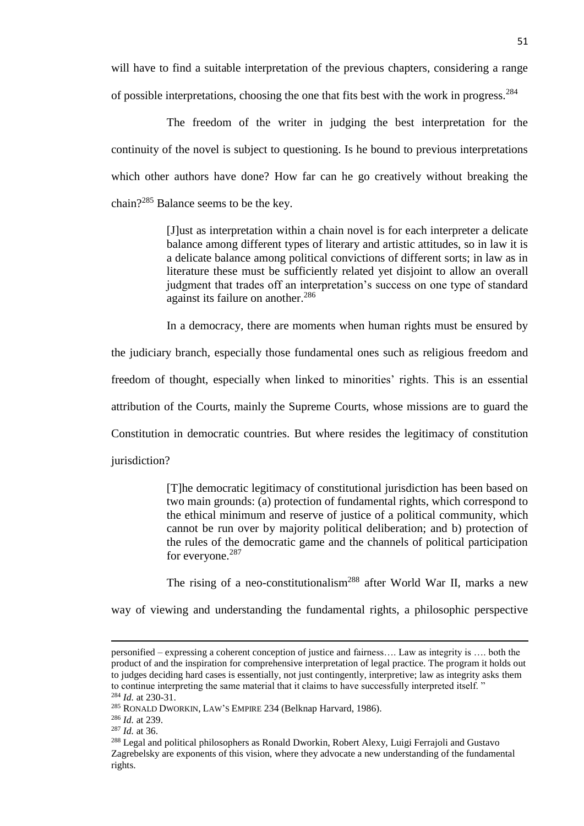will have to find a suitable interpretation of the previous chapters, considering a range of possible interpretations, choosing the one that fits best with the work in progress.<sup>284</sup>

The freedom of the writer in judging the best interpretation for the continuity of the novel is subject to questioning. Is he bound to previous interpretations which other authors have done? How far can he go creatively without breaking the chain?<sup>285</sup> Balance seems to be the key.

> [J]ust as interpretation within a chain novel is for each interpreter a delicate balance among different types of literary and artistic attitudes, so in law it is a delicate balance among political convictions of different sorts; in law as in literature these must be sufficiently related yet disjoint to allow an overall judgment that trades off an interpretation's success on one type of standard against its failure on another.<sup>286</sup>

> In a democracy, there are moments when human rights must be ensured by

the judiciary branch, especially those fundamental ones such as religious freedom and freedom of thought, especially when linked to minorities' rights. This is an essential attribution of the Courts, mainly the Supreme Courts, whose missions are to guard the Constitution in democratic countries. But where resides the legitimacy of constitution jurisdiction?

> [T]he democratic legitimacy of constitutional jurisdiction has been based on two main grounds: (a) protection of fundamental rights, which correspond to the ethical minimum and reserve of justice of a political community, which cannot be run over by majority political deliberation; and b) protection of the rules of the democratic game and the channels of political participation for everyone.<sup>287</sup>

> The rising of a neo-constitutionalism<sup>288</sup> after World War II, marks a new

way of viewing and understanding the fundamental rights, a philosophic perspective

personified – expressing a coherent conception of justice and fairness…. Law as integrity is …. both the product of and the inspiration for comprehensive interpretation of legal practice. The program it holds out to judges deciding hard cases is essentially, not just contingently, interpretive; law as integrity asks them to continue interpreting the same material that it claims to have successfully interpreted itself. " <sup>284</sup> *Id.* at 230-31.

<sup>285</sup> RONALD DWORKIN, LAW'S EMPIRE 234 (Belknap Harvard, 1986).

<sup>286</sup> *Id.* at 239.

<sup>287</sup> *Id.* at 36.

<sup>&</sup>lt;sup>288</sup> Legal and political philosophers as Ronald Dworkin, Robert Alexy, Luigi Ferrajoli and Gustavo Zagrebelsky are exponents of this vision, where they advocate a new understanding of the fundamental rights.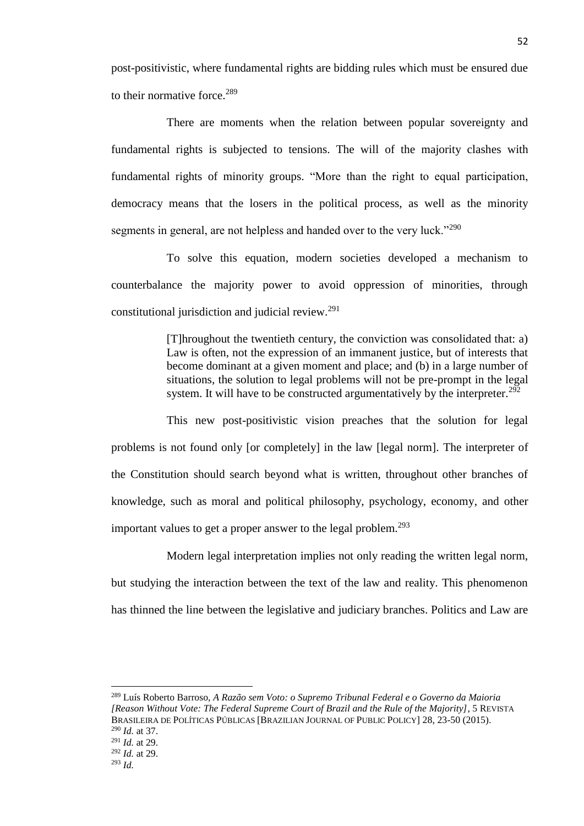post-positivistic, where fundamental rights are bidding rules which must be ensured due to their normative force. $289$ 

There are moments when the relation between popular sovereignty and fundamental rights is subjected to tensions. The will of the majority clashes with fundamental rights of minority groups. "More than the right to equal participation, democracy means that the losers in the political process, as well as the minority segments in general, are not helpless and handed over to the very luck."<sup>290</sup>

To solve this equation, modern societies developed a mechanism to counterbalance the majority power to avoid oppression of minorities, through constitutional jurisdiction and judicial review.<sup>291</sup>

> [T]hroughout the twentieth century, the conviction was consolidated that: a) Law is often, not the expression of an immanent justice, but of interests that become dominant at a given moment and place; and (b) in a large number of situations, the solution to legal problems will not be pre-prompt in the legal system. It will have to be constructed argumentatively by the interpreter.<sup>292</sup>

This new post-positivistic vision preaches that the solution for legal problems is not found only [or completely] in the law [legal norm]. The interpreter of the Constitution should search beyond what is written, throughout other branches of knowledge, such as moral and political philosophy, psychology, economy, and other important values to get a proper answer to the legal problem.<sup>293</sup>

Modern legal interpretation implies not only reading the written legal norm, but studying the interaction between the text of the law and reality. This phenomenon has thinned the line between the legislative and judiciary branches. Politics and Law are

<sup>289</sup> Luís Roberto Barroso, *A Razão sem Voto: o Supremo Tribunal Federal e o Governo da Maioria [Reason Without Vote: The Federal Supreme Court of Brazil and the Rule of the Majority]*, 5 REVISTA BRASILEIRA DE POLÍTICAS PÚBLICAS [BRAZILIAN JOURNAL OF PUBLIC POLICY] 28, 23-50 (2015). <sup>290</sup> *Id.* at 37. <sup>291</sup> *Id.* at 29.

<sup>292</sup> *Id.* at 29.

<sup>293</sup> *Id.*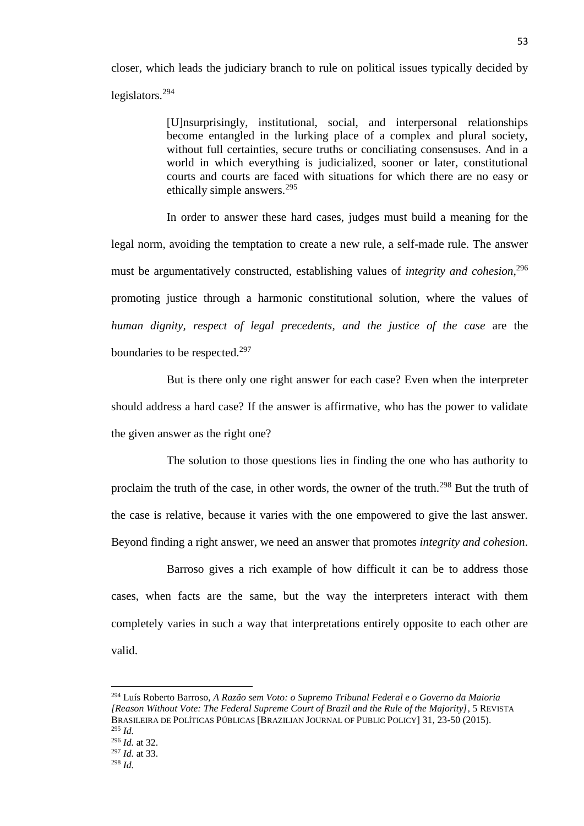closer, which leads the judiciary branch to rule on political issues typically decided by legislators.<sup>294</sup>

> [U]nsurprisingly, institutional, social, and interpersonal relationships become entangled in the lurking place of a complex and plural society, without full certainties, secure truths or conciliating consensuses. And in a world in which everything is judicialized, sooner or later, constitutional courts and courts are faced with situations for which there are no easy or ethically simple answers.<sup>295</sup>

In order to answer these hard cases, judges must build a meaning for the legal norm, avoiding the temptation to create a new rule, a self-made rule. The answer must be argumentatively constructed, establishing values of *integrity and cohesion*, 296 promoting justice through a harmonic constitutional solution, where the values of *human dignity, respect of legal precedents, and the justice of the case* are the boundaries to be respected.<sup>297</sup>

But is there only one right answer for each case? Even when the interpreter should address a hard case? If the answer is affirmative, who has the power to validate the given answer as the right one?

The solution to those questions lies in finding the one who has authority to proclaim the truth of the case, in other words, the owner of the truth.<sup>298</sup> But the truth of the case is relative, because it varies with the one empowered to give the last answer. Beyond finding a right answer, we need an answer that promotes *integrity and cohesion*.

Barroso gives a rich example of how difficult it can be to address those cases, when facts are the same, but the way the interpreters interact with them completely varies in such a way that interpretations entirely opposite to each other are valid.

<sup>294</sup> Luís Roberto Barroso, *A Razão sem Voto: o Supremo Tribunal Federal e o Governo da Maioria [Reason Without Vote: The Federal Supreme Court of Brazil and the Rule of the Majority]*, 5 REVISTA BRASILEIRA DE POLÍTICAS PÚBLICAS [BRAZILIAN JOURNAL OF PUBLIC POLICY] 31, 23-50 (2015). <sup>295</sup> *Id.* <sup>296</sup> *Id.* at 32. <sup>297</sup> *Id.* at 33.

<sup>298</sup> *Id.*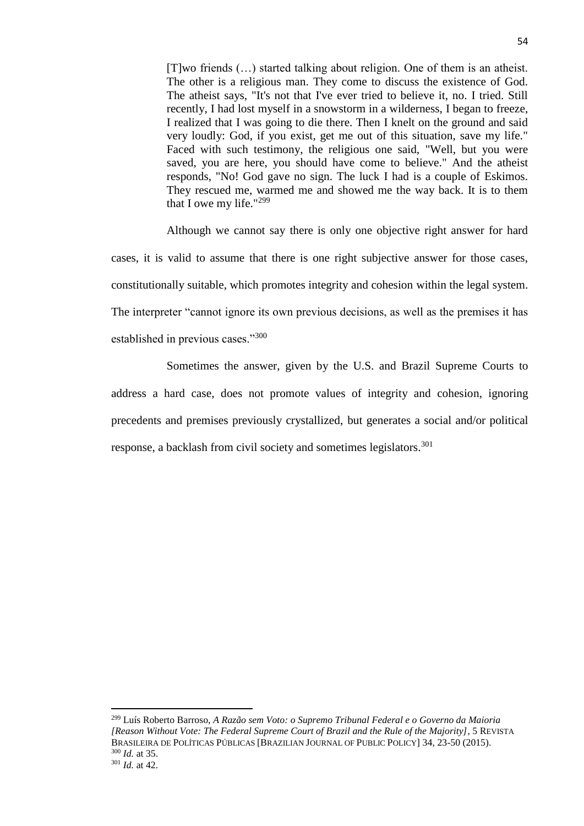[T]wo friends (…) started talking about religion. One of them is an atheist. The other is a religious man. They come to discuss the existence of God. The atheist says, "It's not that I've ever tried to believe it, no. I tried. Still recently, I had lost myself in a snowstorm in a wilderness, I began to freeze, I realized that I was going to die there. Then I knelt on the ground and said very loudly: God, if you exist, get me out of this situation, save my life." Faced with such testimony, the religious one said, "Well, but you were saved, you are here, you should have come to believe." And the atheist responds, "No! God gave no sign. The luck I had is a couple of Eskimos. They rescued me, warmed me and showed me the way back. It is to them that I owe my life." $299$ 

Although we cannot say there is only one objective right answer for hard cases, it is valid to assume that there is one right subjective answer for those cases, constitutionally suitable, which promotes integrity and cohesion within the legal system. The interpreter "cannot ignore its own previous decisions, as well as the premises it has established in previous cases."<sup>300</sup>

Sometimes the answer, given by the U.S. and Brazil Supreme Courts to address a hard case, does not promote values of integrity and cohesion, ignoring precedents and premises previously crystallized, but generates a social and/or political response, a backlash from civil society and sometimes legislators.<sup>301</sup>

<sup>299</sup> Luís Roberto Barroso, *A Razão sem Voto: o Supremo Tribunal Federal e o Governo da Maioria [Reason Without Vote: The Federal Supreme Court of Brazil and the Rule of the Majority]*, 5 REVISTA BRASILEIRA DE POLÍTICAS PÚBLICAS [BRAZILIAN JOURNAL OF PUBLIC POLICY] 34, 23-50 (2015). <sup>300</sup> *Id.* at 35. <sup>301</sup> *Id.* at 42.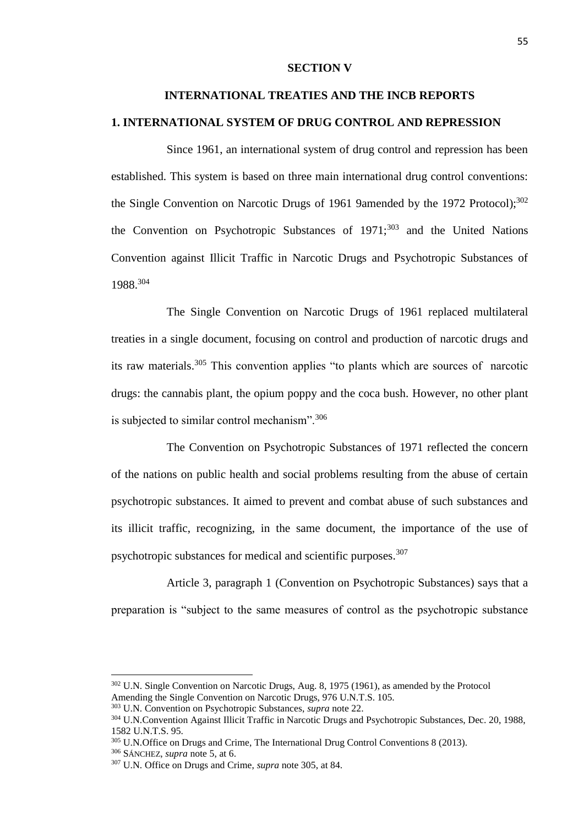#### **SECTION V**

## **INTERNATIONAL TREATIES AND THE INCB REPORTS**

### **1. INTERNATIONAL SYSTEM OF DRUG CONTROL AND REPRESSION**

Since 1961, an international system of drug control and repression has been established. This system is based on three main international drug control conventions: the Single Convention on Narcotic Drugs of 1961 9amended by the 1972 Protocol); 302 the Convention on Psychotropic Substances of  $1971$ ;<sup>303</sup> and the United Nations Convention against Illicit Traffic in Narcotic Drugs and Psychotropic Substances of 1988.<sup>304</sup>

The Single Convention on Narcotic Drugs of 1961 replaced multilateral treaties in a single document, focusing on control and production of narcotic drugs and its raw materials.<sup>305</sup> This convention applies "to plants which are sources of narcotic drugs: the cannabis plant, the opium poppy and the coca bush. However, no other plant is subjected to similar control mechanism".<sup>306</sup>

The Convention on Psychotropic Substances of 1971 reflected the concern of the nations on public health and social problems resulting from the abuse of certain psychotropic substances. It aimed to prevent and combat abuse of such substances and its illicit traffic, recognizing, in the same document, the importance of the use of psychotropic substances for medical and scientific purposes.<sup>307</sup>

Article 3, paragraph 1 (Convention on Psychotropic Substances) says that a preparation is "subject to the same measures of control as the psychotropic substance

<sup>&</sup>lt;sup>302</sup> U.N. Single Convention on Narcotic Drugs, Aug. 8, 1975 (1961), as amended by the Protocol Amending the Single Convention on Narcotic Drugs, 976 U.N.T.S. 105.

<sup>303</sup> U.N. Convention on Psychotropic Substances, *supra* note 22.

<sup>304</sup> U.N.Convention Against Illicit Traffic in Narcotic Drugs and Psychotropic Substances, Dec. 20, 1988, 1582 U.N.T.S. 95.

<sup>&</sup>lt;sup>305</sup> U.N.Office on Drugs and Crime, The International Drug Control Conventions 8 (2013).

<sup>306</sup> SÁNCHEZ, *supra* note 5, at 6.

<sup>307</sup> U.N. Office on Drugs and Crime, *supra* note 305, at 84.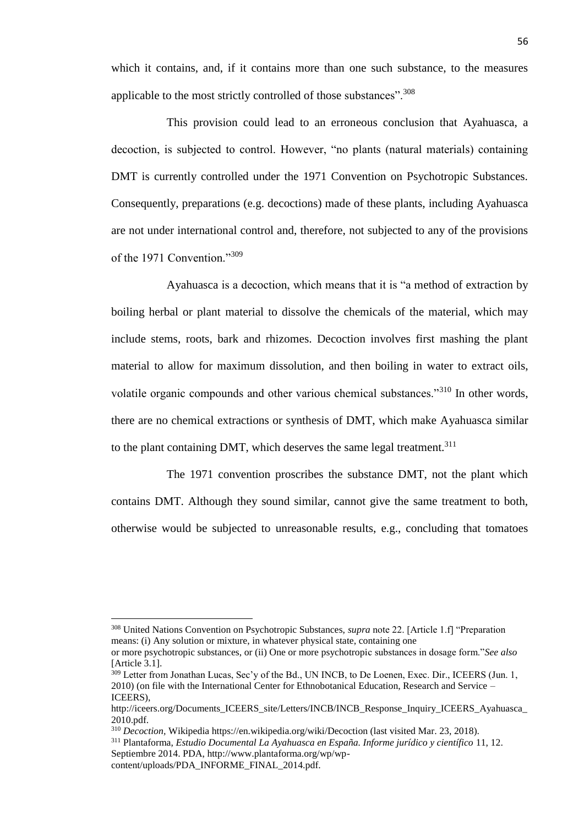which it contains, and, if it contains more than one such substance, to the measures applicable to the most strictly controlled of those substances".<sup>308</sup>

This provision could lead to an erroneous conclusion that Ayahuasca, a decoction, is subjected to control. However, "no plants (natural materials) containing DMT is currently controlled under the 1971 Convention on Psychotropic Substances. Consequently, preparations (e.g. decoctions) made of these plants, including Ayahuasca are not under international control and, therefore, not subjected to any of the provisions of the 1971 Convention."309

Ayahuasca is a decoction, which means that it is "a method of extraction by boiling herbal or plant material to dissolve the chemicals of the material, which may include stems, roots, bark and rhizomes. Decoction involves first mashing the plant material to allow for maximum dissolution, and then boiling in water to extract oils, volatile organic compounds and other various chemical substances."<sup>310</sup> In other words, there are no chemical extractions or synthesis of DMT, which make Ayahuasca similar to the plant containing DMT, which deserves the same legal treatment.<sup>311</sup>

The 1971 convention proscribes the substance DMT, not the plant which contains DMT. Although they sound similar, cannot give the same treatment to both, otherwise would be subjected to unreasonable results, e.g., concluding that tomatoes

<sup>308</sup> United Nations Convention on Psychotropic Substances, *supra* note 22. [Article 1.f] "Preparation means: (i) Any solution or mixture, in whatever physical state, containing one

or more psychotropic substances, or (ii) One or more psychotropic substances in dosage form."*See also*  [Article 3.1].

<sup>&</sup>lt;sup>309</sup> Letter from Jonathan Lucas, Sec'y of the Bd., UN INCB, to De Loenen, Exec. Dir., ICEERS (Jun. 1, 2010) (on file with the International Center for Ethnobotanical Education, Research and Service – ICEERS),

http://iceers.org/Documents\_ICEERS\_site/Letters/INCB/INCB\_Response\_Inquiry\_ICEERS\_Ayahuasca\_ 2010.pdf.

<sup>310</sup> *Decoction,* Wikipedia https://en.wikipedia.org/wiki/Decoction (last visited Mar. 23, 2018).

<sup>311</sup> Plantaforma, *Estudio Documental La Ayahuasca en España. Informe jurídico y científico* 11, 12. Septiembre 2014. PDA, http://www.plantaforma.org/wp/wp-

content/uploads/PDA\_INFORME\_FINAL\_2014.pdf.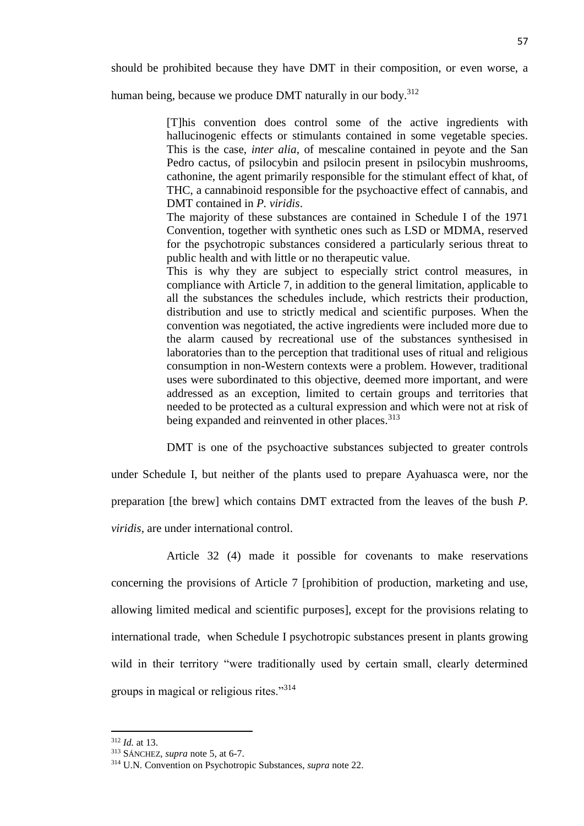should be prohibited because they have DMT in their composition, or even worse, a

human being, because we produce DMT naturally in our body.<sup>312</sup>

[T]his convention does control some of the active ingredients with hallucinogenic effects or stimulants contained in some vegetable species. This is the case, *inter alia*, of mescaline contained in peyote and the San Pedro cactus, of psilocybin and psilocin present in psilocybin mushrooms, cathonine, the agent primarily responsible for the stimulant effect of khat, of THC, a cannabinoid responsible for the psychoactive effect of cannabis, and DMT contained in *P. viridis*.

The majority of these substances are contained in Schedule I of the 1971 Convention, together with synthetic ones such as LSD or MDMA, reserved for the psychotropic substances considered a particularly serious threat to public health and with little or no therapeutic value.

This is why they are subject to especially strict control measures, in compliance with Article 7, in addition to the general limitation, applicable to all the substances the schedules include, which restricts their production, distribution and use to strictly medical and scientific purposes. When the convention was negotiated, the active ingredients were included more due to the alarm caused by recreational use of the substances synthesised in laboratories than to the perception that traditional uses of ritual and religious consumption in non-Western contexts were a problem. However, traditional uses were subordinated to this objective, deemed more important, and were addressed as an exception, limited to certain groups and territories that needed to be protected as a cultural expression and which were not at risk of being expanded and reinvented in other places.<sup>313</sup>

DMT is one of the psychoactive substances subjected to greater controls

under Schedule I, but neither of the plants used to prepare Ayahuasca were, nor the preparation [the brew] which contains DMT extracted from the leaves of the bush *P. viridis,* are under international control.

Article 32 (4) made it possible for covenants to make reservations concerning the provisions of Article 7 [prohibition of production, marketing and use, allowing limited medical and scientific purposes], except for the provisions relating to international trade, when Schedule I psychotropic substances present in plants growing wild in their territory "were traditionally used by certain small, clearly determined groups in magical or religious rites."<sup>314</sup>

l

<sup>312</sup> *Id.* at 13.

<sup>313</sup> SÁNCHEZ, *supra* note 5, at 6-7.

<sup>314</sup> U.N. Convention on Psychotropic Substances, *supra* note 22.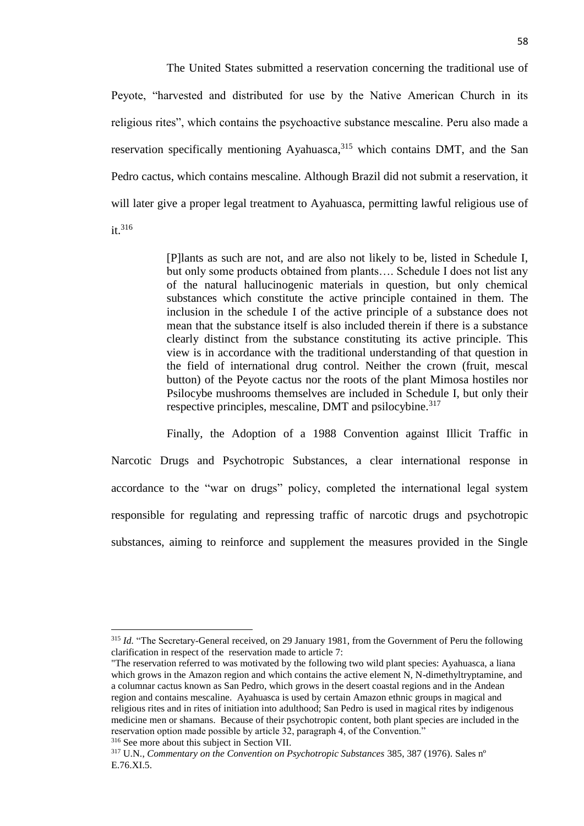The United States submitted a reservation concerning the traditional use of Peyote, "harvested and distributed for use by the Native American Church in its religious rites", which contains the psychoactive substance mescaline. Peru also made a reservation specifically mentioning Ayahuasca,<sup>315</sup> which contains DMT, and the San Pedro cactus, which contains mescaline. Although Brazil did not submit a reservation, it will later give a proper legal treatment to Ayahuasca, permitting lawful religious use of it.<sup>316</sup>

> [P]lants as such are not, and are also not likely to be, listed in Schedule I, but only some products obtained from plants…. Schedule I does not list any of the natural hallucinogenic materials in question, but only chemical substances which constitute the active principle contained in them. The inclusion in the schedule I of the active principle of a substance does not mean that the substance itself is also included therein if there is a substance clearly distinct from the substance constituting its active principle. This view is in accordance with the traditional understanding of that question in the field of international drug control. Neither the crown (fruit, mescal button) of the Peyote cactus nor the roots of the plant Mimosa hostiles nor Psilocybe mushrooms themselves are included in Schedule I, but only their respective principles, mescaline, DMT and psilocybine.<sup>317</sup>

Finally, the Adoption of a 1988 Convention against Illicit Traffic in Narcotic Drugs and Psychotropic Substances, a clear international response in accordance to the "war on drugs" policy, completed the international legal system responsible for regulating and repressing traffic of narcotic drugs and psychotropic substances, aiming to reinforce and supplement the measures provided in the Single

<sup>316</sup> See more about this subject in Section VII.

<sup>&</sup>lt;sup>315</sup> *Id.* "The Secretary-General received, on 29 January 1981, from the Government of Peru the following clarification in respect of the reservation made to article 7:

<sup>&</sup>quot;The reservation referred to was motivated by the following two wild plant species: Ayahuasca, a liana which grows in the Amazon region and which contains the active element N, N-dimethyltryptamine, and a columnar cactus known as San Pedro, which grows in the desert coastal regions and in the Andean region and contains mescaline. Ayahuasca is used by certain Amazon ethnic groups in magical and religious rites and in rites of initiation into adulthood; San Pedro is used in magical rites by indigenous medicine men or shamans. Because of their psychotropic content, both plant species are included in the reservation option made possible by article 32, paragraph 4, of the Convention."

<sup>317</sup> U.N., *Commentary on the Convention on Psychotropic Substances* 385, 387 (1976). Sales nº E.76.XI.5.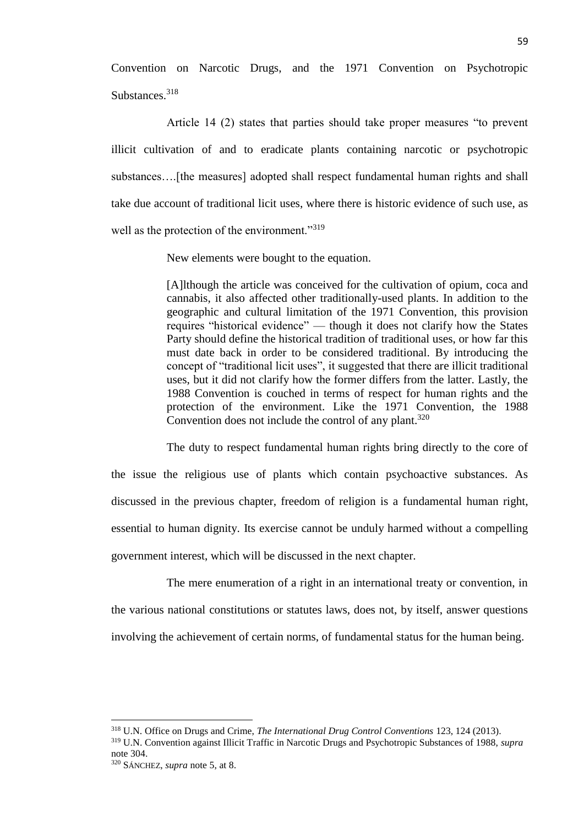Convention on Narcotic Drugs, and the 1971 Convention on Psychotropic Substances.<sup>318</sup>

Article 14 (2) states that parties should take proper measures "to prevent illicit cultivation of and to eradicate plants containing narcotic or psychotropic substances….[the measures] adopted shall respect fundamental human rights and shall take due account of traditional licit uses, where there is historic evidence of such use, as well as the protection of the environment."<sup>319</sup>

New elements were bought to the equation.

[A]lthough the article was conceived for the cultivation of opium, coca and cannabis, it also affected other traditionally-used plants. In addition to the geographic and cultural limitation of the 1971 Convention, this provision requires "historical evidence" — though it does not clarify how the States Party should define the historical tradition of traditional uses, or how far this must date back in order to be considered traditional. By introducing the concept of "traditional licit uses", it suggested that there are illicit traditional uses, but it did not clarify how the former differs from the latter. Lastly, the 1988 Convention is couched in terms of respect for human rights and the protection of the environment. Like the 1971 Convention, the 1988 Convention does not include the control of any plant. $320$ 

The duty to respect fundamental human rights bring directly to the core of the issue the religious use of plants which contain psychoactive substances. As discussed in the previous chapter, freedom of religion is a fundamental human right, essential to human dignity. Its exercise cannot be unduly harmed without a compelling government interest, which will be discussed in the next chapter.

The mere enumeration of a right in an international treaty or convention, in the various national constitutions or statutes laws, does not, by itself, answer questions involving the achievement of certain norms, of fundamental status for the human being.

<sup>318</sup> U.N. Office on Drugs and Crime, *The International Drug Control Conventions* 123, 124 (2013).

<sup>319</sup> U.N. Convention against Illicit Traffic in Narcotic Drugs and Psychotropic Substances of 1988, *supra*  note 304.

<sup>320</sup> SÁNCHEZ, *supra* note 5, at 8.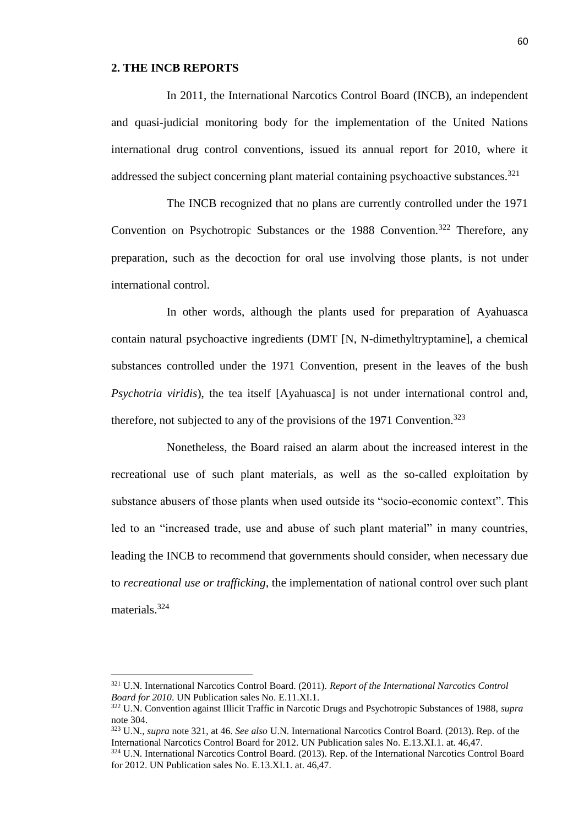#### **2. THE INCB REPORTS**

 $\overline{a}$ 

In 2011, the International Narcotics Control Board (INCB), an independent and quasi-judicial monitoring body for the implementation of the United Nations international drug control conventions, issued its annual report for 2010, where it addressed the subject concerning plant material containing psychoactive substances.<sup>321</sup>

The INCB recognized that no plans are currently controlled under the 1971 Convention on Psychotropic Substances or the 1988 Convention.<sup>322</sup> Therefore, any preparation, such as the decoction for oral use involving those plants, is not under international control.

In other words, although the plants used for preparation of Ayahuasca contain natural psychoactive ingredients (DMT [N, N-dimethyltryptamine], a chemical substances controlled under the 1971 Convention, present in the leaves of the bush *Psychotria viridis*), the tea itself [Ayahuasca] is not under international control and, therefore, not subjected to any of the provisions of the 1971 Convention.<sup>323</sup>

Nonetheless, the Board raised an alarm about the increased interest in the recreational use of such plant materials, as well as the so-called exploitation by substance abusers of those plants when used outside its "socio-economic context". This led to an "increased trade, use and abuse of such plant material" in many countries, leading the INCB to recommend that governments should consider, when necessary due to *recreational use or trafficking*, the implementation of national control over such plant materials 324

<sup>321</sup> U.N. International Narcotics Control Board. (2011). *Report of the International Narcotics Control Board for 2010*. UN Publication sales No. E.11.XI.1.

<sup>322</sup> U.N. Convention against Illicit Traffic in Narcotic Drugs and Psychotropic Substances of 1988, *supra*  note 304.

<sup>323</sup> U.N., *supra* note 321, at 46. *See also* U.N. International Narcotics Control Board. (2013). Rep. of the International Narcotics Control Board for 2012. UN Publication sales No. E.13.XI.1. at. 46,47.

<sup>324</sup> U.N. International Narcotics Control Board. (2013). Rep. of the International Narcotics Control Board for 2012. UN Publication sales No. E.13.XI.1. at. 46,47.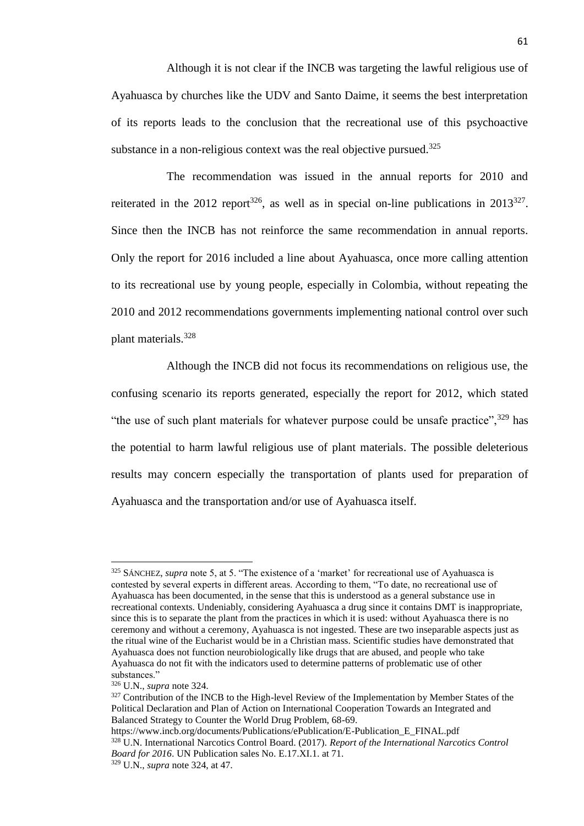Although it is not clear if the INCB was targeting the lawful religious use of Ayahuasca by churches like the UDV and Santo Daime, it seems the best interpretation of its reports leads to the conclusion that the recreational use of this psychoactive substance in a non-religious context was the real objective pursued. $325$ 

The recommendation was issued in the annual reports for 2010 and reiterated in the 2012 report<sup>326</sup>, as well as in special on-line publications in 2013<sup>327</sup>. Since then the INCB has not reinforce the same recommendation in annual reports. Only the report for 2016 included a line about Ayahuasca, once more calling attention to its recreational use by young people, especially in Colombia, without repeating the 2010 and 2012 recommendations governments implementing national control over such plant materials.<sup>328</sup>

Although the INCB did not focus its recommendations on religious use, the confusing scenario its reports generated, especially the report for 2012, which stated "the use of such plant materials for whatever purpose could be unsafe practice",  $329$  has the potential to harm lawful religious use of plant materials. The possible deleterious results may concern especially the transportation of plants used for preparation of Ayahuasca and the transportation and/or use of Ayahuasca itself.

<sup>325</sup> SÁNCHEZ, *supra* note 5, at 5. "The existence of a 'market' for recreational use of Ayahuasca is contested by several experts in different areas. According to them, "To date, no recreational use of Ayahuasca has been documented, in the sense that this is understood as a general substance use in recreational contexts. Undeniably, considering Ayahuasca a drug since it contains DMT is inappropriate, since this is to separate the plant from the practices in which it is used: without Ayahuasca there is no ceremony and without a ceremony, Ayahuasca is not ingested. These are two inseparable aspects just as the ritual wine of the Eucharist would be in a Christian mass. Scientific studies have demonstrated that Ayahuasca does not function neurobiologically like drugs that are abused, and people who take Ayahuasca do not fit with the indicators used to determine patterns of problematic use of other substances."

<sup>326</sup> U.N., *supra* note 324.

<sup>&</sup>lt;sup>327</sup> Contribution of the INCB to the High-level Review of the Implementation by Member States of the Political Declaration and Plan of Action on International Cooperation Towards an Integrated and Balanced Strategy to Counter the World Drug Problem, 68-69.

https://www.incb.org/documents/Publications/ePublication/E-Publication\_E\_FINAL.pdf <sup>328</sup> U.N. International Narcotics Control Board. (2017). *Report of the International Narcotics Control Board for 2016*. UN Publication sales No. E.17.XI.1. at 71.

<sup>329</sup> U.N., *supra* note 324, at 47.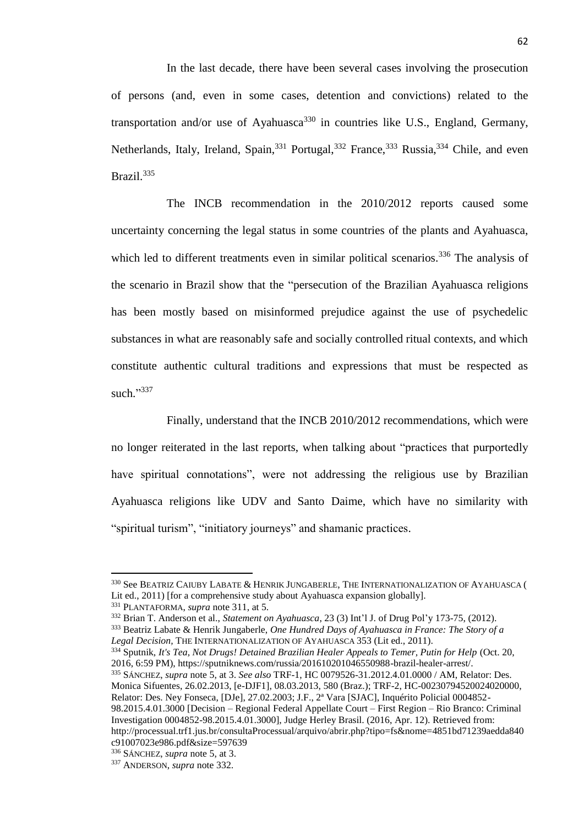In the last decade, there have been several cases involving the prosecution of persons (and, even in some cases, detention and convictions) related to the transportation and/or use of Ayahuasca<sup>330</sup> in countries like U.S., England, Germany, Netherlands, Italy, Ireland, Spain,<sup>331</sup> Portugal,<sup>332</sup> France,<sup>333</sup> Russia,<sup>334</sup> Chile, and even Brazil.<sup>335</sup>

The INCB recommendation in the 2010/2012 reports caused some uncertainty concerning the legal status in some countries of the plants and Ayahuasca, which led to different treatments even in similar political scenarios.<sup>336</sup> The analysis of the scenario in Brazil show that the "persecution of the Brazilian Ayahuasca religions has been mostly based on misinformed prejudice against the use of psychedelic substances in what are reasonably safe and socially controlled ritual contexts, and which constitute authentic cultural traditions and expressions that must be respected as such."337

Finally, understand that the INCB 2010/2012 recommendations, which were no longer reiterated in the last reports, when talking about "practices that purportedly have spiritual connotations", were not addressing the religious use by Brazilian Ayahuasca religions like UDV and Santo Daime, which have no similarity with "spiritual turism", "initiatory journeys" and shamanic practices.

<sup>330</sup> See BEATRIZ CAIUBY LABATE & HENRIK JUNGABERLE, THE INTERNATIONALIZATION OF AYAHUASCA ( Lit ed., 2011) [for a comprehensive study about Ayahuasca expansion globally].

<sup>331</sup> PLANTAFORMA, *supra* note 311, at 5.

<sup>332</sup> Brian T. Anderson et al., *Statement on Ayahuasca*, 23 (3) Int'l J. of Drug Pol'y 173-75, (2012). <sup>333</sup> Beatriz Labate & Henrik Jungaberle, *One Hundred Days of Ayahuasca in France: The Story of a* 

*Legal Decision,* THE INTERNATIONALIZATION OF AYAHUASCA 353 (Lit ed., 2011).

<sup>334</sup> Sputnik, *It's Tea, Not Drugs! Detained Brazilian Healer Appeals to Temer, Putin for Help* (Oct. 20, 2016, 6:59 PM), https://sputniknews.com/russia/201610201046550988-brazil-healer-arrest/.

<sup>335</sup> SÁNCHEZ, *supra* note 5, at 3. *See also* TRF-1, HC 0079526-31.2012.4.01.0000 / AM, Relator: Des. Monica Sifuentes, 26.02.2013, [e-DJF1], 08.03.2013, 580 (Braz.); TRF-2, HC-00230794520024020000, Relator: Des. Ney Fonseca, [DJe], 27.02.2003; J.F., 2ª Vara [SJAC], Inquérito Policial 0004852- 98.2015.4.01.3000 [Decision – Regional Federal Appellate Court – First Region – Rio Branco: Criminal Investigation 0004852-98.2015.4.01.3000], Judge Herley Brasil. (2016, Apr. 12). Retrieved from: http://processual.trf1.jus.br/consultaProcessual/arquivo/abrir.php?tipo=fs&nome=4851bd71239aedda840 c91007023e986.pdf&size=597639

<sup>336</sup> SÁNCHEZ, *supra* note 5, at 3.

<sup>337</sup> ANDERSON, *supra* note 332.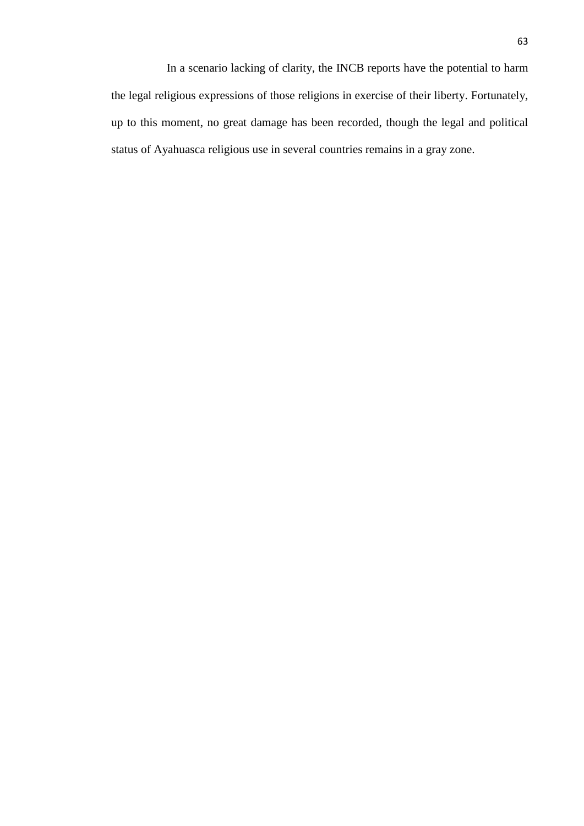In a scenario lacking of clarity, the INCB reports have the potential to harm the legal religious expressions of those religions in exercise of their liberty. Fortunately, up to this moment, no great damage has been recorded, though the legal and political status of Ayahuasca religious use in several countries remains in a gray zone.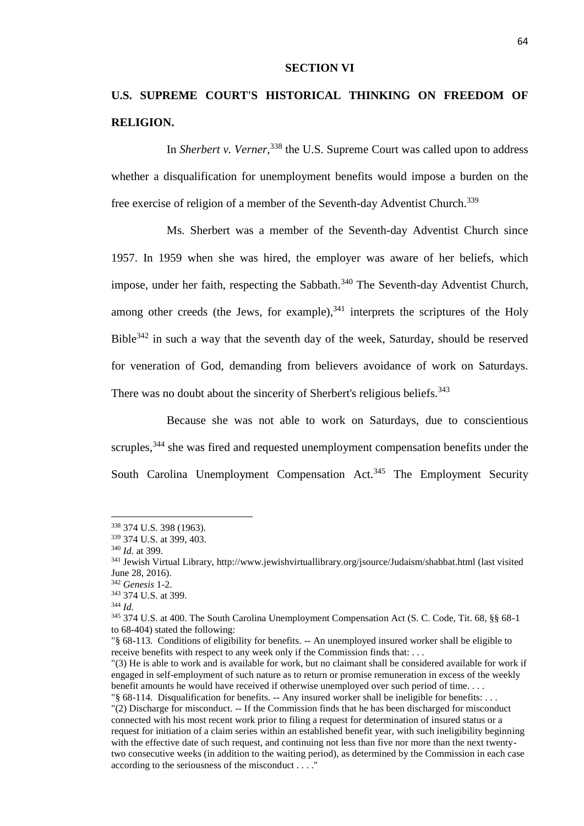#### **SECTION VI**

## **U.S. SUPREME COURT'S HISTORICAL THINKING ON FREEDOM OF RELIGION.**

In *Sherbert v. Verner*, <sup>338</sup> the U.S. Supreme Court was called upon to address whether a disqualification for unemployment benefits would impose a burden on the free exercise of religion of a member of the Seventh-day Adventist Church.<sup>339</sup>

Ms. Sherbert was a member of the Seventh-day Adventist Church since 1957. In 1959 when she was hired, the employer was aware of her beliefs, which impose, under her faith, respecting the Sabbath.<sup>340</sup> The Seventh-day Adventist Church, among other creeds (the Jews, for example), $341$  interprets the scriptures of the Holy Bible<sup>342</sup> in such a way that the seventh day of the week, Saturday, should be reserved for veneration of God, demanding from believers avoidance of work on Saturdays. There was no doubt about the sincerity of Sherbert's religious beliefs.<sup>343</sup>

Because she was not able to work on Saturdays, due to conscientious scruples,<sup>344</sup> she was fired and requested unemployment compensation benefits under the South Carolina Unemployment Compensation Act.<sup>345</sup> The Employment Security

l

<sup>338</sup> 374 U.S. 398 (1963).

<sup>339</sup> 374 U.S. at 399, 403.

<sup>340</sup> *Id.* at 399.

<sup>341</sup> Jewish Virtual Library, http://www.jewishvirtuallibrary.org/jsource/Judaism/shabbat.html (last visited June 28, 2016).

<sup>342</sup> *Genesis* 1-2.

<sup>343</sup> 374 U.S. at 399.

<sup>344</sup> *Id.*

<sup>345</sup> 374 U.S. at 400. The South Carolina Unemployment Compensation Act (S. C. Code, Tit. 68, §§ 68-1 to 68-404) stated the following:

<sup>&</sup>quot;§ 68-113. Conditions of eligibility for benefits. -- An unemployed insured worker shall be eligible to receive benefits with respect to any week only if the Commission finds that: . . .

<sup>&</sup>quot;(3) He is able to work and is available for work, but no claimant shall be considered available for work if engaged in self-employment of such nature as to return or promise remuneration in excess of the weekly benefit amounts he would have received if otherwise unemployed over such period of time. . . .

<sup>&</sup>quot;§ 68-114. Disqualification for benefits. -- Any insured worker shall be ineligible for benefits: . . . "(2) Discharge for misconduct. -- If the Commission finds that he has been discharged for misconduct connected with his most recent work prior to filing a request for determination of insured status or a request for initiation of a claim series within an established benefit year, with such ineligibility beginning with the effective date of such request, and continuing not less than five nor more than the next twentytwo consecutive weeks (in addition to the waiting period), as determined by the Commission in each case according to the seriousness of the misconduct . . . ."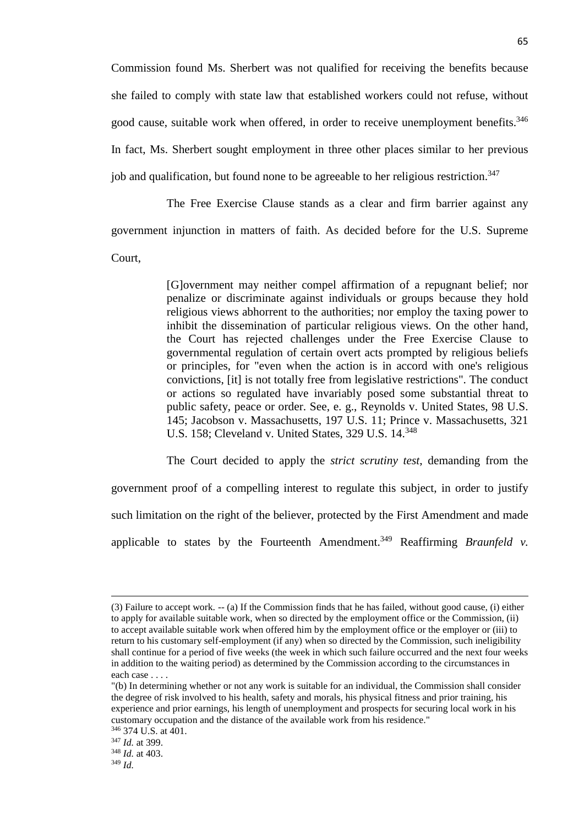Commission found Ms. Sherbert was not qualified for receiving the benefits because she failed to comply with state law that established workers could not refuse, without good cause, suitable work when offered, in order to receive unemployment benefits.<sup>346</sup> In fact, Ms. Sherbert sought employment in three other places similar to her previous job and qualification, but found none to be agreeable to her religious restriction.<sup>347</sup>

The Free Exercise Clause stands as a clear and firm barrier against any government injunction in matters of faith. As decided before for the U.S. Supreme Court,

> [G]overnment may neither compel affirmation of a repugnant belief; nor penalize or discriminate against individuals or groups because they hold religious views abhorrent to the authorities; nor employ the taxing power to inhibit the dissemination of particular religious views. On the other hand, the Court has rejected challenges under the Free Exercise Clause to governmental regulation of certain overt acts prompted by religious beliefs or principles, for "even when the action is in accord with one's religious convictions, [it] is not totally free from legislative restrictions". The conduct or actions so regulated have invariably posed some substantial threat to public safety, peace or order. See, e. g., Reynolds v. United States, 98 U.S. 145; Jacobson v. Massachusetts, 197 U.S. 11; Prince v. Massachusetts, 321 U.S. 158; Cleveland v. United States, 329 U.S. 14.<sup>348</sup>

The Court decided to apply the *strict scrutiny test*, demanding from the government proof of a compelling interest to regulate this subject, in order to justify such limitation on the right of the believer, protected by the First Amendment and made applicable to states by the Fourteenth Amendment.<sup>349</sup> Reaffirming *Braunfeld v*.

<sup>(3)</sup> Failure to accept work. -- (a) If the Commission finds that he has failed, without good cause, (i) either to apply for available suitable work, when so directed by the employment office or the Commission, (ii) to accept available suitable work when offered him by the employment office or the employer or (iii) to return to his customary self-employment (if any) when so directed by the Commission, such ineligibility shall continue for a period of five weeks (the week in which such failure occurred and the next four weeks in addition to the waiting period) as determined by the Commission according to the circumstances in each case . . . .

<sup>&</sup>quot;(b) In determining whether or not any work is suitable for an individual, the Commission shall consider the degree of risk involved to his health, safety and morals, his physical fitness and prior training, his experience and prior earnings, his length of unemployment and prospects for securing local work in his customary occupation and the distance of the available work from his residence."

<sup>346</sup> 374 U.S. at 401.

<sup>347</sup> *Id.* at 399. <sup>348</sup> *Id.* at 403.

<sup>349</sup> *Id.*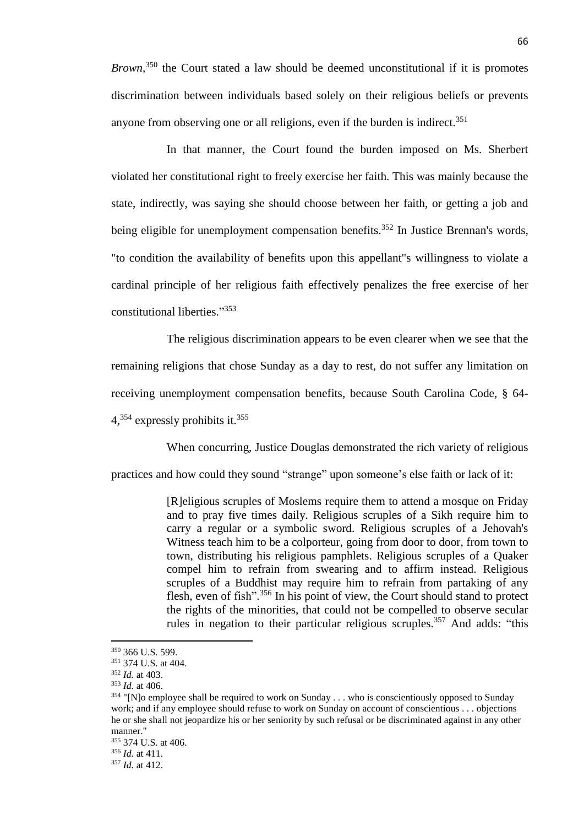*Brown*, <sup>350</sup> the Court stated a law should be deemed unconstitutional if it is promotes discrimination between individuals based solely on their religious beliefs or prevents anyone from observing one or all religions, even if the burden is indirect.<sup>351</sup>

In that manner, the Court found the burden imposed on Ms. Sherbert violated her constitutional right to freely exercise her faith. This was mainly because the state, indirectly, was saying she should choose between her faith, or getting a job and being eligible for unemployment compensation benefits.<sup>352</sup> In Justice Brennan's words, "to condition the availability of benefits upon this appellant"s willingness to violate a cardinal principle of her religious faith effectively penalizes the free exercise of her constitutional liberties." 353

The religious discrimination appears to be even clearer when we see that the remaining religions that chose Sunday as a day to rest, do not suffer any limitation on receiving unemployment compensation benefits, because South Carolina Code, § 64-  $4,354$  expressly prohibits it.  $355$ 

When concurring, Justice Douglas demonstrated the rich variety of religious

practices and how could they sound "strange" upon someone's else faith or lack of it:

[R]eligious scruples of Moslems require them to attend a mosque on Friday and to pray five times daily. Religious scruples of a Sikh require him to carry a regular or a symbolic sword. Religious scruples of a Jehovah's Witness teach him to be a colporteur, going from door to door, from town to town, distributing his religious pamphlets. Religious scruples of a Quaker compel him to refrain from swearing and to affirm instead. Religious scruples of a Buddhist may require him to refrain from partaking of any flesh, even of fish".<sup>356</sup> In his point of view, the Court should stand to protect the rights of the minorities, that could not be compelled to observe secular rules in negation to their particular religious scruples.<sup>357</sup> And adds: "this

<sup>350</sup> 366 U.S. 599.

<sup>351</sup> 374 U.S. at 404.

<sup>352</sup> *Id.* at 403.

<sup>353</sup> *Id.* at 406.

<sup>&</sup>lt;sup>354</sup> "[N]o employee shall be required to work on Sunday . . . who is conscientiously opposed to Sunday work; and if any employee should refuse to work on Sunday on account of conscientious . . . objections he or she shall not jeopardize his or her seniority by such refusal or be discriminated against in any other manner."

<sup>355</sup> 374 U.S. at 406.

<sup>356</sup> *Id.* at 411.

<sup>357</sup> *Id.* at 412.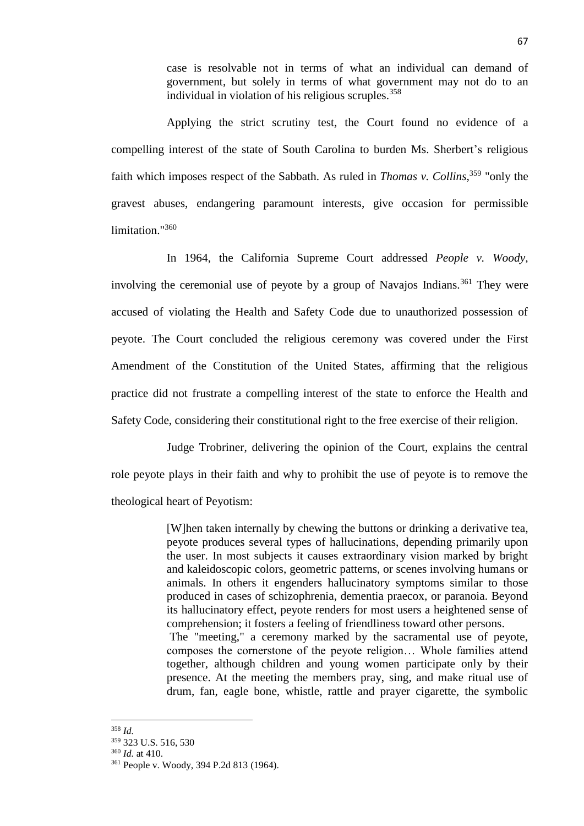case is resolvable not in terms of what an individual can demand of government, but solely in terms of what government may not do to an individual in violation of his religious scruples.  $358$ 

Applying the strict scrutiny test, the Court found no evidence of a compelling interest of the state of South Carolina to burden Ms. Sherbert's religious faith which imposes respect of the Sabbath. As ruled in *Thomas v. Collins*, <sup>359</sup> "only the gravest abuses, endangering paramount interests, give occasion for permissible limitation."<sup>360</sup>

In 1964, the California Supreme Court addressed *People v. Woody,* involving the ceremonial use of peyote by a group of Navajos Indians.<sup>361</sup> They were accused of violating the Health and Safety Code due to unauthorized possession of peyote. The Court concluded the religious ceremony was covered under the First Amendment of the Constitution of the United States, affirming that the religious practice did not frustrate a compelling interest of the state to enforce the Health and Safety Code, considering their constitutional right to the free exercise of their religion.

Judge Trobriner, delivering the opinion of the Court, explains the central role peyote plays in their faith and why to prohibit the use of peyote is to remove the theological heart of Peyotism:

> [W]hen taken internally by chewing the buttons or drinking a derivative tea, peyote produces several types of hallucinations, depending primarily upon the user. In most subjects it causes extraordinary vision marked by bright and kaleidoscopic colors, geometric patterns, or scenes involving humans or animals. In others it engenders hallucinatory symptoms similar to those produced in cases of schizophrenia, dementia praecox, or paranoia. Beyond its hallucinatory effect, peyote renders for most users a heightened sense of comprehension; it fosters a feeling of friendliness toward other persons. The "meeting," a ceremony marked by the sacramental use of peyote, composes the cornerstone of the peyote religion… Whole families attend

> together, although children and young women participate only by their presence. At the meeting the members pray, sing, and make ritual use of drum, fan, eagle bone, whistle, rattle and prayer cigarette, the symbolic

<sup>358</sup> *Id.*

<sup>359</sup> 323 U.S. 516, 530

<sup>360</sup> *Id.* at 410.

<sup>361</sup> People v. Woody, 394 P.2d 813 (1964).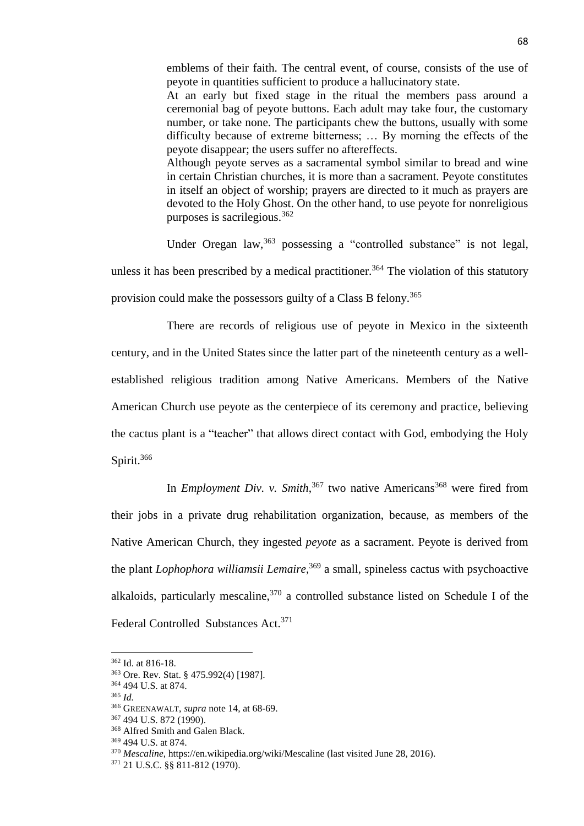emblems of their faith. The central event, of course, consists of the use of peyote in quantities sufficient to produce a hallucinatory state.

At an early but fixed stage in the ritual the members pass around a ceremonial bag of peyote buttons. Each adult may take four, the customary number, or take none. The participants chew the buttons, usually with some difficulty because of extreme bitterness; … By morning the effects of the peyote disappear; the users suffer no aftereffects.

Although peyote serves as a sacramental symbol similar to bread and wine in certain Christian churches, it is more than a sacrament. Peyote constitutes in itself an object of worship; prayers are directed to it much as prayers are devoted to the Holy Ghost. On the other hand, to use peyote for nonreligious purposes is sacrilegious.<sup>362</sup>

Under Oregan law,<sup>363</sup> possessing a "controlled substance" is not legal, unless it has been prescribed by a medical practitioner.<sup>364</sup> The violation of this statutory provision could make the possessors guilty of a Class B felony.<sup>365</sup>

There are records of religious use of peyote in Mexico in the sixteenth century, and in the United States since the latter part of the nineteenth century as a wellestablished religious tradition among Native Americans. Members of the Native American Church use peyote as the centerpiece of its ceremony and practice, believing the cactus plant is a "teacher" that allows direct contact with God, embodying the Holy Spirit.<sup>366</sup>

In *Employment Div. v. Smith*,<sup>367</sup> two native Americans<sup>368</sup> were fired from their jobs in a private drug rehabilitation organization, because, as members of the Native American Church, they ingested *peyote* as a sacrament. Peyote is derived from the plant *Lophophora williamsii Lemaire,*<sup>369</sup> a small, spineless cactus with psychoactive alkaloids, particularly mescaline,  $370$  a controlled substance listed on Schedule I of the Federal Controlled Substances Act.<sup>371</sup>

<sup>362</sup> Id. at 816-18.

<sup>363</sup> Ore. Rev. Stat. § 475.992(4) [1987].

<sup>364</sup> 494 U.S. at 874.

<sup>365</sup> *Id.*

<sup>366</sup> GREENAWALT, *supra* note 14, at 68-69.

<sup>367</sup> 494 U.S. 872 (1990).

<sup>368</sup> Alfred Smith and Galen Black.

<sup>369</sup> 494 U.S. at 874.

<sup>370</sup> *Mescaline*, https://en.wikipedia.org/wiki/Mescaline (last visited June 28, 2016).

<sup>371</sup> 21 U.S.C. §§ 811-812 (1970).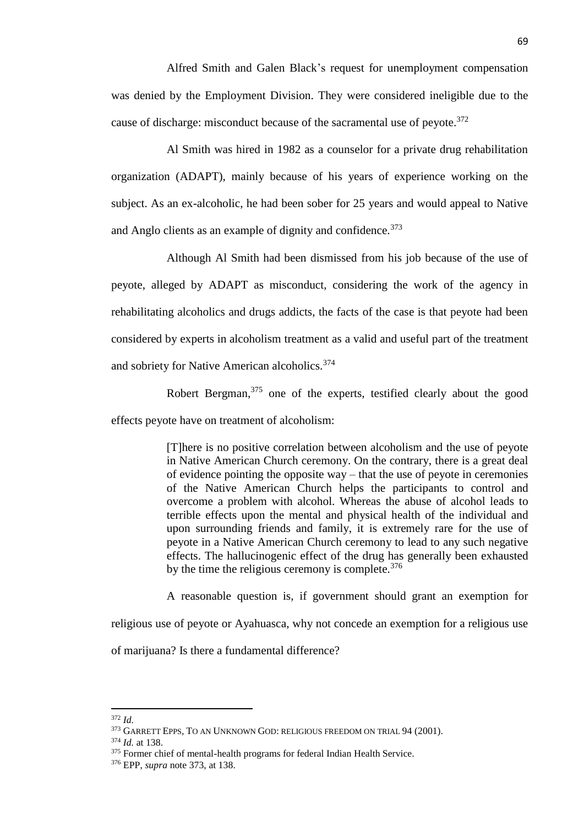Alfred Smith and Galen Black's request for unemployment compensation was denied by the Employment Division. They were considered ineligible due to the cause of discharge: misconduct because of the sacramental use of peyote.<sup>372</sup>

Al Smith was hired in 1982 as a counselor for a private drug rehabilitation organization (ADAPT), mainly because of his years of experience working on the subject. As an ex-alcoholic, he had been sober for 25 years and would appeal to Native and Anglo clients as an example of dignity and confidence.<sup>373</sup>

Although Al Smith had been dismissed from his job because of the use of peyote, alleged by ADAPT as misconduct, considering the work of the agency in rehabilitating alcoholics and drugs addicts, the facts of the case is that peyote had been considered by experts in alcoholism treatment as a valid and useful part of the treatment and sobriety for Native American alcoholics.<sup>374</sup>

Robert Bergman,<sup>375</sup> one of the experts, testified clearly about the good effects peyote have on treatment of alcoholism:

> [T]here is no positive correlation between alcoholism and the use of peyote in Native American Church ceremony. On the contrary, there is a great deal of evidence pointing the opposite way – that the use of peyote in ceremonies of the Native American Church helps the participants to control and overcome a problem with alcohol. Whereas the abuse of alcohol leads to terrible effects upon the mental and physical health of the individual and upon surrounding friends and family, it is extremely rare for the use of peyote in a Native American Church ceremony to lead to any such negative effects. The hallucinogenic effect of the drug has generally been exhausted by the time the religious ceremony is complete. $376$

> A reasonable question is, if government should grant an exemption for

religious use of peyote or Ayahuasca, why not concede an exemption for a religious use

of marijuana? Is there a fundamental difference?

<sup>372</sup> *Id.*

<sup>373</sup> GARRETT EPPS, TO AN UNKNOWN GOD: RELIGIOUS FREEDOM ON TRIAL 94 (2001).

<sup>374</sup> *Id.* at 138.

<sup>&</sup>lt;sup>375</sup> Former chief of mental-health programs for federal Indian Health Service.

<sup>376</sup> EPP, *supra* note 373, at 138.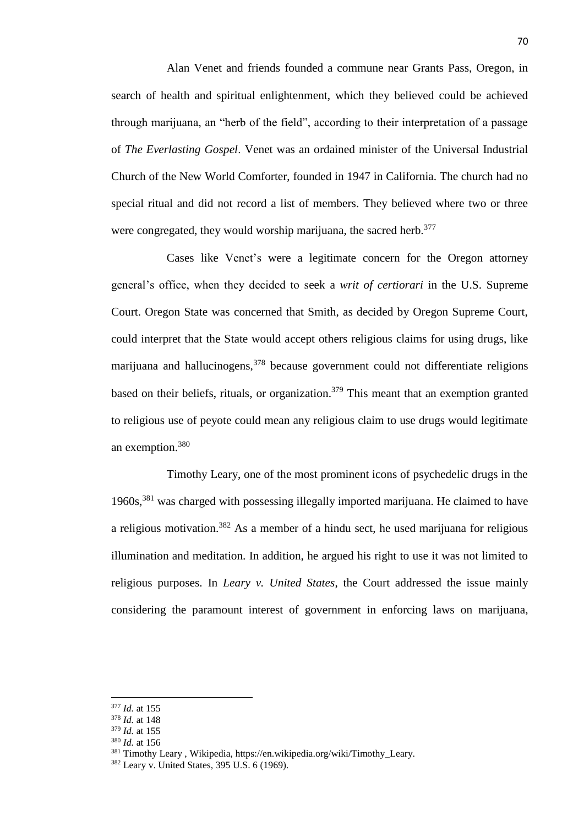Alan Venet and friends founded a commune near Grants Pass, Oregon, in search of health and spiritual enlightenment, which they believed could be achieved through marijuana, an "herb of the field", according to their interpretation of a passage of *The Everlasting Gospel*. Venet was an ordained minister of the Universal Industrial Church of the New World Comforter, founded in 1947 in California. The church had no special ritual and did not record a list of members. They believed where two or three were congregated, they would worship marijuana, the sacred herb.<sup>377</sup>

Cases like Venet's were a legitimate concern for the Oregon attorney general's office, when they decided to seek a *writ of certiorari* in the U.S. Supreme Court. Oregon State was concerned that Smith, as decided by Oregon Supreme Court, could interpret that the State would accept others religious claims for using drugs, like marijuana and hallucinogens,  $378$  because government could not differentiate religions based on their beliefs, rituals, or organization.<sup>379</sup> This meant that an exemption granted to religious use of peyote could mean any religious claim to use drugs would legitimate an exemption.<sup>380</sup>

Timothy Leary, one of the most prominent icons of psychedelic drugs in the 1960s,<sup>381</sup> was charged with possessing illegally imported marijuana. He claimed to have a religious motivation.<sup>382</sup> As a member of a hindu sect, he used marijuana for religious illumination and meditation. In addition, he argued his right to use it was not limited to religious purposes. In *Leary v. United States*, the Court addressed the issue mainly considering the paramount interest of government in enforcing laws on marijuana,

 $\overline{a}$ 

<sup>380</sup> *Id.* at 156

<sup>377</sup> *Id.* at 155

<sup>378</sup> *Id.* at 148

<sup>379</sup> *Id.* at 155

<sup>&</sup>lt;sup>381</sup> Timothy Leary, Wikipedia, https://en.wikipedia.org/wiki/Timothy\_Leary.

<sup>382</sup> Leary v. United States, 395 U.S. 6 (1969).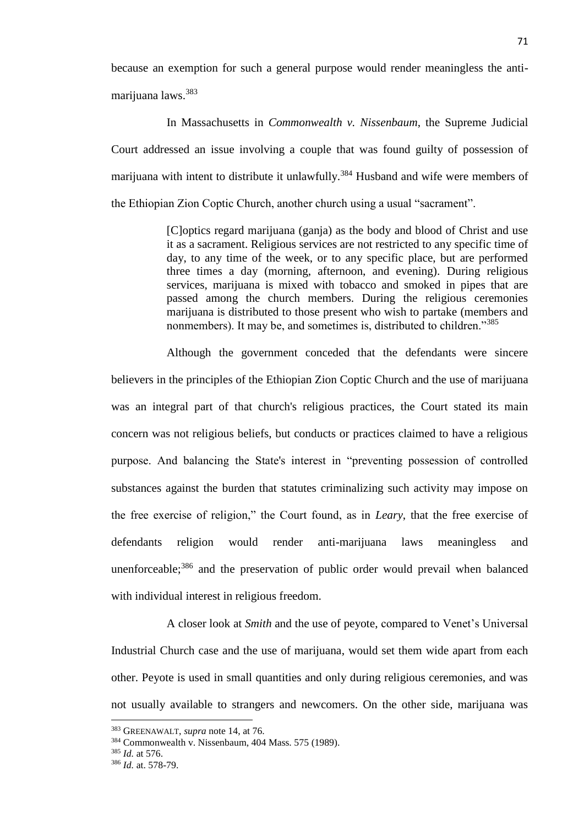because an exemption for such a general purpose would render meaningless the antimarijuana laws.<sup>383</sup>

In Massachusetts in *Commonwealth v. Nissenbaum*, the Supreme Judicial Court addressed an issue involving a couple that was found guilty of possession of marijuana with intent to distribute it unlawfully.<sup>384</sup> Husband and wife were members of the Ethiopian Zion Coptic Church, another church using a usual "sacrament".

> [C]optics regard marijuana (ganja) as the body and blood of Christ and use it as a sacrament. Religious services are not restricted to any specific time of day, to any time of the week, or to any specific place, but are performed three times a day (morning, afternoon, and evening). During religious services, marijuana is mixed with tobacco and smoked in pipes that are passed among the church members. During the religious ceremonies marijuana is distributed to those present who wish to partake (members and nonmembers). It may be, and sometimes is, distributed to children."<sup>385</sup>

Although the government conceded that the defendants were sincere believers in the principles of the Ethiopian Zion Coptic Church and the use of marijuana was an integral part of that church's religious practices, the Court stated its main concern was not religious beliefs, but conducts or practices claimed to have a religious purpose. And balancing the State's interest in "preventing possession of controlled substances against the burden that statutes criminalizing such activity may impose on the free exercise of religion," the Court found, as in *Leary*, that the free exercise of defendants religion would render anti-marijuana laws meaningless and unenforceable; $386$  and the preservation of public order would prevail when balanced with individual interest in religious freedom.

A closer look at *Smith* and the use of peyote, compared to Venet's Universal Industrial Church case and the use of marijuana, would set them wide apart from each other. Peyote is used in small quantities and only during religious ceremonies, and was not usually available to strangers and newcomers. On the other side, marijuana was

<sup>383</sup> GREENAWALT, *supra* note 14, at 76.

<sup>384</sup> Commonwealth v. Nissenbaum, 404 Mass. 575 (1989).

<sup>385</sup> *Id.* at 576.

<sup>386</sup> *Id.* at. 578-79.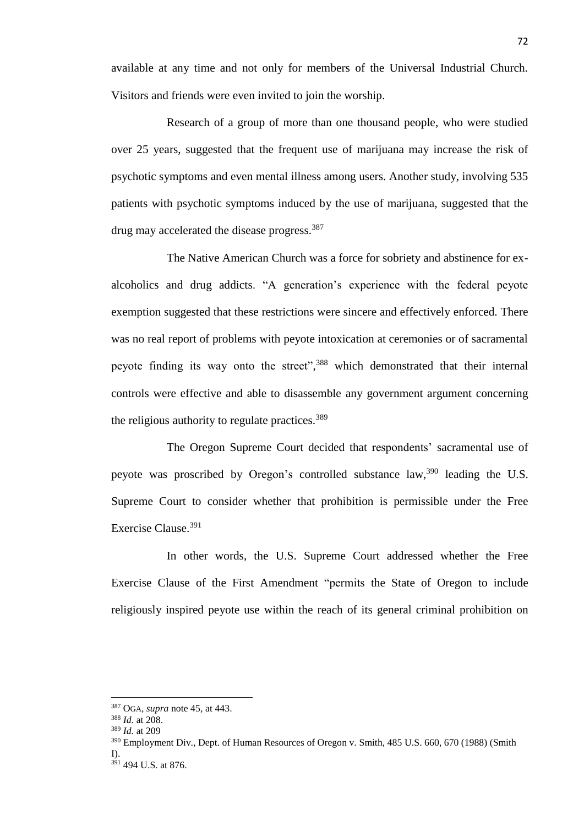available at any time and not only for members of the Universal Industrial Church. Visitors and friends were even invited to join the worship.

Research of a group of more than one thousand people, who were studied over 25 years, suggested that the frequent use of marijuana may increase the risk of psychotic symptoms and even mental illness among users. Another study, involving 535 patients with psychotic symptoms induced by the use of marijuana, suggested that the drug may accelerated the disease progress.<sup>387</sup>

The Native American Church was a force for sobriety and abstinence for exalcoholics and drug addicts. "A generation's experience with the federal peyote exemption suggested that these restrictions were sincere and effectively enforced. There was no real report of problems with peyote intoxication at ceremonies or of sacramental peyote finding its way onto the street",<sup>388</sup> which demonstrated that their internal controls were effective and able to disassemble any government argument concerning the religious authority to regulate practices.<sup>389</sup>

The Oregon Supreme Court decided that respondents' sacramental use of peyote was proscribed by Oregon's controlled substance law,<sup>390</sup> leading the U.S. Supreme Court to consider whether that prohibition is permissible under the Free Exercise Clause.<sup>391</sup>

In other words, the U.S. Supreme Court addressed whether the Free Exercise Clause of the First Amendment "permits the State of Oregon to include religiously inspired peyote use within the reach of its general criminal prohibition on

<sup>387</sup> OGA, *supra* note 45, at 443.

<sup>388</sup> *Id.* at 208.

<sup>389</sup> *Id.* at 209

<sup>390</sup> Employment Div., Dept. of Human Resources of Oregon v. Smith, 485 U.S. 660, 670 (1988) (Smith I).

<sup>391</sup> 494 U.S. at 876.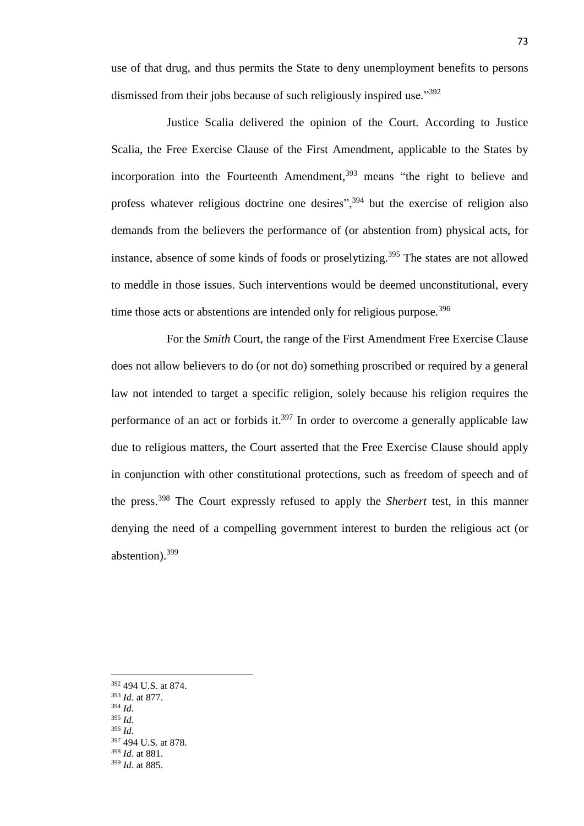use of that drug, and thus permits the State to deny unemployment benefits to persons dismissed from their jobs because of such religiously inspired use."<sup>392</sup>

Justice Scalia delivered the opinion of the Court. According to Justice Scalia, the Free Exercise Clause of the First Amendment, applicable to the States by incorporation into the Fourteenth Amendment,  $393$  means "the right to believe and profess whatever religious doctrine one desires",<sup>394</sup> but the exercise of religion also demands from the believers the performance of (or abstention from) physical acts, for instance, absence of some kinds of foods or proselytizing. <sup>395</sup> The states are not allowed to meddle in those issues. Such interventions would be deemed unconstitutional, every time those acts or abstentions are intended only for religious purpose.<sup>396</sup>

For the *Smith* Court, the range of the First Amendment Free Exercise Clause does not allow believers to do (or not do) something proscribed or required by a general law not intended to target a specific religion, solely because his religion requires the performance of an act or forbids it.<sup>397</sup> In order to overcome a generally applicable law due to religious matters, the Court asserted that the Free Exercise Clause should apply in conjunction with other constitutional protections, such as freedom of speech and of the press.<sup>398</sup> The Court expressly refused to apply the *Sherbert* test, in this manner denying the need of a compelling government interest to burden the religious act (or abstention).<sup>399</sup>

<sup>392</sup> 494 U.S. at 874.

<sup>393</sup> *Id.* at 877.

<sup>394</sup> *Id.* <sup>395</sup> *Id.*

<sup>396</sup> *Id.*

<sup>397</sup> 494 U.S. at 878. <sup>398</sup> *Id.* at 881.

<sup>399</sup> *Id.* at 885.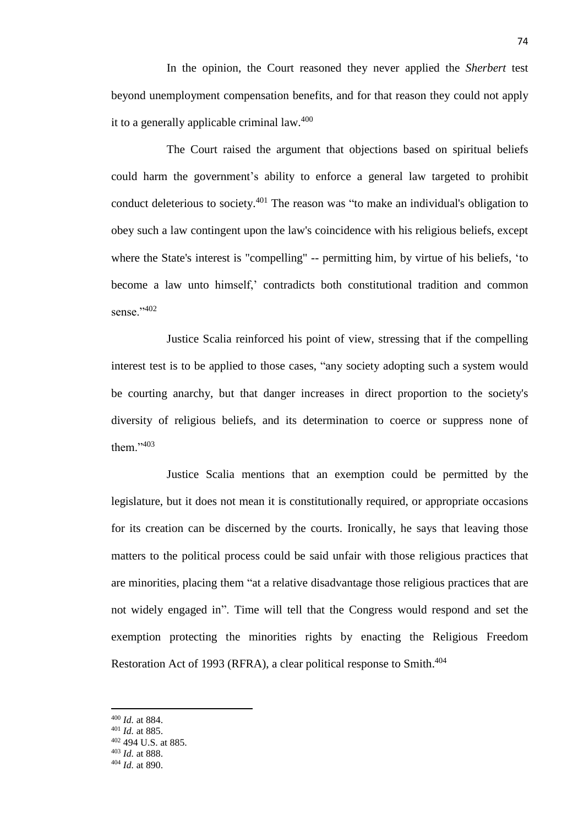In the opinion, the Court reasoned they never applied the *Sherbert* test beyond unemployment compensation benefits, and for that reason they could not apply it to a generally applicable criminal law.<sup>400</sup>

The Court raised the argument that objections based on spiritual beliefs could harm the government's ability to enforce a general law targeted to prohibit conduct deleterious to society.<sup>401</sup> The reason was "to make an individual's obligation to obey such a law contingent upon the law's coincidence with his religious beliefs, except where the State's interest is "compelling" -- permitting him, by virtue of his beliefs, 'to become a law unto himself,' contradicts both constitutional tradition and common sense."402

Justice Scalia reinforced his point of view, stressing that if the compelling interest test is to be applied to those cases, "any society adopting such a system would be courting anarchy, but that danger increases in direct proportion to the society's diversity of religious beliefs, and its determination to coerce or suppress none of them<sup>"403</sup>

Justice Scalia mentions that an exemption could be permitted by the legislature, but it does not mean it is constitutionally required, or appropriate occasions for its creation can be discerned by the courts. Ironically, he says that leaving those matters to the political process could be said unfair with those religious practices that are minorities, placing them "at a relative disadvantage those religious practices that are not widely engaged in". Time will tell that the Congress would respond and set the exemption protecting the minorities rights by enacting the Religious Freedom Restoration Act of 1993 (RFRA), a clear political response to Smith.<sup>404</sup>

<sup>400</sup> *Id.* at 884.

<sup>401</sup> *Id.* at 885.

<sup>402</sup> 494 U.S. at 885.

<sup>403</sup> *Id.* at 888.

<sup>404</sup> *Id.* at 890.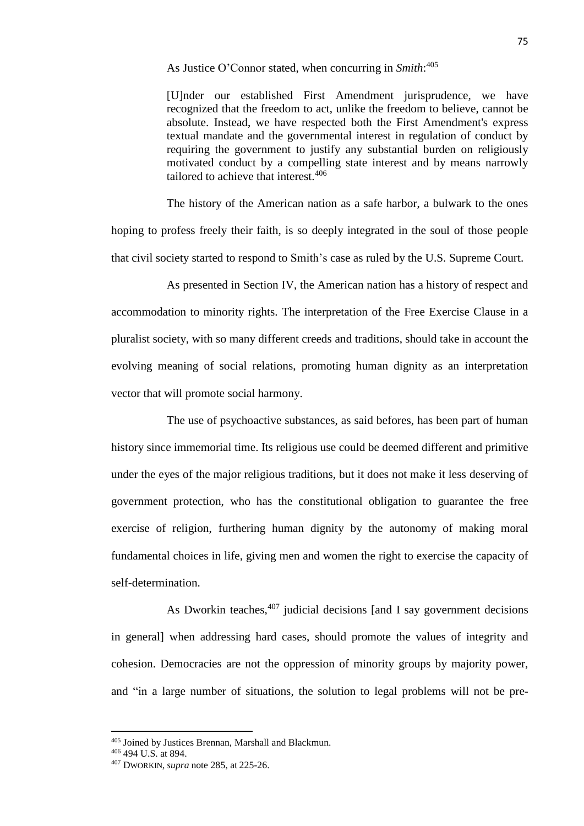As Justice O'Connor stated, when concurring in *Smith*: 405

[U]nder our established First Amendment jurisprudence, we have recognized that the freedom to act, unlike the freedom to believe, cannot be absolute. Instead, we have respected both the First Amendment's express textual mandate and the governmental interest in regulation of conduct by requiring the government to justify any substantial burden on religiously motivated conduct by a compelling state interest and by means narrowly tailored to achieve that interest.<sup>406</sup>

The history of the American nation as a safe harbor, a bulwark to the ones hoping to profess freely their faith, is so deeply integrated in the soul of those people that civil society started to respond to Smith's case as ruled by the U.S. Supreme Court.

As presented in Section IV, the American nation has a history of respect and accommodation to minority rights. The interpretation of the Free Exercise Clause in a pluralist society, with so many different creeds and traditions, should take in account the evolving meaning of social relations, promoting human dignity as an interpretation vector that will promote social harmony.

The use of psychoactive substances, as said befores, has been part of human history since immemorial time. Its religious use could be deemed different and primitive under the eyes of the major religious traditions, but it does not make it less deserving of government protection, who has the constitutional obligation to guarantee the free exercise of religion, furthering human dignity by the autonomy of making moral fundamental choices in life, giving men and women the right to exercise the capacity of self-determination.

As Dworkin teaches, <sup>407</sup> judicial decisions [and I say government decisions in general] when addressing hard cases, should promote the values of integrity and cohesion. Democracies are not the oppression of minority groups by majority power, and "in a large number of situations, the solution to legal problems will not be pre-

l

<sup>405</sup> Joined by Justices Brennan, Marshall and Blackmun.

<sup>406</sup> 494 U.S. at 894.

<sup>407</sup> DWORKIN, *supra* note 285, at 225-26.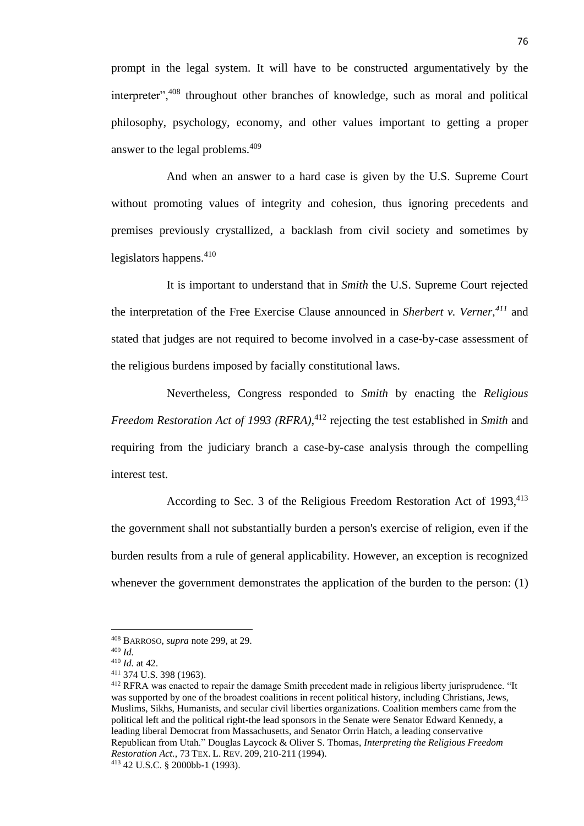prompt in the legal system. It will have to be constructed argumentatively by the interpreter",<sup>408</sup> throughout other branches of knowledge, such as moral and political philosophy, psychology, economy, and other values important to getting a proper answer to the legal problems.<sup>409</sup>

And when an answer to a hard case is given by the U.S. Supreme Court without promoting values of integrity and cohesion, thus ignoring precedents and premises previously crystallized, a backlash from civil society and sometimes by legislators happens. $410$ 

It is important to understand that in *Smith* the U.S. Supreme Court rejected the interpretation of the Free Exercise Clause announced in *Sherbert v. Verner,<sup>411</sup>* and stated that judges are not required to become involved in a case-by-case assessment of the religious burdens imposed by facially constitutional laws.

Nevertheless, Congress responded to *Smith* by enacting the *Religious Freedom Restoration Act of 1993 (RFRA)*, <sup>412</sup> rejecting the test established in *Smith* and requiring from the judiciary branch a case-by-case analysis through the compelling interest test.

According to Sec. 3 of the Religious Freedom Restoration Act of 1993,<sup>413</sup> the government shall not substantially burden a person's exercise of religion, even if the burden results from a rule of general applicability. However, an exception is recognized whenever the government demonstrates the application of the burden to the person: (1)

<sup>408</sup> BARROSO, *supra* note 299, at 29.

<sup>409</sup> *Id.*

<sup>410</sup> *Id.* at 42.

<sup>411</sup> 374 U.S. 398 (1963).

<sup>412</sup> RFRA was enacted to repair the damage Smith precedent made in religious liberty jurisprudence. "It was supported by one of the broadest coalitions in recent political history, including Christians, Jews, Muslims, Sikhs, Humanists, and secular civil liberties organizations. Coalition members came from the political left and the political right-the lead sponsors in the Senate were Senator Edward Kennedy, a leading liberal Democrat from Massachusetts, and Senator Orrin Hatch, a leading conservative Republican from Utah." Douglas Laycock & Oliver S. Thomas, *Interpreting the Religious Freedom Restoration Act.*, 73 TEX. L. REV. 209, 210-211 (1994).

<sup>413</sup> 42 U.S.C. § 2000bb-1 (1993).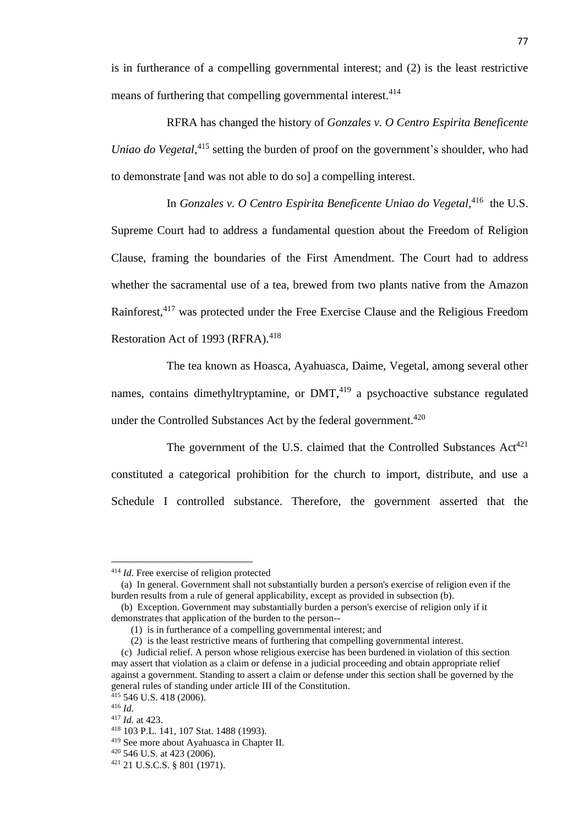is in furtherance of a compelling governmental interest; and (2) is the least restrictive means of furthering that compelling governmental interest.<sup>414</sup>

RFRA has changed the history of *Gonzales v. O Centro Espirita Beneficente Uniao do Vegetal*, <sup>415</sup> setting the burden of proof on the government's shoulder, who had to demonstrate [and was not able to do so] a compelling interest.

In *Gonzales v. O Centro Espirita Beneficente Uniao do Vegetal*, 416 the U.S. Supreme Court had to address a fundamental question about the Freedom of Religion Clause, framing the boundaries of the First Amendment. The Court had to address whether the sacramental use of a tea, brewed from two plants native from the Amazon Rainforest,<sup>417</sup> was protected under the Free Exercise Clause and the Religious Freedom Restoration Act of 1993 (RFRA).<sup>418</sup>

The tea known as Hoasca, Ayahuasca, Daime, Vegetal, among several other names, contains dimethyltryptamine, or  $DMT<sub>1419</sub>$  a psychoactive substance regulated under the Controlled Substances Act by the federal government.<sup>420</sup>

The government of the U.S. claimed that the Controlled Substances  $Act^{421}$ constituted a categorical prohibition for the church to import, distribute, and use a Schedule I controlled substance. Therefore, the government asserted that the

<sup>414</sup> *Id*. Free exercise of religion protected

 <sup>(</sup>a) In general. Government shall not substantially burden a person's exercise of religion even if the burden results from a rule of general applicability, except as provided in subsection (b).

 <sup>(</sup>b) Exception. Government may substantially burden a person's exercise of religion only if it demonstrates that application of the burden to the person--

 <sup>(1)</sup> is in furtherance of a compelling governmental interest; and

 <sup>(2)</sup> is the least restrictive means of furthering that compelling governmental interest.

 <sup>(</sup>c) Judicial relief. A person whose religious exercise has been burdened in violation of this section may assert that violation as a claim or defense in a judicial proceeding and obtain appropriate relief against a government. Standing to assert a claim or defense under this section shall be governed by the general rules of standing under article III of the Constitution.

 $415$  546 U.S. 418 (2006). <sup>416</sup> *Id.*

<sup>417</sup> *Id.* at 423.

<sup>418</sup> 103 P.L. 141, 107 Stat. 1488 (1993).

<sup>419</sup> See more about Ayahuasca in Chapter II.

<sup>420</sup> 546 U.S. at 423 (2006).

<sup>421</sup> 21 U.S.C.S. § 801 (1971).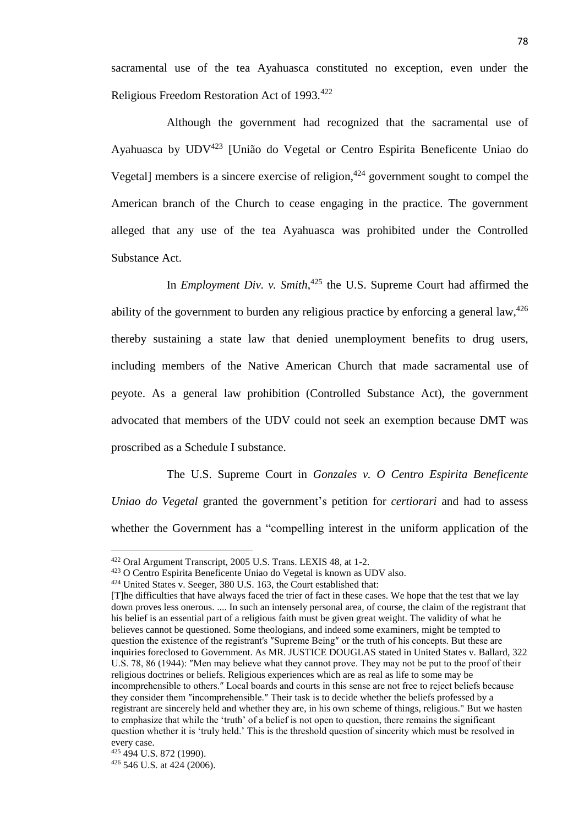sacramental use of the tea Ayahuasca constituted no exception, even under the Religious Freedom Restoration Act of 1993.<sup>422</sup>

Although the government had recognized that the sacramental use of Ayahuasca by UDV<sup>423</sup> [União do Vegetal or Centro Espirita Beneficente Uniao do Vegetal] members is a sincere exercise of religion, $424$  government sought to compel the American branch of the Church to cease engaging in the practice. The government alleged that any use of the tea Ayahuasca was prohibited under the Controlled Substance Act.

In *Employment Div. v. Smith*, <sup>425</sup> the U.S. Supreme Court had affirmed the ability of the government to burden any religious practice by enforcing a general law.<sup>426</sup> thereby sustaining a state law that denied unemployment benefits to drug users, including members of the Native American Church that made sacramental use of peyote. As a general law prohibition (Controlled Substance Act), the government advocated that members of the UDV could not seek an exemption because DMT was proscribed as a Schedule I substance.

The U.S. Supreme Court in *Gonzales v. O Centro Espirita Beneficente Uniao do Vegetal* granted the government's petition for *certiorari* and had to assess whether the Government has a "compelling interest in the uniform application of the

<sup>422</sup> Oral Argument Transcript, 2005 U.S. Trans. LEXIS 48, at 1-2.

<sup>423</sup> O Centro Espirita Beneficente Uniao do Vegetal is known as UDV also.

<sup>424</sup> United States v. Seeger, 380 U.S. 163, the Court established that:

<sup>[</sup>T]he difficulties that have always faced the trier of fact in these cases. We hope that the test that we lay down proves less onerous. .... In such an intensely personal area, of course, the claim of the registrant that his belief is an essential part of a religious faith must be given great weight. The validity of what he believes cannot be questioned. Some theologians, and indeed some examiners, might be tempted to question the existence of the registrant's ″Supreme Being″ or the truth of his concepts. But these are inquiries foreclosed to Government. As MR. JUSTICE DOUGLAS stated in United States v. Ballard, 322 U.S. 78, 86 (1944): ″Men may believe what they cannot prove. They may not be put to the proof of their religious doctrines or beliefs. Religious experiences which are as real as life to some may be incomprehensible to others.″ Local boards and courts in this sense are not free to reject beliefs because they consider them ″incomprehensible.″ Their task is to decide whether the beliefs professed by a registrant are sincerely held and whether they are, in his own scheme of things, religious." But we hasten to emphasize that while the 'truth' of a belief is not open to question, there remains the significant question whether it is 'truly held.' This is the threshold question of sincerity which must be resolved in every case.

<sup>425</sup> 494 U.S. 872 (1990). <sup>426</sup> 546 U.S. at 424 (2006).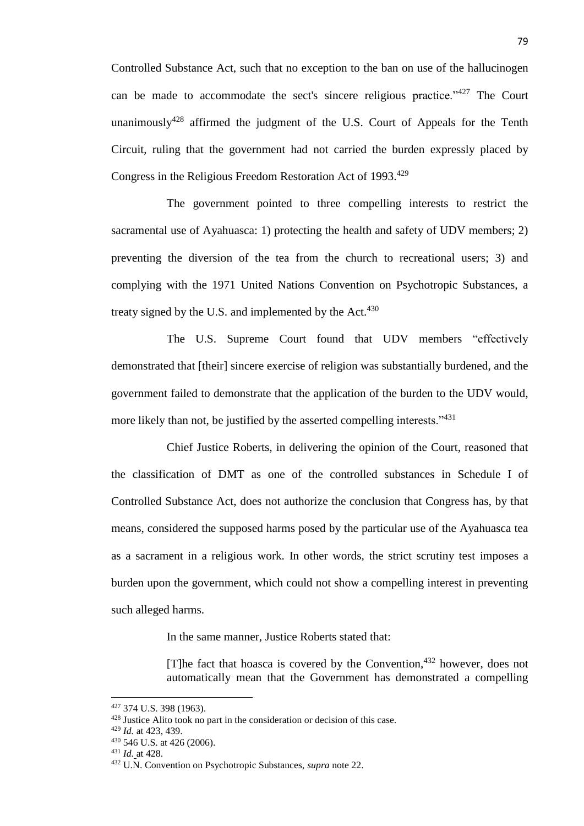Controlled Substance Act, such that no exception to the ban on use of the hallucinogen can be made to accommodate the sect's sincere religious practice." The Court unanimously<sup>428</sup> affirmed the judgment of the U.S. Court of Appeals for the Tenth Circuit, ruling that the government had not carried the burden expressly placed by Congress in the Religious Freedom Restoration Act of 1993.<sup>429</sup>

The government pointed to three compelling interests to restrict the sacramental use of Ayahuasca: 1) protecting the health and safety of UDV members; 2) preventing the diversion of the tea from the church to recreational users; 3) and complying with the 1971 United Nations Convention on Psychotropic Substances, a treaty signed by the U.S. and implemented by the Act. $430$ 

The U.S. Supreme Court found that UDV members "effectively demonstrated that [their] sincere exercise of religion was substantially burdened, and the government failed to demonstrate that the application of the burden to the UDV would, more likely than not, be justified by the asserted compelling interests."<sup>431</sup>

Chief Justice Roberts, in delivering the opinion of the Court, reasoned that the classification of DMT as one of the controlled substances in Schedule I of Controlled Substance Act, does not authorize the conclusion that Congress has, by that means, considered the supposed harms posed by the particular use of the Ayahuasca tea as a sacrament in a religious work. In other words, the strict scrutiny test imposes a burden upon the government, which could not show a compelling interest in preventing such alleged harms.

In the same manner, Justice Roberts stated that:

[T]he fact that hoasca is covered by the Convention, $432$  however, does not automatically mean that the Government has demonstrated a compelling

<sup>427</sup> 374 U.S. 398 (1963).

<sup>&</sup>lt;sup>428</sup> Justice Alito took no part in the consideration or decision of this case.

<sup>429</sup> *Id.* at 423, 439.

<sup>430</sup> 546 U.S. at 426 (2006).

<sup>431</sup> *Id.* at 428.

<sup>432</sup> U.N. Convention on Psychotropic Substances, *supra* note 22.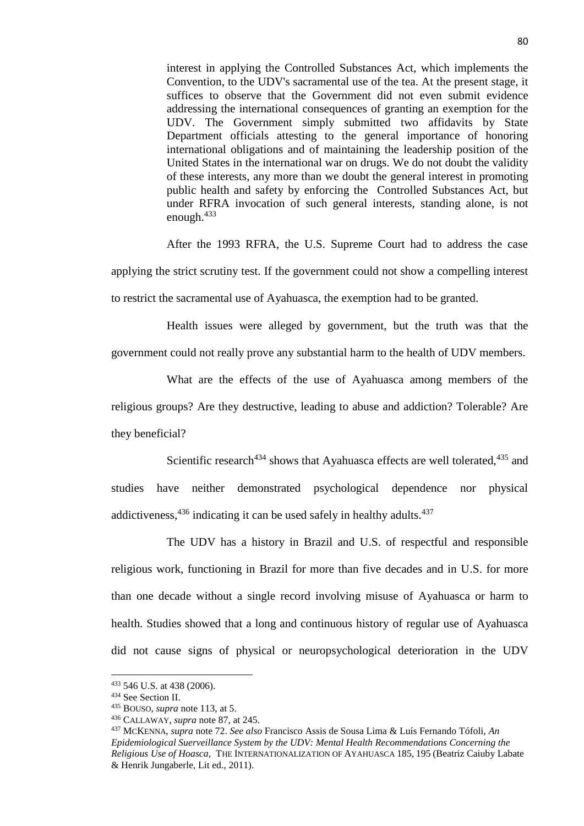interest in applying the Controlled Substances Act, which implements the Convention, to the UDV's sacramental use of the tea. At the present stage, it suffices to observe that the Government did not even submit evidence addressing the international consequences of granting an exemption for the UDV. The Government simply submitted two affidavits by State Department officials attesting to the general importance of honoring international obligations and of maintaining the leadership position of the United States in the international war on drugs. We do not doubt the validity of these interests, any more than we doubt the general interest in promoting public health and safety by enforcing the Controlled Substances Act, but under RFRA invocation of such general interests, standing alone, is not enough.<sup>433</sup>

After the 1993 RFRA, the U.S. Supreme Court had to address the case

applying the strict scrutiny test. If the government could not show a compelling interest to restrict the sacramental use of Ayahuasca, the exemption had to be granted.

Health issues were alleged by government, but the truth was that the government could not really prove any substantial harm to the health of UDV members.

What are the effects of the use of Ayahuasca among members of the religious groups? Are they destructive, leading to abuse and addiction? Tolerable? Are they beneficial?

Scientific research<sup>434</sup> shows that Ayahuasca effects are well tolerated,<sup>435</sup> and studies have neither demonstrated psychological dependence nor physical addictiveness,  $436$  indicating it can be used safely in healthy adults.  $437$ 

The UDV has a history in Brazil and U.S. of respectful and responsible religious work, functioning in Brazil for more than five decades and in U.S. for more than one decade without a single record involving misuse of Ayahuasca or harm to health. Studies showed that a long and continuous history of regular use of Ayahuasca did not cause signs of physical or neuropsychological deterioration in the UDV

<sup>433</sup> 546 U.S. at 438 (2006).

<sup>434</sup> See Section II.

<sup>435</sup> BOUSO, *supra* note 113, at 5.

<sup>436</sup> CALLAWAY, *supra* note 87, at 245.

<sup>437</sup> MCKENNA, *supra* note 72. *See also* Francisco Assis de Sousa Lima & Luís Fernando Tófoli, *An Epidemiological Suerveillance System by the UDV: Mental Health Recommendations Concerning the Religious Use of Hoasca,* THE INTERNATIONALIZATION OF AYAHUASCA 185, 195 (Beatriz Caiuby Labate & Henrik Jungaberle, Lit ed., 2011).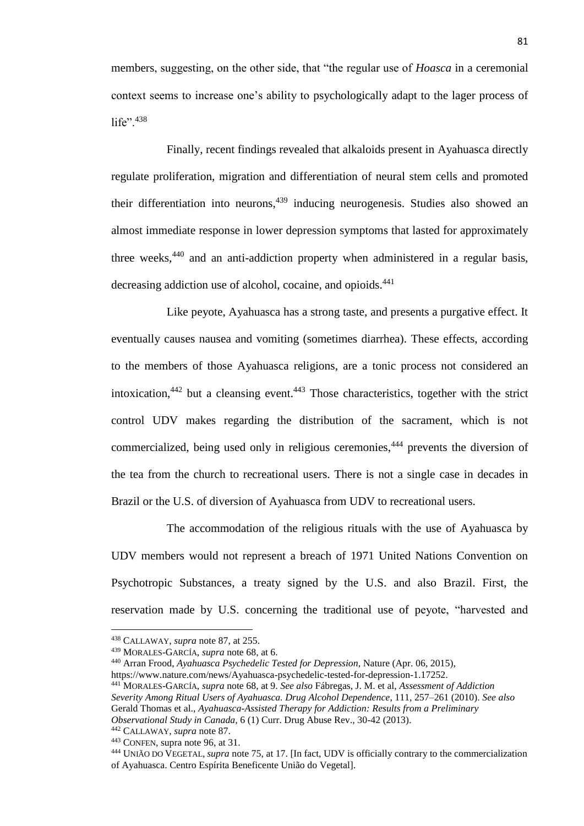members, suggesting, on the other side, that "the regular use of *Hoasca* in a ceremonial context seems to increase one's ability to psychologically adapt to the lager process of life". $438$ 

Finally, recent findings revealed that alkaloids present in Ayahuasca directly regulate proliferation, migration and differentiation of neural stem cells and promoted their differentiation into neurons,  $439$  inducing neurogenesis. Studies also showed an almost immediate response in lower depression symptoms that lasted for approximately three weeks,  $440$  and an anti-addiction property when administered in a regular basis, decreasing addiction use of alcohol, cocaine, and opioids.<sup>441</sup>

Like peyote, Ayahuasca has a strong taste, and presents a purgative effect. It eventually causes nausea and vomiting (sometimes diarrhea). These effects, according to the members of those Ayahuasca religions, are a tonic process not considered an intoxication,  $442$  but a cleansing event.  $443$  Those characteristics, together with the strict control UDV makes regarding the distribution of the sacrament, which is not commercialized, being used only in religious ceremonies,<sup>444</sup> prevents the diversion of the tea from the church to recreational users. There is not a single case in decades in Brazil or the U.S. of diversion of Ayahuasca from UDV to recreational users.

The accommodation of the religious rituals with the use of Ayahuasca by UDV members would not represent a breach of 1971 United Nations Convention on Psychotropic Substances, a treaty signed by the U.S. and also Brazil. First, the reservation made by U.S. concerning the traditional use of peyote, "harvested and

<sup>438</sup> CALLAWAY, *supra* note 87, at 255.

<sup>439</sup> MORALES-GARCÍA, *supra* note 68, at 6.

<sup>440</sup> Arran Frood, *Ayahuasca Psychedelic Tested for Depression*, Nature (Apr. 06, 2015),

https://www.nature.com/news/Ayahuasca-psychedelic-tested-for-depression-1.17252.

<sup>441</sup> MORALES-GARCÍA, *supra* note 68, at 9. *See also* Fábregas, J. M. et al, *Assessment of Addiction Severity Among Ritual Users of Ayahuasca. Drug Alcohol Dependence*, 111, 257–261 (2010). *See also* Gerald Thomas et al., *Ayahuasca-Assisted Therapy for Addiction: Results from a Preliminary Observational Study in Canada,* 6 (1) Curr. Drug Abuse Rev., 30-42 (2013).

<sup>442</sup> CALLAWAY, *supra* note 87.

<sup>443</sup> CONFEN, supra note 96, at 31.

<sup>444</sup> UNIÃO DO VEGETAL, *supra* note 75, at 17. [In fact, UDV is officially contrary to the commercialization of Ayahuasca. Centro Espírita Beneficente União do Vegetal].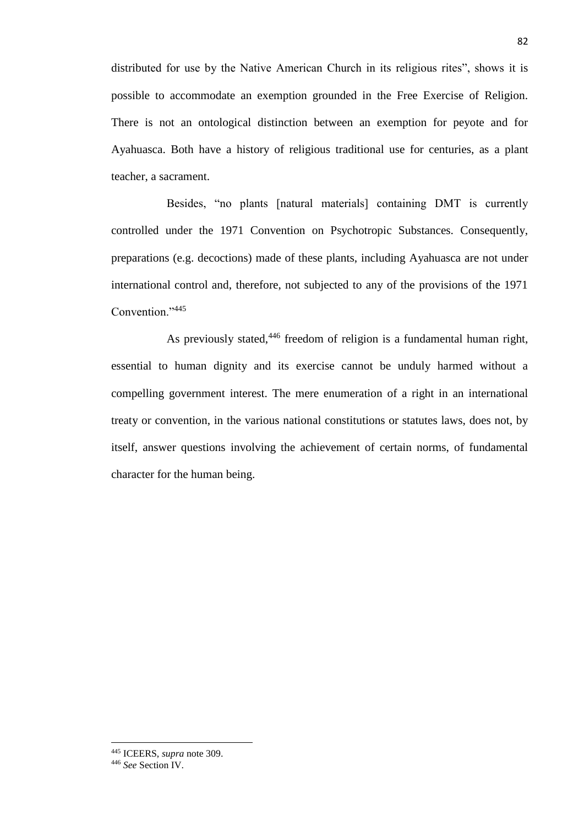distributed for use by the Native American Church in its religious rites", shows it is possible to accommodate an exemption grounded in the Free Exercise of Religion. There is not an ontological distinction between an exemption for peyote and for Ayahuasca. Both have a history of religious traditional use for centuries, as a plant teacher, a sacrament.

Besides, "no plants [natural materials] containing DMT is currently controlled under the 1971 Convention on Psychotropic Substances. Consequently, preparations (e.g. decoctions) made of these plants, including Ayahuasca are not under international control and, therefore, not subjected to any of the provisions of the 1971 Convention."<sup>445</sup>

As previously stated,<sup>446</sup> freedom of religion is a fundamental human right, essential to human dignity and its exercise cannot be unduly harmed without a compelling government interest. The mere enumeration of a right in an international treaty or convention, in the various national constitutions or statutes laws, does not, by itself, answer questions involving the achievement of certain norms, of fundamental character for the human being.

<sup>445</sup> ICEERS, *supra* note 309.

<sup>446</sup> *See* Section IV.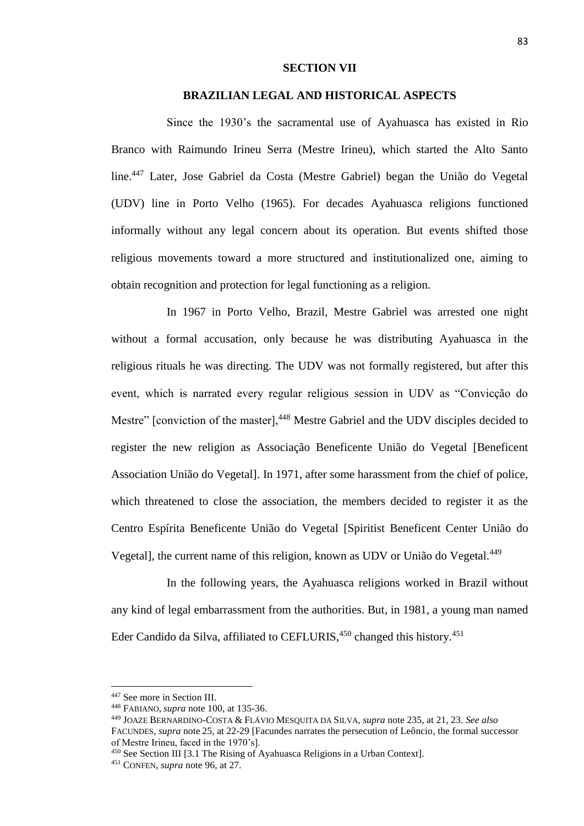## **SECTION VII**

## **BRAZILIAN LEGAL AND HISTORICAL ASPECTS**

Since the 1930's the sacramental use of Ayahuasca has existed in Rio Branco with Raimundo Irineu Serra (Mestre Irineu), which started the Alto Santo line.<sup>447</sup> Later, Jose Gabriel da Costa (Mestre Gabriel) began the União do Vegetal (UDV) line in Porto Velho (1965). For decades Ayahuasca religions functioned informally without any legal concern about its operation. But events shifted those religious movements toward a more structured and institutionalized one, aiming to obtain recognition and protection for legal functioning as a religion.

In 1967 in Porto Velho, Brazil, Mestre Gabriel was arrested one night without a formal accusation, only because he was distributing Ayahuasca in the religious rituals he was directing. The UDV was not formally registered, but after this event, which is narrated every regular religious session in UDV as "Convicção do Mestre" [conviction of the master],<sup>448</sup> Mestre Gabriel and the UDV disciples decided to register the new religion as Associação Beneficente União do Vegetal [Beneficent Association União do Vegetal]. In 1971, after some harassment from the chief of police, which threatened to close the association, the members decided to register it as the Centro Espírita Beneficente União do Vegetal [Spiritist Beneficent Center União do Vegetal], the current name of this religion, known as UDV or União do Vegetal.<sup>449</sup>

In the following years, the Ayahuasca religions worked in Brazil without any kind of legal embarrassment from the authorities. But, in 1981, a young man named Eder Candido da Silva, affiliated to CEFLURIS, $450$  changed this history.<sup>451</sup>

<sup>447</sup> See more in Section III.

<sup>448</sup> FABIANO, *supra* note 100, at 135-36.

<sup>449</sup> JOAZE BERNARDINO-COSTA & FLÁVIO MESQUITA DA SILVA, *supra* note 235, at 21, 23. *See also*

FACUNDES, *supra* note 25*,* at 22-29 [Facundes narrates the persecution of Leôncio, the formal successor of Mestre Irineu, faced in the 1970's].

<sup>450</sup> See Section III [3.1 The Rising of Ayahuasca Religions in a Urban Context].

<sup>451</sup> CONFEN, *supra* note 96, at 27.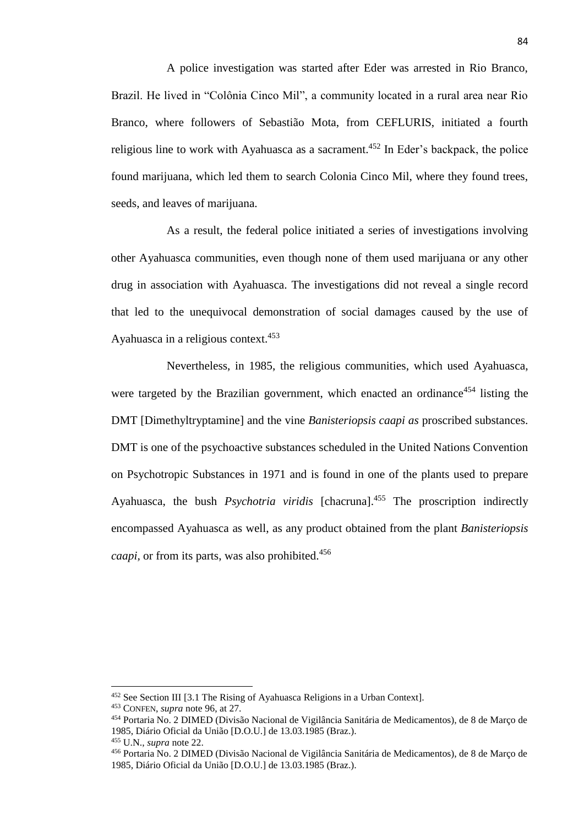A police investigation was started after Eder was arrested in Rio Branco, Brazil. He lived in "Colônia Cinco Mil", a community located in a rural area near Rio Branco, where followers of Sebastião Mota, from CEFLURIS, initiated a fourth religious line to work with Ayahuasca as a sacrament.<sup>452</sup> In Eder's backpack, the police found marijuana, which led them to search Colonia Cinco Mil, where they found trees, seeds, and leaves of marijuana.

As a result, the federal police initiated a series of investigations involving other Ayahuasca communities, even though none of them used marijuana or any other drug in association with Ayahuasca. The investigations did not reveal a single record that led to the unequivocal demonstration of social damages caused by the use of Ayahuasca in a religious context.<sup>453</sup>

Nevertheless, in 1985, the religious communities, which used Ayahuasca, were targeted by the Brazilian government, which enacted an ordinance<sup>454</sup> listing the DMT [Dimethyltryptamine] and the vine *Banisteriopsis caapi as* proscribed substances. DMT is one of the psychoactive substances scheduled in the United Nations Convention on Psychotropic Substances in 1971 and is found in one of the plants used to prepare Ayahuasca, the bush *Psychotria viridis* [chacruna]. <sup>455</sup> The proscription indirectly encompassed Ayahuasca as well, as any product obtained from the plant *Banisteriopsis caapi*, or from its parts, was also prohibited.<sup>456</sup>

<sup>452</sup> See Section III [3.1 The Rising of Ayahuasca Religions in a Urban Context].

<sup>453</sup> CONFEN, *supra* note 96, at 27.

<sup>454</sup> Portaria No. 2 DIMED (Divisão Nacional de Vigilância Sanitária de Medicamentos), de 8 de Março de 1985, Diário Oficial da União [D.O.U.] de 13.03.1985 (Braz.).

<sup>455</sup> U.N., *supra* note 22.

<sup>456</sup> Portaria No. 2 DIMED (Divisão Nacional de Vigilância Sanitária de Medicamentos), de 8 de Março de 1985, Diário Oficial da União [D.O.U.] de 13.03.1985 (Braz.).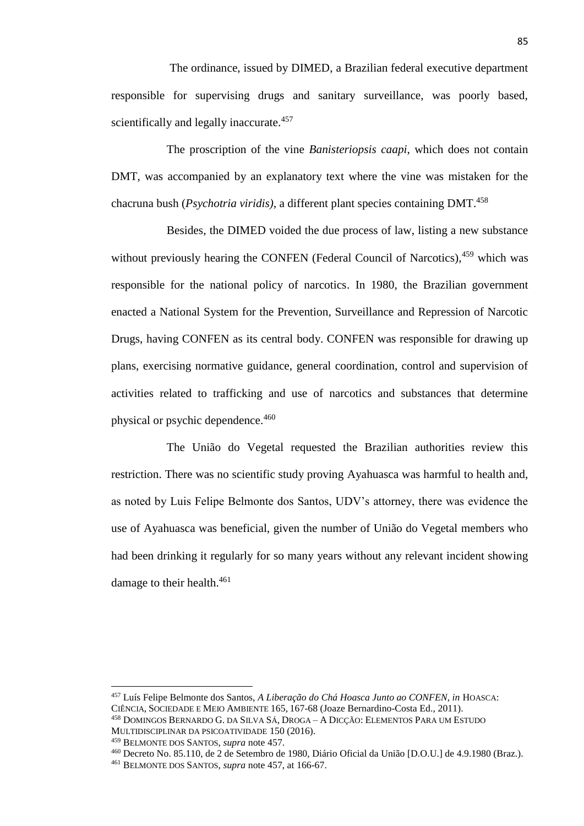The ordinance, issued by DIMED, a Brazilian federal executive department responsible for supervising drugs and sanitary surveillance, was poorly based, scientifically and legally inaccurate.<sup>457</sup>

The proscription of the vine *Banisteriopsis caapi*, which does not contain DMT, was accompanied by an explanatory text where the vine was mistaken for the chacruna bush (*Psychotria viridis)*, a different plant species containing DMT.<sup>458</sup>

Besides, the DIMED voided the due process of law, listing a new substance without previously hearing the CONFEN (Federal Council of Narcotics),  $459$  which was responsible for the national policy of narcotics. In 1980, the Brazilian government enacted a National System for the Prevention, Surveillance and Repression of Narcotic Drugs, having CONFEN as its central body. CONFEN was responsible for drawing up plans, exercising normative guidance, general coordination, control and supervision of activities related to trafficking and use of narcotics and substances that determine physical or psychic dependence.<sup>460</sup>

The União do Vegetal requested the Brazilian authorities review this restriction. There was no scientific study proving Ayahuasca was harmful to health and, as noted by Luis Felipe Belmonte dos Santos, UDV's attorney, there was evidence the use of Ayahuasca was beneficial, given the number of União do Vegetal members who had been drinking it regularly for so many years without any relevant incident showing damage to their health.<sup>461</sup>

<sup>457</sup> Luís Felipe Belmonte dos Santos, *A Liberação do Chá Hoasca Junto ao CONFEN, in* HOASCA: CIÊNCIA, SOCIEDADE E MEIO AMBIENTE 165, 167-68 (Joaze Bernardino-Costa Ed., 2011). <sup>458</sup> DOMINGOS BERNARDO G. DA SILVA SÁ, DROGA – A DICÇÃO: ELEMENTOS PARA UM ESTUDO MULTIDISCIPLINAR DA PSICOATIVIDADE 150 (2016).

<sup>459</sup> BELMONTE DOS SANTOS, *supra* note 457.

<sup>460</sup> Decreto No. 85.110, de 2 de Setembro de 1980, Diário Oficial da União [D.O.U.] de 4.9.1980 (Braz.). <sup>461</sup> BELMONTE DOS SANTOS, *supra* note 457, at 166-67.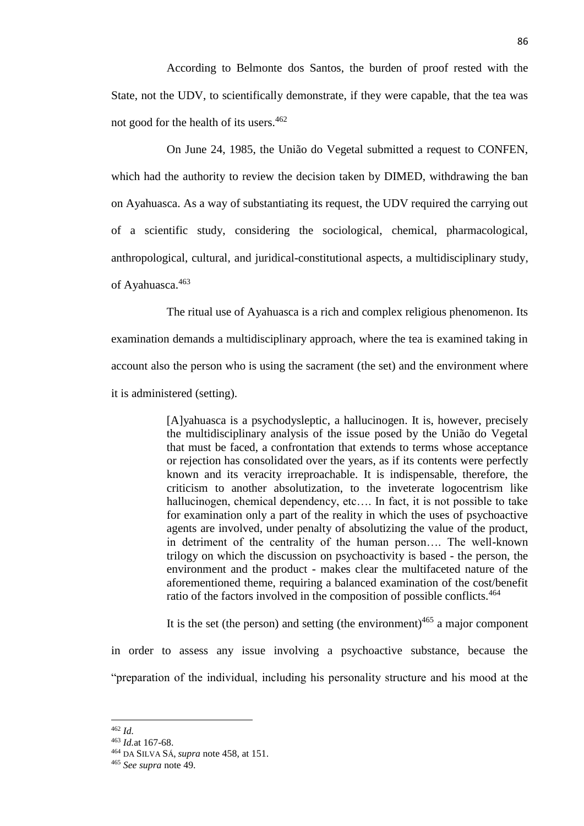According to Belmonte dos Santos, the burden of proof rested with the State, not the UDV, to scientifically demonstrate, if they were capable, that the tea was not good for the health of its users.<sup>462</sup>

On June 24, 1985, the União do Vegetal submitted a request to CONFEN, which had the authority to review the decision taken by DIMED, withdrawing the ban on Ayahuasca. As a way of substantiating its request, the UDV required the carrying out of a scientific study, considering the sociological, chemical, pharmacological, anthropological, cultural, and juridical-constitutional aspects, a multidisciplinary study, of Ayahuasca.<sup>463</sup>

The ritual use of Ayahuasca is a rich and complex religious phenomenon. Its examination demands a multidisciplinary approach, where the tea is examined taking in account also the person who is using the sacrament (the set) and the environment where it is administered (setting).

> [A]yahuasca is a psychodysleptic, a hallucinogen. It is, however, precisely the multidisciplinary analysis of the issue posed by the União do Vegetal that must be faced, a confrontation that extends to terms whose acceptance or rejection has consolidated over the years, as if its contents were perfectly known and its veracity irreproachable. It is indispensable, therefore, the criticism to another absolutization, to the inveterate logocentrism like hallucinogen, chemical dependency, etc…. In fact, it is not possible to take for examination only a part of the reality in which the uses of psychoactive agents are involved, under penalty of absolutizing the value of the product, in detriment of the centrality of the human person…. The well-known trilogy on which the discussion on psychoactivity is based - the person, the environment and the product - makes clear the multifaceted nature of the aforementioned theme, requiring a balanced examination of the cost/benefit ratio of the factors involved in the composition of possible conflicts.<sup>464</sup>

> It is the set (the person) and setting (the environment) $465$  a major component

in order to assess any issue involving a psychoactive substance, because the "preparation of the individual, including his personality structure and his mood at the

<sup>462</sup> *Id.*

<sup>463</sup> *Id.*at 167-68.

<sup>464</sup> DA SILVA SÁ, *supra* note 458, at 151.

<sup>465</sup> *See supra* note 49.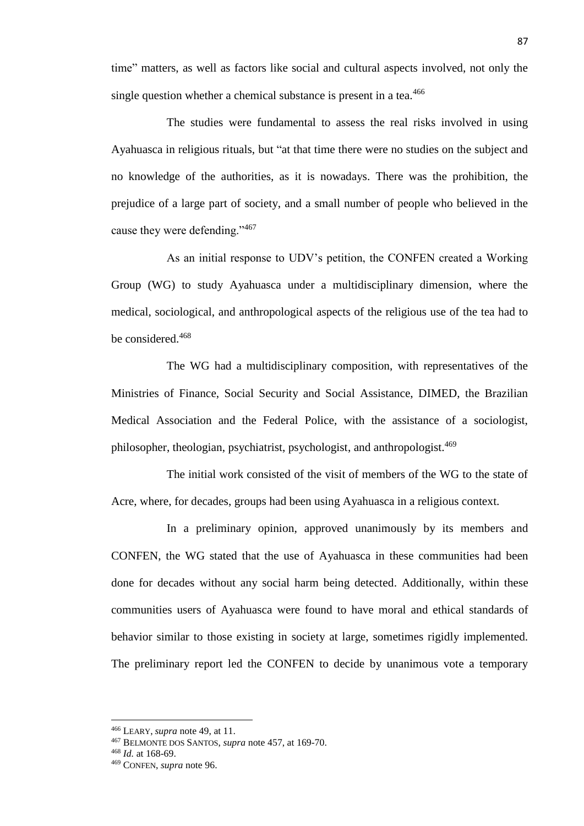time" matters, as well as factors like social and cultural aspects involved, not only the single question whether a chemical substance is present in a tea.<sup>466</sup>

The studies were fundamental to assess the real risks involved in using Ayahuasca in religious rituals, but "at that time there were no studies on the subject and no knowledge of the authorities, as it is nowadays. There was the prohibition, the prejudice of a large part of society, and a small number of people who believed in the cause they were defending."<sup>467</sup>

As an initial response to UDV's petition, the CONFEN created a Working Group (WG) to study Ayahuasca under a multidisciplinary dimension, where the medical, sociological, and anthropological aspects of the religious use of the tea had to be considered.<sup>468</sup>

The WG had a multidisciplinary composition, with representatives of the Ministries of Finance, Social Security and Social Assistance, DIMED, the Brazilian Medical Association and the Federal Police, with the assistance of a sociologist, philosopher, theologian, psychiatrist, psychologist, and anthropologist.<sup>469</sup>

The initial work consisted of the visit of members of the WG to the state of Acre, where, for decades, groups had been using Ayahuasca in a religious context.

In a preliminary opinion, approved unanimously by its members and CONFEN, the WG stated that the use of Ayahuasca in these communities had been done for decades without any social harm being detected. Additionally, within these communities users of Ayahuasca were found to have moral and ethical standards of behavior similar to those existing in society at large, sometimes rigidly implemented. The preliminary report led the CONFEN to decide by unanimous vote a temporary

<sup>466</sup> LEARY, *supra* note 49, at 11.

<sup>467</sup> BELMONTE DOS SANTOS, *supra* note 457, at 169-70.

<sup>468</sup> *Id.* at 168-69.

<sup>469</sup> CONFEN, *supra* note 96.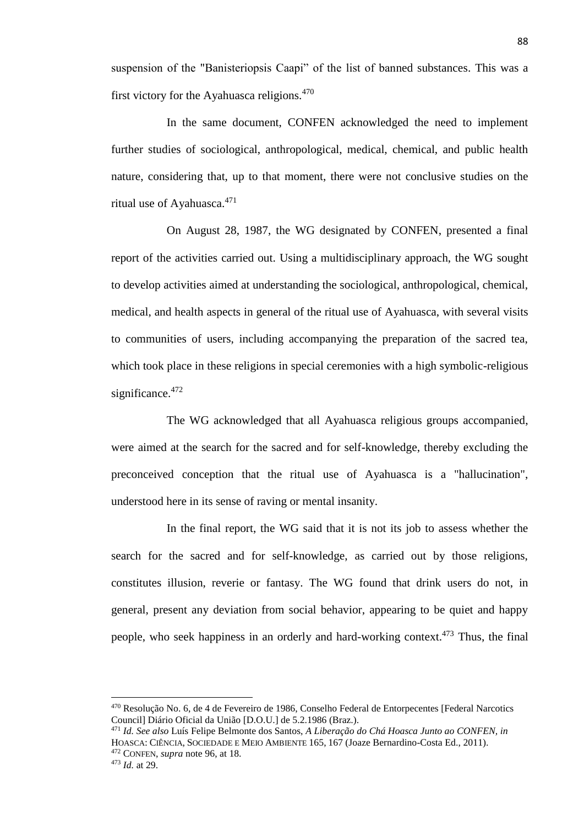suspension of the "Banisteriopsis Caapi" of the list of banned substances. This was a first victory for the Ayahuasca religions. $470$ 

In the same document, CONFEN acknowledged the need to implement further studies of sociological, anthropological, medical, chemical, and public health nature, considering that, up to that moment, there were not conclusive studies on the ritual use of Ayahuasca. 471

On August 28, 1987, the WG designated by CONFEN, presented a final report of the activities carried out. Using a multidisciplinary approach, the WG sought to develop activities aimed at understanding the sociological, anthropological, chemical, medical, and health aspects in general of the ritual use of Ayahuasca, with several visits to communities of users, including accompanying the preparation of the sacred tea, which took place in these religions in special ceremonies with a high symbolic-religious significance. $472$ 

The WG acknowledged that all Ayahuasca religious groups accompanied, were aimed at the search for the sacred and for self-knowledge, thereby excluding the preconceived conception that the ritual use of Ayahuasca is a "hallucination", understood here in its sense of raving or mental insanity.

In the final report, the WG said that it is not its job to assess whether the search for the sacred and for self-knowledge, as carried out by those religions, constitutes illusion, reverie or fantasy. The WG found that drink users do not, in general, present any deviation from social behavior, appearing to be quiet and happy people, who seek happiness in an orderly and hard-working context.<sup>473</sup> Thus, the final

<sup>&</sup>lt;sup>470</sup> Resolução No. 6, de 4 de Fevereiro de 1986, Conselho Federal de Entorpecentes [Federal Narcotics] Council] Diário Oficial da União [D.O.U.] de 5.2.1986 (Braz.).

<sup>471</sup> *Id. See also* Luís Felipe Belmonte dos Santos, *A Liberação do Chá Hoasca Junto ao CONFEN, in*  HOASCA: CIÊNCIA, SOCIEDADE E MEIO AMBIENTE 165, 167 (Joaze Bernardino-Costa Ed., 2011). <sup>472</sup> CONFEN, *supra* note 96, at 18.

<sup>473</sup> *Id.* at 29.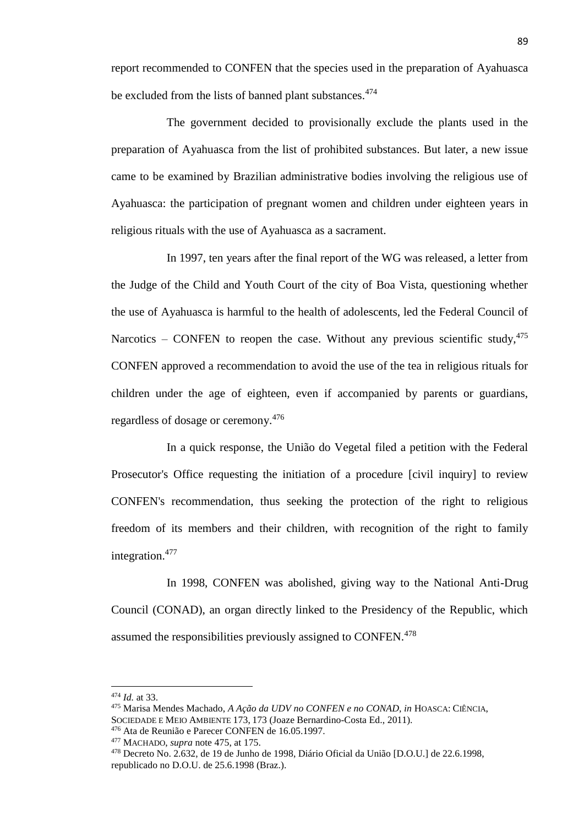report recommended to CONFEN that the species used in the preparation of Ayahuasca be excluded from the lists of banned plant substances.<sup>474</sup>

The government decided to provisionally exclude the plants used in the preparation of Ayahuasca from the list of prohibited substances. But later, a new issue came to be examined by Brazilian administrative bodies involving the religious use of Ayahuasca: the participation of pregnant women and children under eighteen years in religious rituals with the use of Ayahuasca as a sacrament.

In 1997, ten years after the final report of the WG was released, a letter from the Judge of the Child and Youth Court of the city of Boa Vista, questioning whether the use of Ayahuasca is harmful to the health of adolescents, led the Federal Council of Narcotics – CONFEN to reopen the case. Without any previous scientific study,  $475$ CONFEN approved a recommendation to avoid the use of the tea in religious rituals for children under the age of eighteen, even if accompanied by parents or guardians, regardless of dosage or ceremony.<sup>476</sup>

In a quick response, the União do Vegetal filed a petition with the Federal Prosecutor's Office requesting the initiation of a procedure [civil inquiry] to review CONFEN's recommendation, thus seeking the protection of the right to religious freedom of its members and their children, with recognition of the right to family integration.<sup>477</sup>

In 1998, CONFEN was abolished, giving way to the National Anti-Drug Council (CONAD), an organ directly linked to the Presidency of the Republic, which assumed the responsibilities previously assigned to CONFEN.<sup>478</sup>

<sup>474</sup> *Id.* at 33.

<sup>475</sup> Marisa Mendes Machado, *A Ação da UDV no CONFEN e no CONAD, in* HOASCA: CIÊNCIA, SOCIEDADE E MEIO AMBIENTE 173, 173 (Joaze Bernardino-Costa Ed., 2011).

<sup>476</sup> Ata de Reunião e Parecer CONFEN de 16.05.1997.

<sup>477</sup> MACHADO, *supra* note 475, at 175.

<sup>478</sup> Decreto No. 2.632, de 19 de Junho de 1998, Diário Oficial da União [D.O.U.] de 22.6.1998, republicado no D.O.U. de 25.6.1998 (Braz.).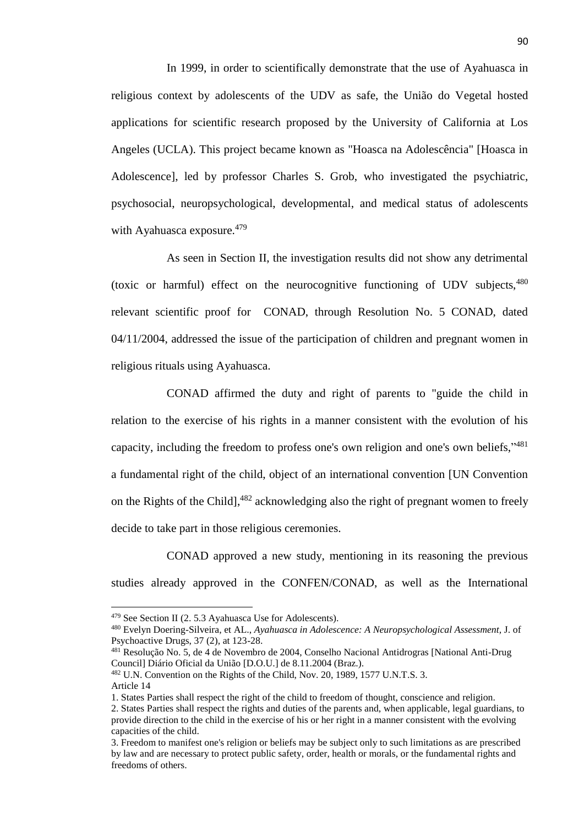In 1999, in order to scientifically demonstrate that the use of Ayahuasca in religious context by adolescents of the UDV as safe, the União do Vegetal hosted applications for scientific research proposed by the University of California at Los Angeles (UCLA). This project became known as "Hoasca na Adolescência" [Hoasca in Adolescence], led by professor Charles S. Grob, who investigated the psychiatric, psychosocial, neuropsychological, developmental, and medical status of adolescents with Ayahuasca exposure. $479$ 

As seen in Section II, the investigation results did not show any detrimental (toxic or harmful) effect on the neurocognitive functioning of UDV subjects,<sup>480</sup> relevant scientific proof for CONAD, through Resolution No. 5 CONAD, dated 04/11/2004, addressed the issue of the participation of children and pregnant women in religious rituals using Ayahuasca.

CONAD affirmed the duty and right of parents to "guide the child in relation to the exercise of his rights in a manner consistent with the evolution of his capacity, including the freedom to profess one's own religion and one's own beliefs,"<sup>481</sup> a fundamental right of the child, object of an international convention [UN Convention on the Rights of the Child],<sup>482</sup> acknowledging also the right of pregnant women to freely decide to take part in those religious ceremonies.

CONAD approved a new study, mentioning in its reasoning the previous studies already approved in the CONFEN/CONAD, as well as the International

<sup>479</sup> See Section II (2. 5.3 Ayahuasca Use for Adolescents).

<sup>480</sup> Evelyn Doering-Silveira, et AL., *Ayahuasca in Adolescence: A Neuropsychological Assessment,* J. of Psychoactive Drugs, 37 (2), at 123-28.

<sup>481</sup> Resolução No. 5, de 4 de Novembro de 2004, Conselho Nacional Antidrogras [National Anti-Drug Council] Diário Oficial da União [D.O.U.] de 8.11.2004 (Braz.).

<sup>482</sup> U.N. Convention on the Rights of the Child, Nov. 20, 1989, 1577 U.N.T.S. 3. Article 14

<sup>1.</sup> States Parties shall respect the right of the child to freedom of thought, conscience and religion. 2. States Parties shall respect the rights and duties of the parents and, when applicable, legal guardians, to provide direction to the child in the exercise of his or her right in a manner consistent with the evolving capacities of the child.

<sup>3.</sup> Freedom to manifest one's religion or beliefs may be subject only to such limitations as are prescribed by law and are necessary to protect public safety, order, health or morals, or the fundamental rights and freedoms of others.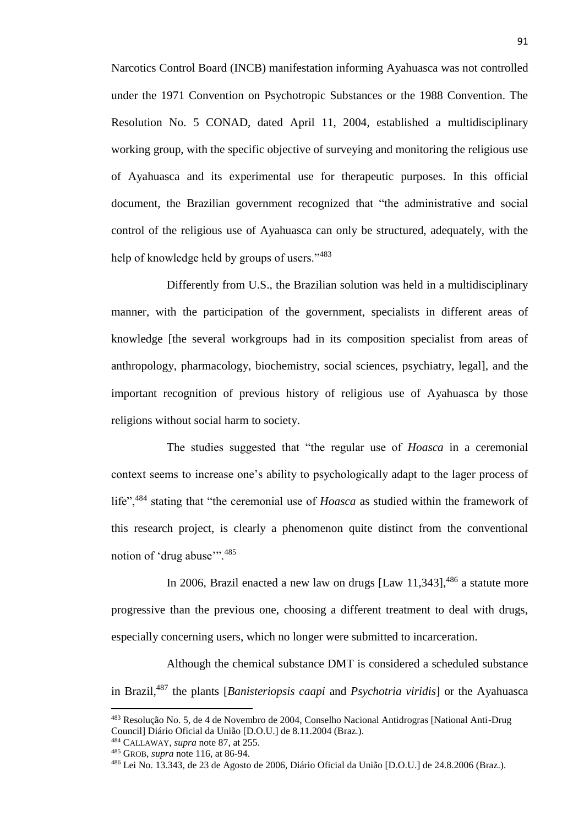Narcotics Control Board (INCB) manifestation informing Ayahuasca was not controlled under the 1971 Convention on Psychotropic Substances or the 1988 Convention. The Resolution No. 5 CONAD, dated April 11, 2004, established a multidisciplinary working group, with the specific objective of surveying and monitoring the religious use of Ayahuasca and its experimental use for therapeutic purposes. In this official document, the Brazilian government recognized that "the administrative and social control of the religious use of Ayahuasca can only be structured, adequately, with the help of knowledge held by groups of users."<sup>483</sup>

Differently from U.S., the Brazilian solution was held in a multidisciplinary manner, with the participation of the government, specialists in different areas of knowledge [the several workgroups had in its composition specialist from areas of anthropology, pharmacology, biochemistry, social sciences, psychiatry, legal], and the important recognition of previous history of religious use of Ayahuasca by those religions without social harm to society.

The studies suggested that "the regular use of *Hoasca* in a ceremonial context seems to increase one's ability to psychologically adapt to the lager process of life",<sup>484</sup> stating that "the ceremonial use of *Hoasca* as studied within the framework of this research project, is clearly a phenomenon quite distinct from the conventional notion of 'drug abuse'".<sup>485</sup>

In 2006, Brazil enacted a new law on drugs  $[Law\ 11,343]$ ,  $486$  a statute more progressive than the previous one, choosing a different treatment to deal with drugs, especially concerning users, which no longer were submitted to incarceration.

Although the chemical substance DMT is considered a scheduled substance in Brazil,<sup>487</sup> the plants [*Banisteriopsis caapi* and *Psychotria viridis*] or the Ayahuasca

<sup>483</sup> Resolução No. 5, de 4 de Novembro de 2004, Conselho Nacional Antidrogras [National Anti-Drug Council] Diário Oficial da União [D.O.U.] de 8.11.2004 (Braz.).

<sup>484</sup> CALLAWAY, *supra* note 87, at 255.

<sup>485</sup> GROB, *supra* note 116, at 86-94.

<sup>486</sup> Lei No. 13.343, de 23 de Agosto de 2006, Diário Oficial da União [D.O.U.] de 24.8.2006 (Braz.).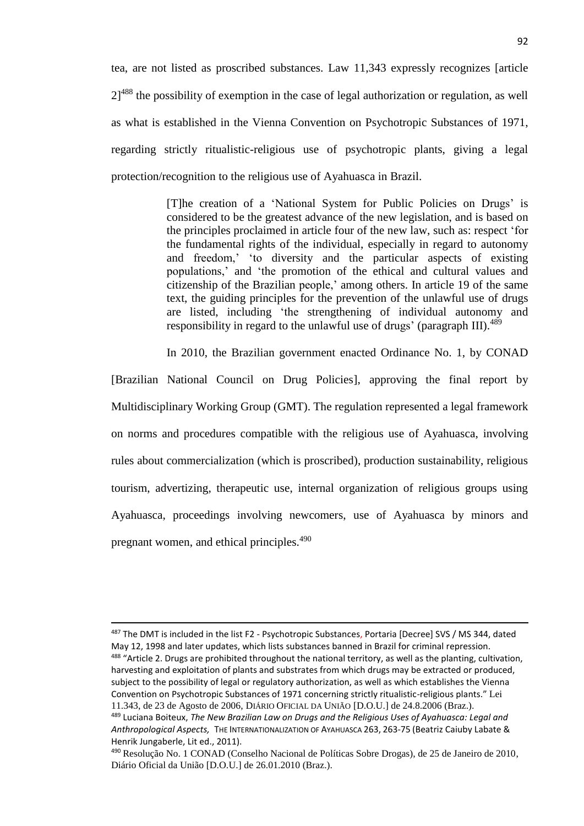tea, are not listed as proscribed substances. Law 11,343 expressly recognizes [article  $21<sup>488</sup>$  the possibility of exemption in the case of legal authorization or regulation, as well as what is established in the Vienna Convention on Psychotropic Substances of 1971, regarding strictly ritualistic-religious use of psychotropic plants, giving a legal protection/recognition to the religious use of Ayahuasca in Brazil.

> [T]he creation of a 'National System for Public Policies on Drugs' is considered to be the greatest advance of the new legislation, and is based on the principles proclaimed in article four of the new law, such as: respect 'for the fundamental rights of the individual, especially in regard to autonomy and freedom,' 'to diversity and the particular aspects of existing populations,' and 'the promotion of the ethical and cultural values and citizenship of the Brazilian people,' among others. In article 19 of the same text, the guiding principles for the prevention of the unlawful use of drugs are listed, including 'the strengthening of individual autonomy and responsibility in regard to the unlawful use of drugs' (paragraph III).<sup>489</sup>

In 2010, the Brazilian government enacted Ordinance No. 1, by CONAD

[Brazilian National Council on Drug Policies], approving the final report by Multidisciplinary Working Group (GMT). The regulation represented a legal framework on norms and procedures compatible with the religious use of Ayahuasca, involving rules about commercialization (which is proscribed), production sustainability, religious tourism, advertizing, therapeutic use, internal organization of religious groups using Ayahuasca, proceedings involving newcomers, use of Ayahuasca by minors and pregnant women, and ethical principles.<sup>490</sup>

<sup>&</sup>lt;sup>487</sup> The DMT is included in the list F2 - Psychotropic Substances, Portaria [Decree] SVS / MS 344, dated May 12, 1998 and later updates, which lists substances banned in Brazil for criminal repression. <sup>488</sup> "Article 2. Drugs are prohibited throughout the national territory, as well as the planting, cultivation, harvesting and exploitation of plants and substrates from which drugs may be extracted or produced, subject to the possibility of legal or regulatory authorization, as well as which establishes the Vienna Convention on Psychotropic Substances of 1971 concerning strictly ritualistic-religious plants." Lei 11.343, de 23 de Agosto de 2006, DIÁRIO OFICIAL DA UNIÃO [D.O.U.] de 24.8.2006 (Braz.).

<sup>489</sup> Luciana Boiteux, *The New Brazilian Law on Drugs and the Religious Uses of Ayahuasca: Legal and Anthropological Aspects,* THE INTERNATIONALIZATION OF AYAHUASCA 263, 263-75 (Beatriz Caiuby Labate & Henrik Jungaberle, Lit ed., 2011).

<sup>490</sup> Resolução No. 1 CONAD (Conselho Nacional de Políticas Sobre Drogas), de 25 de Janeiro de 2010, Diário Oficial da União [D.O.U.] de 26.01.2010 (Braz.).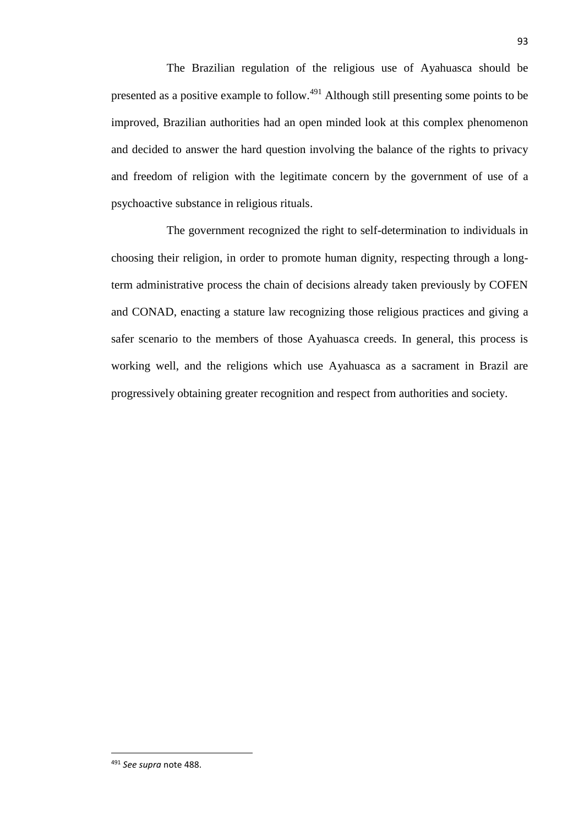The Brazilian regulation of the religious use of Ayahuasca should be presented as a positive example to follow.<sup>491</sup> Although still presenting some points to be improved, Brazilian authorities had an open minded look at this complex phenomenon and decided to answer the hard question involving the balance of the rights to privacy and freedom of religion with the legitimate concern by the government of use of a psychoactive substance in religious rituals.

The government recognized the right to self-determination to individuals in choosing their religion, in order to promote human dignity, respecting through a longterm administrative process the chain of decisions already taken previously by COFEN and CONAD, enacting a stature law recognizing those religious practices and giving a safer scenario to the members of those Ayahuasca creeds. In general, this process is working well, and the religions which use Ayahuasca as a sacrament in Brazil are progressively obtaining greater recognition and respect from authorities and society.

<sup>491</sup> *See supra* note 488.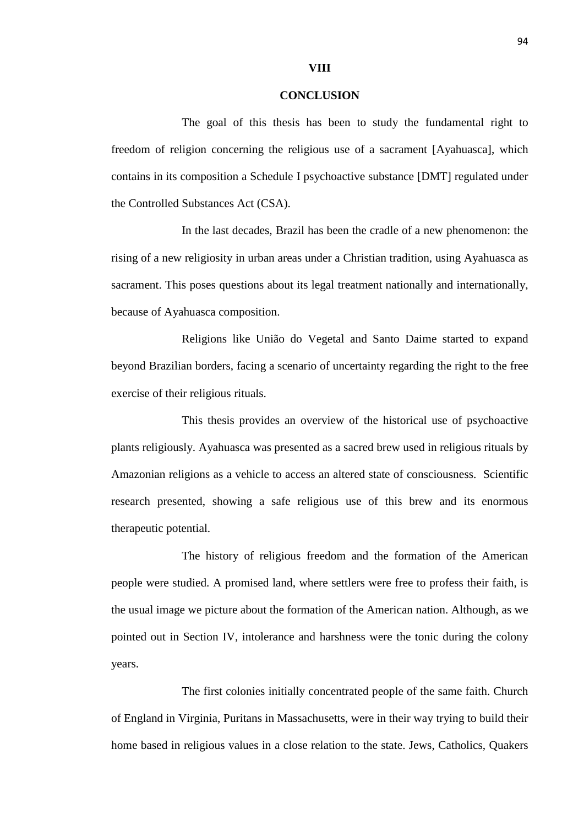## **VIII**

## **CONCLUSION**

The goal of this thesis has been to study the fundamental right to freedom of religion concerning the religious use of a sacrament [Ayahuasca], which contains in its composition a Schedule I psychoactive substance [DMT] regulated under the Controlled Substances Act (CSA).

In the last decades, Brazil has been the cradle of a new phenomenon: the rising of a new religiosity in urban areas under a Christian tradition, using Ayahuasca as sacrament. This poses questions about its legal treatment nationally and internationally, because of Ayahuasca composition.

Religions like União do Vegetal and Santo Daime started to expand beyond Brazilian borders, facing a scenario of uncertainty regarding the right to the free exercise of their religious rituals.

This thesis provides an overview of the historical use of psychoactive plants religiously. Ayahuasca was presented as a sacred brew used in religious rituals by Amazonian religions as a vehicle to access an altered state of consciousness. Scientific research presented, showing a safe religious use of this brew and its enormous therapeutic potential.

The history of religious freedom and the formation of the American people were studied. A promised land, where settlers were free to profess their faith, is the usual image we picture about the formation of the American nation. Although, as we pointed out in Section IV, intolerance and harshness were the tonic during the colony years.

The first colonies initially concentrated people of the same faith. Church of England in Virginia, Puritans in Massachusetts, were in their way trying to build their home based in religious values in a close relation to the state. Jews, Catholics, Quakers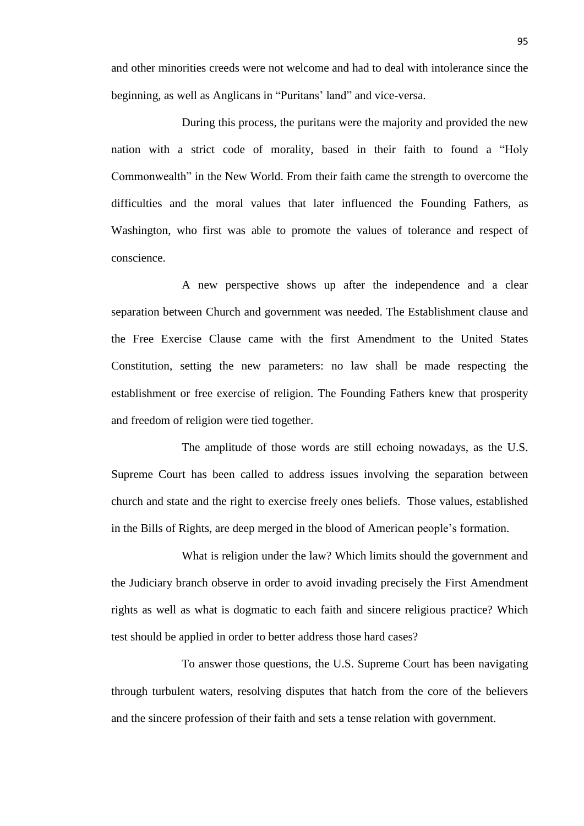and other minorities creeds were not welcome and had to deal with intolerance since the beginning, as well as Anglicans in "Puritans' land" and vice-versa.

During this process, the puritans were the majority and provided the new nation with a strict code of morality, based in their faith to found a "Holy Commonwealth" in the New World. From their faith came the strength to overcome the difficulties and the moral values that later influenced the Founding Fathers, as Washington, who first was able to promote the values of tolerance and respect of conscience.

A new perspective shows up after the independence and a clear separation between Church and government was needed. The Establishment clause and the Free Exercise Clause came with the first Amendment to the United States Constitution, setting the new parameters: no law shall be made respecting the establishment or free exercise of religion. The Founding Fathers knew that prosperity and freedom of religion were tied together.

The amplitude of those words are still echoing nowadays, as the U.S. Supreme Court has been called to address issues involving the separation between church and state and the right to exercise freely ones beliefs. Those values, established in the Bills of Rights, are deep merged in the blood of American people's formation.

What is religion under the law? Which limits should the government and the Judiciary branch observe in order to avoid invading precisely the First Amendment rights as well as what is dogmatic to each faith and sincere religious practice? Which test should be applied in order to better address those hard cases?

To answer those questions, the U.S. Supreme Court has been navigating through turbulent waters, resolving disputes that hatch from the core of the believers and the sincere profession of their faith and sets a tense relation with government.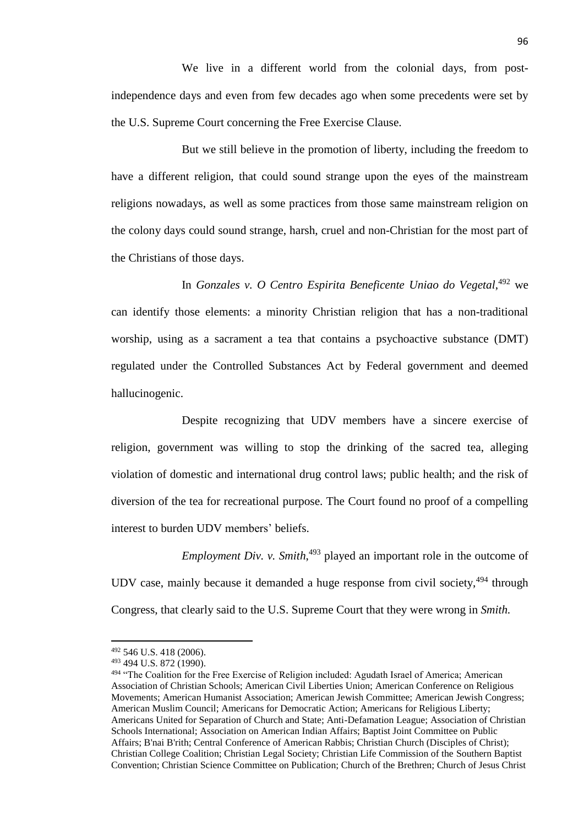We live in a different world from the colonial days, from postindependence days and even from few decades ago when some precedents were set by the U.S. Supreme Court concerning the Free Exercise Clause.

But we still believe in the promotion of liberty, including the freedom to have a different religion, that could sound strange upon the eyes of the mainstream religions nowadays, as well as some practices from those same mainstream religion on the colony days could sound strange, harsh, cruel and non-Christian for the most part of the Christians of those days.

In *Gonzales v. O Centro Espirita Beneficente Uniao do Vegetal*, <sup>492</sup> we can identify those elements: a minority Christian religion that has a non-traditional worship, using as a sacrament a tea that contains a psychoactive substance (DMT) regulated under the Controlled Substances Act by Federal government and deemed hallucinogenic.

Despite recognizing that UDV members have a sincere exercise of religion, government was willing to stop the drinking of the sacred tea, alleging violation of domestic and international drug control laws; public health; and the risk of diversion of the tea for recreational purpose. The Court found no proof of a compelling interest to burden UDV members' beliefs.

*Employment Div. v. Smith*, <sup>493</sup> played an important role in the outcome of UDV case, mainly because it demanded a huge response from civil society,<sup>494</sup> through Congress, that clearly said to the U.S. Supreme Court that they were wrong in *Smith.*

<sup>492</sup> 546 U.S. 418 (2006).

<sup>493</sup> 494 U.S. 872 (1990).

<sup>494 &</sup>quot;The Coalition for the Free Exercise of Religion included: Agudath Israel of America; American Association of Christian Schools; American Civil Liberties Union; American Conference on Religious Movements; American Humanist Association; American Jewish Committee; American Jewish Congress; American Muslim Council; Americans for Democratic Action; Americans for Religious Liberty; Americans United for Separation of Church and State; Anti-Defamation League; Association of Christian Schools International; Association on American Indian Affairs; Baptist Joint Committee on Public Affairs; B'nai B'rith; Central Conference of American Rabbis; Christian Church (Disciples of Christ); Christian College Coalition; Christian Legal Society; Christian Life Commission of the Southern Baptist Convention; Christian Science Committee on Publication; Church of the Brethren; Church of Jesus Christ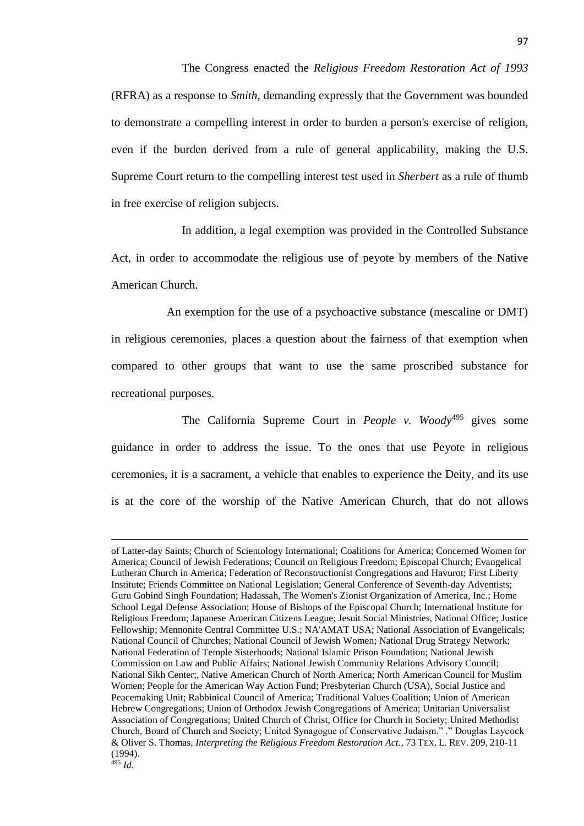The Congress enacted the *Religious Freedom Restoration Act of 1993* (RFRA) as a response to *Smith*, demanding expressly that the Government was bounded to demonstrate a compelling interest in order to burden a person's exercise of religion, even if the burden derived from a rule of general applicability, making the U.S. Supreme Court return to the compelling interest test used in *Sherbert* as a rule of thumb in free exercise of religion subjects.

In addition, a legal exemption was provided in the Controlled Substance Act, in order to accommodate the religious use of peyote by members of the Native American Church.

An exemption for the use of a psychoactive substance (mescaline or DMT) in religious ceremonies, places a question about the fairness of that exemption when compared to other groups that want to use the same proscribed substance for recreational purposes.

The California Supreme Court in *People v. Woody*<sup>495</sup> gives some guidance in order to address the issue. To the ones that use Peyote in religious ceremonies, it is a sacrament, a vehicle that enables to experience the Deity, and its use is at the core of the worship of the Native American Church, that do not allows

of Latter-day Saints; Church of Scientology International; Coalitions for America; Concerned Women for America; Council of Jewish Federations; Council on Religious Freedom; Episcopal Church; Evangelical Lutheran Church in America; Federation of Reconstructionist Congregations and Havurot; First Liberty Institute; Friends Committee on National Legislation; General Conference of Seventh-day Adventists; Guru Gobind Singh Foundation; Hadassah, The Women's Zionist Organization of America, Inc.; Home School Legal Defense Association; House of Bishops of the Episcopal Church; International Institute for Religious Freedom; Japanese American Citizens League; Jesuit Social Ministries, National Office; Justice Fellowship; Mennonite Central Committee U.S.; NA'AMAT USA; National Association of Evangelicals; National Council of Churches; National Council of Jewish Women; National Drug Strategy Network; National Federation of Temple Sisterhoods; National Islamic Prison Foundation; National Jewish Commission on Law and Public Affairs; National Jewish Community Relations Advisory Council; National Sikh Center;, Native American Church of North America; North American Council for Muslim Women; People for the American Way Action Fund; Presbyterian Church (USA), Social Justice and Peacemaking Unit; Rabbinical Council of America; Traditional Values Coalition; Union of American Hebrew Congregations; Union of Orthodox Jewish Congregations of America; Unitarian Universalist Association of Congregations; United Church of Christ, Office for Church in Society; United Methodist Church, Board of Church and Society; United Synagogue of Conservative Judaism." ." Douglas Laycock & Oliver S. Thomas, *Interpreting the Religious Freedom Restoration Act.*, 73 TEX. L. REV. 209, 210-11 (1994).  $495$  *Id.*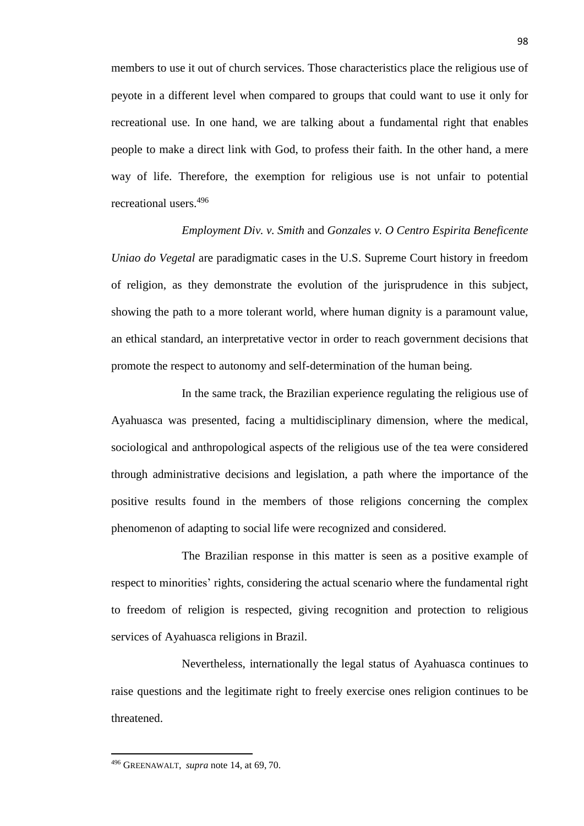members to use it out of church services. Those characteristics place the religious use of peyote in a different level when compared to groups that could want to use it only for recreational use. In one hand, we are talking about a fundamental right that enables people to make a direct link with God, to profess their faith. In the other hand, a mere way of life. Therefore, the exemption for religious use is not unfair to potential recreational users.<sup>496</sup>

*Employment Div. v. Smith* and *Gonzales v. O Centro Espirita Beneficente Uniao do Vegetal* are paradigmatic cases in the U.S. Supreme Court history in freedom of religion, as they demonstrate the evolution of the jurisprudence in this subject, showing the path to a more tolerant world, where human dignity is a paramount value, an ethical standard, an interpretative vector in order to reach government decisions that promote the respect to autonomy and self-determination of the human being.

In the same track, the Brazilian experience regulating the religious use of Ayahuasca was presented, facing a multidisciplinary dimension, where the medical, sociological and anthropological aspects of the religious use of the tea were considered through administrative decisions and legislation, a path where the importance of the positive results found in the members of those religions concerning the complex phenomenon of adapting to social life were recognized and considered.

The Brazilian response in this matter is seen as a positive example of respect to minorities' rights, considering the actual scenario where the fundamental right to freedom of religion is respected, giving recognition and protection to religious services of Ayahuasca religions in Brazil.

Nevertheless, internationally the legal status of Ayahuasca continues to raise questions and the legitimate right to freely exercise ones religion continues to be threatened.

<sup>496</sup> GREENAWALT, *supra* note 14, at 69, 70.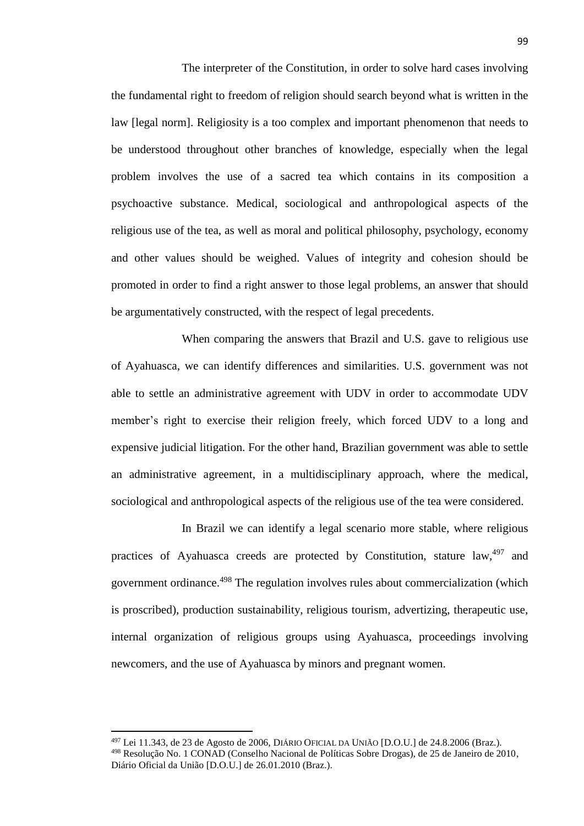The interpreter of the Constitution, in order to solve hard cases involving the fundamental right to freedom of religion should search beyond what is written in the law [legal norm]. Religiosity is a too complex and important phenomenon that needs to be understood throughout other branches of knowledge, especially when the legal problem involves the use of a sacred tea which contains in its composition a psychoactive substance. Medical, sociological and anthropological aspects of the religious use of the tea, as well as moral and political philosophy, psychology, economy and other values should be weighed. Values of integrity and cohesion should be promoted in order to find a right answer to those legal problems, an answer that should be argumentatively constructed, with the respect of legal precedents.

When comparing the answers that Brazil and U.S. gave to religious use of Ayahuasca, we can identify differences and similarities. U.S. government was not able to settle an administrative agreement with UDV in order to accommodate UDV member's right to exercise their religion freely, which forced UDV to a long and expensive judicial litigation. For the other hand, Brazilian government was able to settle an administrative agreement, in a multidisciplinary approach, where the medical, sociological and anthropological aspects of the religious use of the tea were considered.

In Brazil we can identify a legal scenario more stable, where religious practices of Ayahuasca creeds are protected by Constitution, stature law,<sup>497</sup> and government ordinance. <sup>498</sup> The regulation involves rules about commercialization (which is proscribed), production sustainability, religious tourism, advertizing, therapeutic use, internal organization of religious groups using Ayahuasca, proceedings involving newcomers, and the use of Ayahuasca by minors and pregnant women.

l

<sup>497</sup> Lei 11.343, de 23 de Agosto de 2006, DIÁRIO OFICIAL DA UNIÃO [D.O.U.] de 24.8.2006 (Braz.). <sup>498</sup> Resolução No. 1 CONAD (Conselho Nacional de Políticas Sobre Drogas), de 25 de Janeiro de 2010, Diário Oficial da União [D.O.U.] de 26.01.2010 (Braz.).